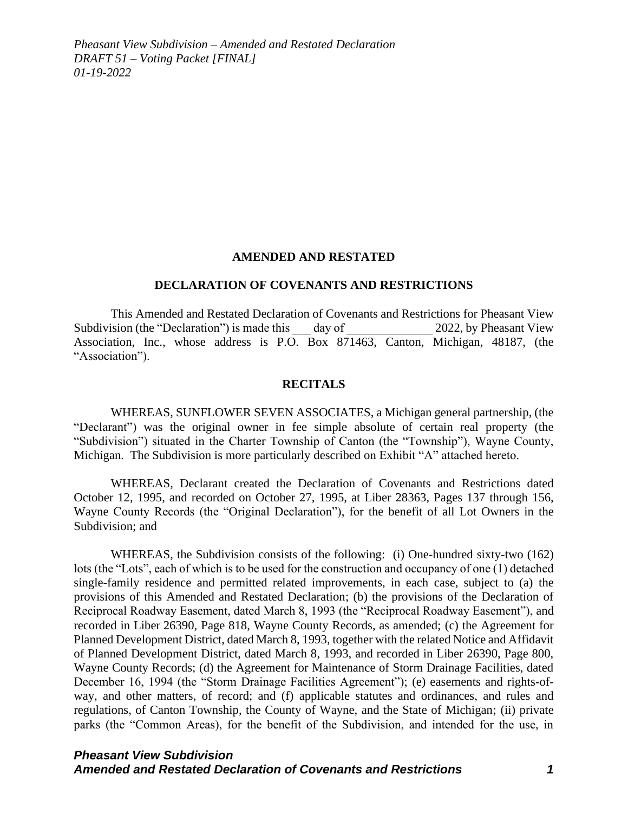#### **AMENDED AND RESTATED**

#### **DECLARATION OF COVENANTS AND RESTRICTIONS**

This Amended and Restated Declaration of Covenants and Restrictions for Pheasant View Subdivision (the "Declaration") is made this day of 2022, by Pheasant View Association, Inc., whose address is P.O. Box 871463, Canton, Michigan, 48187, (the "Association").

#### **RECITALS**

WHEREAS, SUNFLOWER SEVEN ASSOCIATES, a Michigan general partnership, (the "Declarant") was the original owner in fee simple absolute of certain real property (the "Subdivision") situated in the Charter Township of Canton (the "Township"), Wayne County, Michigan. The Subdivision is more particularly described on Exhibit "A" attached hereto.

WHEREAS, Declarant created the Declaration of Covenants and Restrictions dated October 12, 1995, and recorded on October 27, 1995, at Liber 28363, Pages 137 through 156, Wayne County Records (the "Original Declaration"), for the benefit of all Lot Owners in the Subdivision; and

WHEREAS, the Subdivision consists of the following: (i) One-hundred sixty-two (162) lots (the "Lots", each of which is to be used for the construction and occupancy of one (1) detached single-family residence and permitted related improvements, in each case, subject to (a) the provisions of this Amended and Restated Declaration; (b) the provisions of the Declaration of Reciprocal Roadway Easement, dated March 8, 1993 (the "Reciprocal Roadway Easement"), and recorded in Liber 26390, Page 818, Wayne County Records, as amended; (c) the Agreement for Planned Development District, dated March 8, 1993, together with the related Notice and Affidavit of Planned Development District, dated March 8, 1993, and recorded in Liber 26390, Page 800, Wayne County Records; (d) the Agreement for Maintenance of Storm Drainage Facilities, dated December 16, 1994 (the "Storm Drainage Facilities Agreement"); (e) easements and rights-ofway, and other matters, of record; and (f) applicable statutes and ordinances, and rules and regulations, of Canton Township, the County of Wayne, and the State of Michigan; (ii) private parks (the "Common Areas), for the benefit of the Subdivision, and intended for the use, in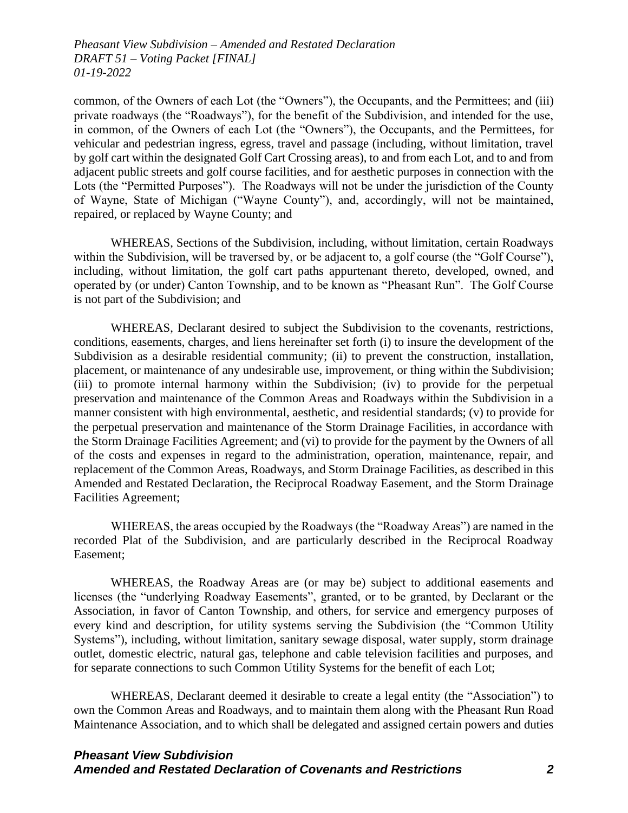common, of the Owners of each Lot (the "Owners"), the Occupants, and the Permittees; and (iii) private roadways (the "Roadways"), for the benefit of the Subdivision, and intended for the use, in common, of the Owners of each Lot (the "Owners"), the Occupants, and the Permittees, for vehicular and pedestrian ingress, egress, travel and passage (including, without limitation, travel by golf cart within the designated Golf Cart Crossing areas), to and from each Lot, and to and from adjacent public streets and golf course facilities, and for aesthetic purposes in connection with the Lots (the "Permitted Purposes"). The Roadways will not be under the jurisdiction of the County of Wayne, State of Michigan ("Wayne County"), and, accordingly, will not be maintained, repaired, or replaced by Wayne County; and

WHEREAS, Sections of the Subdivision, including, without limitation, certain Roadways within the Subdivision, will be traversed by, or be adjacent to, a golf course (the "Golf Course"), including, without limitation, the golf cart paths appurtenant thereto, developed, owned, and operated by (or under) Canton Township, and to be known as "Pheasant Run". The Golf Course is not part of the Subdivision; and

WHEREAS, Declarant desired to subject the Subdivision to the covenants, restrictions, conditions, easements, charges, and liens hereinafter set forth (i) to insure the development of the Subdivision as a desirable residential community; (ii) to prevent the construction, installation, placement, or maintenance of any undesirable use, improvement, or thing within the Subdivision; (iii) to promote internal harmony within the Subdivision; (iv) to provide for the perpetual preservation and maintenance of the Common Areas and Roadways within the Subdivision in a manner consistent with high environmental, aesthetic, and residential standards; (v) to provide for the perpetual preservation and maintenance of the Storm Drainage Facilities, in accordance with the Storm Drainage Facilities Agreement; and (vi) to provide for the payment by the Owners of all of the costs and expenses in regard to the administration, operation, maintenance, repair, and replacement of the Common Areas, Roadways, and Storm Drainage Facilities, as described in this Amended and Restated Declaration, the Reciprocal Roadway Easement, and the Storm Drainage Facilities Agreement;

WHEREAS, the areas occupied by the Roadways (the "Roadway Areas") are named in the recorded Plat of the Subdivision, and are particularly described in the Reciprocal Roadway Easement;

WHEREAS, the Roadway Areas are (or may be) subject to additional easements and licenses (the "underlying Roadway Easements", granted, or to be granted, by Declarant or the Association, in favor of Canton Township, and others, for service and emergency purposes of every kind and description, for utility systems serving the Subdivision (the "Common Utility Systems"), including, without limitation, sanitary sewage disposal, water supply, storm drainage outlet, domestic electric, natural gas, telephone and cable television facilities and purposes, and for separate connections to such Common Utility Systems for the benefit of each Lot;

WHEREAS, Declarant deemed it desirable to create a legal entity (the "Association") to own the Common Areas and Roadways, and to maintain them along with the Pheasant Run Road Maintenance Association, and to which shall be delegated and assigned certain powers and duties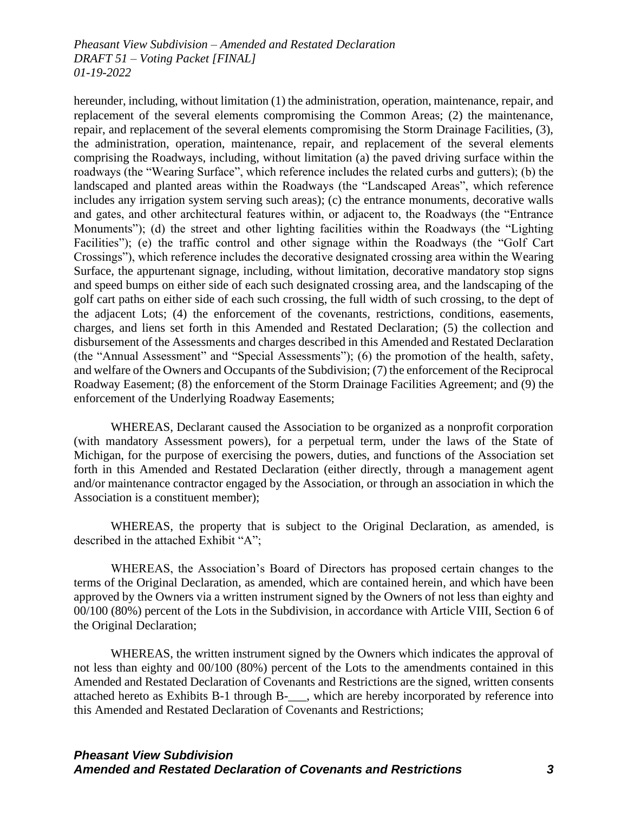hereunder, including, without limitation (1) the administration, operation, maintenance, repair, and replacement of the several elements compromising the Common Areas; (2) the maintenance, repair, and replacement of the several elements compromising the Storm Drainage Facilities, (3), the administration, operation, maintenance, repair, and replacement of the several elements comprising the Roadways, including, without limitation (a) the paved driving surface within the roadways (the "Wearing Surface", which reference includes the related curbs and gutters); (b) the landscaped and planted areas within the Roadways (the "Landscaped Areas", which reference includes any irrigation system serving such areas); (c) the entrance monuments, decorative walls and gates, and other architectural features within, or adjacent to, the Roadways (the "Entrance Monuments"); (d) the street and other lighting facilities within the Roadways (the "Lighting Facilities"); (e) the traffic control and other signage within the Roadways (the "Golf Cart Crossings"), which reference includes the decorative designated crossing area within the Wearing Surface, the appurtenant signage, including, without limitation, decorative mandatory stop signs and speed bumps on either side of each such designated crossing area, and the landscaping of the golf cart paths on either side of each such crossing, the full width of such crossing, to the dept of the adjacent Lots; (4) the enforcement of the covenants, restrictions, conditions, easements, charges, and liens set forth in this Amended and Restated Declaration; (5) the collection and disbursement of the Assessments and charges described in this Amended and Restated Declaration (the "Annual Assessment" and "Special Assessments"); (6) the promotion of the health, safety, and welfare of the Owners and Occupants of the Subdivision; (7) the enforcement of the Reciprocal Roadway Easement; (8) the enforcement of the Storm Drainage Facilities Agreement; and (9) the enforcement of the Underlying Roadway Easements;

WHEREAS, Declarant caused the Association to be organized as a nonprofit corporation (with mandatory Assessment powers), for a perpetual term, under the laws of the State of Michigan, for the purpose of exercising the powers, duties, and functions of the Association set forth in this Amended and Restated Declaration (either directly, through a management agent and/or maintenance contractor engaged by the Association, or through an association in which the Association is a constituent member);

WHEREAS, the property that is subject to the Original Declaration, as amended, is described in the attached Exhibit "A";

WHEREAS, the Association's Board of Directors has proposed certain changes to the terms of the Original Declaration, as amended, which are contained herein, and which have been approved by the Owners via a written instrument signed by the Owners of not less than eighty and 00/100 (80%) percent of the Lots in the Subdivision, in accordance with Article VIII, Section 6 of the Original Declaration;

WHEREAS, the written instrument signed by the Owners which indicates the approval of not less than eighty and 00/100 (80%) percent of the Lots to the amendments contained in this Amended and Restated Declaration of Covenants and Restrictions are the signed, written consents attached hereto as Exhibits B-1 through B-\_\_\_, which are hereby incorporated by reference into this Amended and Restated Declaration of Covenants and Restrictions;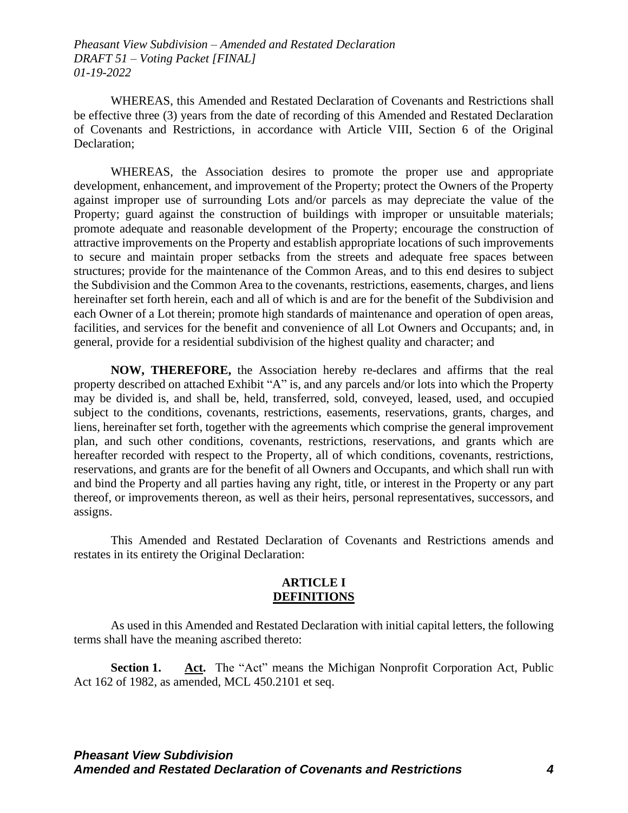WHEREAS, this Amended and Restated Declaration of Covenants and Restrictions shall be effective three (3) years from the date of recording of this Amended and Restated Declaration of Covenants and Restrictions, in accordance with Article VIII, Section 6 of the Original Declaration;

WHEREAS, the Association desires to promote the proper use and appropriate development, enhancement, and improvement of the Property; protect the Owners of the Property against improper use of surrounding Lots and/or parcels as may depreciate the value of the Property; guard against the construction of buildings with improper or unsuitable materials; promote adequate and reasonable development of the Property; encourage the construction of attractive improvements on the Property and establish appropriate locations of such improvements to secure and maintain proper setbacks from the streets and adequate free spaces between structures; provide for the maintenance of the Common Areas, and to this end desires to subject the Subdivision and the Common Area to the covenants, restrictions, easements, charges, and liens hereinafter set forth herein, each and all of which is and are for the benefit of the Subdivision and each Owner of a Lot therein; promote high standards of maintenance and operation of open areas, facilities, and services for the benefit and convenience of all Lot Owners and Occupants; and, in general, provide for a residential subdivision of the highest quality and character; and

**NOW, THEREFORE,** the Association hereby re-declares and affirms that the real property described on attached Exhibit "A" is, and any parcels and/or lots into which the Property may be divided is, and shall be, held, transferred, sold, conveyed, leased, used, and occupied subject to the conditions, covenants, restrictions, easements, reservations, grants, charges, and liens, hereinafter set forth, together with the agreements which comprise the general improvement plan, and such other conditions, covenants, restrictions, reservations, and grants which are hereafter recorded with respect to the Property, all of which conditions, covenants, restrictions, reservations, and grants are for the benefit of all Owners and Occupants, and which shall run with and bind the Property and all parties having any right, title, or interest in the Property or any part thereof, or improvements thereon, as well as their heirs, personal representatives, successors, and assigns.

This Amended and Restated Declaration of Covenants and Restrictions amends and restates in its entirety the Original Declaration:

#### **ARTICLE I DEFINITIONS**

As used in this Amended and Restated Declaration with initial capital letters, the following terms shall have the meaning ascribed thereto:

**Section 1.** Act. The "Act" means the Michigan Nonprofit Corporation Act, Public Act 162 of 1982, as amended, MCL 450.2101 et seq.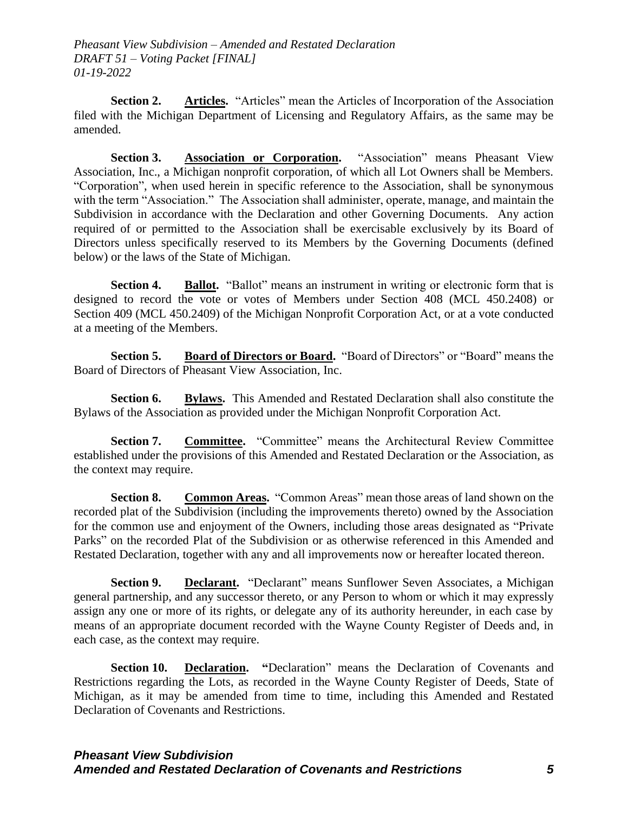**Section 2. Articles.** "Articles" mean the Articles of Incorporation of the Association filed with the Michigan Department of Licensing and Regulatory Affairs, as the same may be amended.

**Section 3. Association or Corporation.** "Association" means Pheasant View Association, Inc., a Michigan nonprofit corporation, of which all Lot Owners shall be Members. "Corporation", when used herein in specific reference to the Association, shall be synonymous with the term "Association." The Association shall administer, operate, manage, and maintain the Subdivision in accordance with the Declaration and other Governing Documents. Any action required of or permitted to the Association shall be exercisable exclusively by its Board of Directors unless specifically reserved to its Members by the Governing Documents (defined below) or the laws of the State of Michigan.

**Section 4. Ballot.** "Ballot" means an instrument in writing or electronic form that is designed to record the vote or votes of Members under Section 408 (MCL 450.2408) or Section 409 (MCL 450.2409) of the Michigan Nonprofit Corporation Act, or at a vote conducted at a meeting of the Members.

**Section 5. Board of Directors or Board.** "Board of Directors" or "Board" means the Board of Directors of Pheasant View Association, Inc.

**Section 6. Bylaws.** This Amended and Restated Declaration shall also constitute the Bylaws of the Association as provided under the Michigan Nonprofit Corporation Act.

**Section 7. Committee.** "Committee" means the Architectural Review Committee established under the provisions of this Amended and Restated Declaration or the Association, as the context may require.

**Section 8. Common Areas.** "Common Areas" mean those areas of land shown on the recorded plat of the Subdivision (including the improvements thereto) owned by the Association for the common use and enjoyment of the Owners, including those areas designated as "Private Parks" on the recorded Plat of the Subdivision or as otherwise referenced in this Amended and Restated Declaration, together with any and all improvements now or hereafter located thereon.

**Section 9. Declarant.** "Declarant" means Sunflower Seven Associates, a Michigan general partnership, and any successor thereto, or any Person to whom or which it may expressly assign any one or more of its rights, or delegate any of its authority hereunder, in each case by means of an appropriate document recorded with the Wayne County Register of Deeds and, in each case, as the context may require.

**Section 10. Declaration.** "Declaration" means the Declaration of Covenants and Restrictions regarding the Lots, as recorded in the Wayne County Register of Deeds, State of Michigan, as it may be amended from time to time, including this Amended and Restated Declaration of Covenants and Restrictions.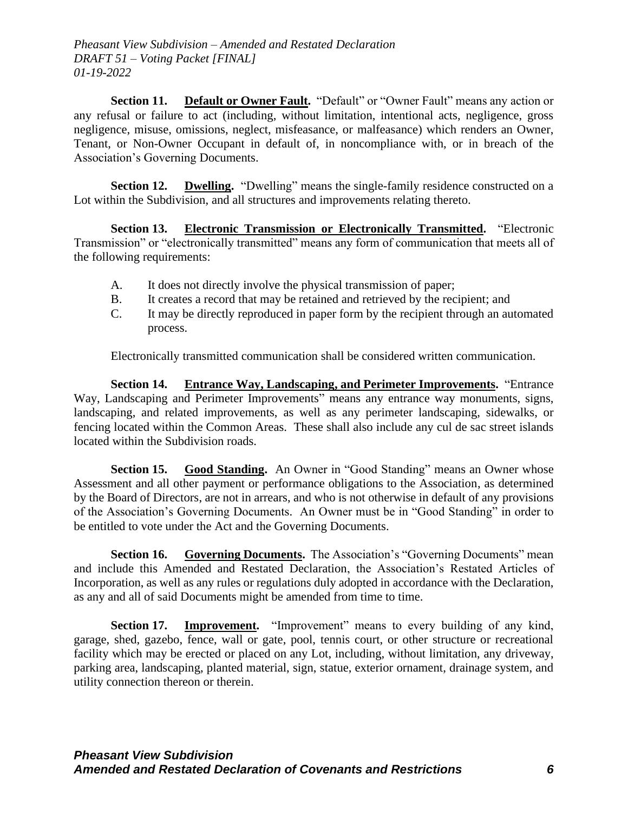**Section 11.** Default or Owner Fault. "Default" or "Owner Fault" means any action or any refusal or failure to act (including, without limitation, intentional acts, negligence, gross negligence, misuse, omissions, neglect, misfeasance, or malfeasance) which renders an Owner, Tenant, or Non-Owner Occupant in default of, in noncompliance with, or in breach of the Association's Governing Documents.

**Section 12. Dwelling.** "Dwelling" means the single-family residence constructed on a Lot within the Subdivision, and all structures and improvements relating thereto.

**Section 13. Electronic Transmission or Electronically Transmitted.** "Electronic Transmission" or "electronically transmitted" means any form of communication that meets all of the following requirements:

- A. It does not directly involve the physical transmission of paper;
- B. It creates a record that may be retained and retrieved by the recipient; and
- C. It may be directly reproduced in paper form by the recipient through an automated process.

Electronically transmitted communication shall be considered written communication.

**Section 14. Entrance Way, Landscaping, and Perimeter Improvements.** "Entrance Way, Landscaping and Perimeter Improvements" means any entrance way monuments, signs, landscaping, and related improvements, as well as any perimeter landscaping, sidewalks, or fencing located within the Common Areas. These shall also include any cul de sac street islands located within the Subdivision roads.

**Section 15. Good Standing.** An Owner in "Good Standing" means an Owner whose Assessment and all other payment or performance obligations to the Association, as determined by the Board of Directors, are not in arrears, and who is not otherwise in default of any provisions of the Association's Governing Documents. An Owner must be in "Good Standing" in order to be entitled to vote under the Act and the Governing Documents.

**Section 16. Governing Documents.** The Association's "Governing Documents" mean and include this Amended and Restated Declaration, the Association's Restated Articles of Incorporation, as well as any rules or regulations duly adopted in accordance with the Declaration, as any and all of said Documents might be amended from time to time.

**Section 17. Improvement.** "Improvement" means to every building of any kind, garage, shed, gazebo, fence, wall or gate, pool, tennis court, or other structure or recreational facility which may be erected or placed on any Lot, including, without limitation, any driveway, parking area, landscaping, planted material, sign, statue, exterior ornament, drainage system, and utility connection thereon or therein.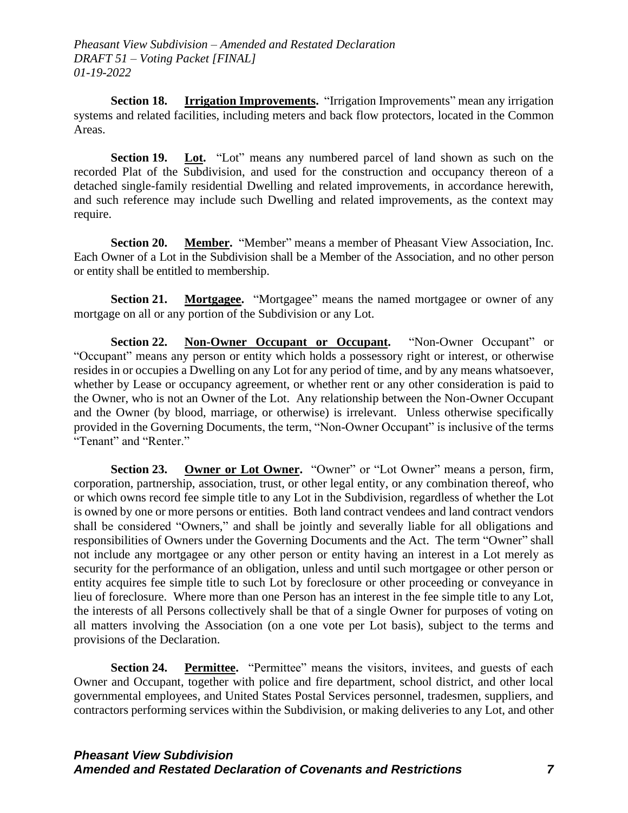**Section 18. Irrigation Improvements.** "Irrigation Improvements" mean any irrigation systems and related facilities, including meters and back flow protectors, located in the Common Areas.

**Section 19.** Lot. "Lot" means any numbered parcel of land shown as such on the recorded Plat of the Subdivision, and used for the construction and occupancy thereon of a detached single-family residential Dwelling and related improvements, in accordance herewith, and such reference may include such Dwelling and related improvements, as the context may require.

**Section 20. Member.** "Member" means a member of Pheasant View Association, Inc. Each Owner of a Lot in the Subdivision shall be a Member of the Association, and no other person or entity shall be entitled to membership.

**Section 21. Mortgagee.** "Mortgagee" means the named mortgagee or owner of any mortgage on all or any portion of the Subdivision or any Lot.

**Section 22. Non-Owner Occupant or Occupant.** "Non-Owner Occupant" or "Occupant" means any person or entity which holds a possessory right or interest, or otherwise resides in or occupies a Dwelling on any Lot for any period of time, and by any means whatsoever, whether by Lease or occupancy agreement, or whether rent or any other consideration is paid to the Owner, who is not an Owner of the Lot. Any relationship between the Non-Owner Occupant and the Owner (by blood, marriage, or otherwise) is irrelevant. Unless otherwise specifically provided in the Governing Documents, the term, "Non-Owner Occupant" is inclusive of the terms "Tenant" and "Renter."

**Section 23. Owner or Lot Owner.** "Owner" or "Lot Owner" means a person, firm, corporation, partnership, association, trust, or other legal entity, or any combination thereof, who or which owns record fee simple title to any Lot in the Subdivision, regardless of whether the Lot is owned by one or more persons or entities. Both land contract vendees and land contract vendors shall be considered "Owners," and shall be jointly and severally liable for all obligations and responsibilities of Owners under the Governing Documents and the Act. The term "Owner" shall not include any mortgagee or any other person or entity having an interest in a Lot merely as security for the performance of an obligation, unless and until such mortgagee or other person or entity acquires fee simple title to such Lot by foreclosure or other proceeding or conveyance in lieu of foreclosure. Where more than one Person has an interest in the fee simple title to any Lot, the interests of all Persons collectively shall be that of a single Owner for purposes of voting on all matters involving the Association (on a one vote per Lot basis), subject to the terms and provisions of the Declaration.

**Section 24. Permittee.** "Permittee" means the visitors, invitees, and guests of each Owner and Occupant, together with police and fire department, school district, and other local governmental employees, and United States Postal Services personnel, tradesmen, suppliers, and contractors performing services within the Subdivision, or making deliveries to any Lot, and other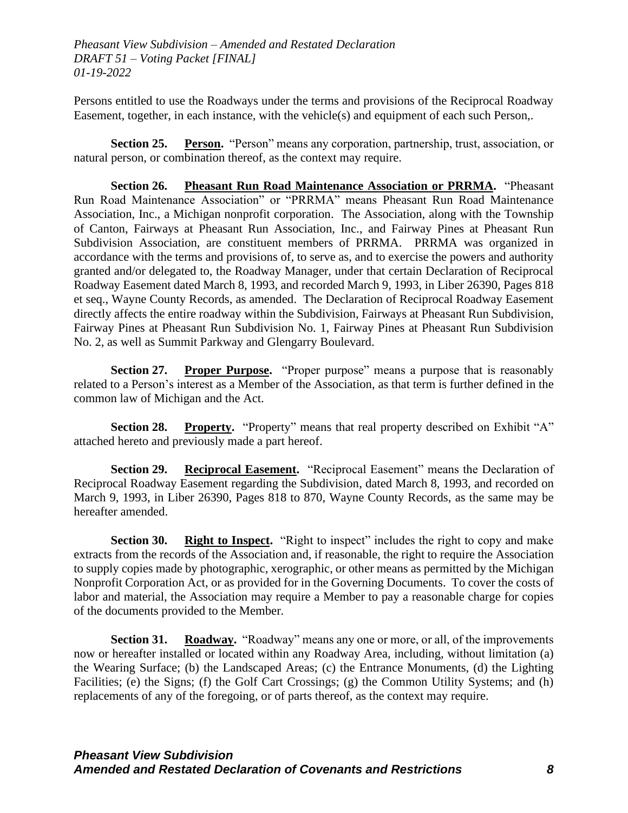Persons entitled to use the Roadways under the terms and provisions of the Reciprocal Roadway Easement, together, in each instance, with the vehicle(s) and equipment of each such Person,.

**Section 25. Person.** "Person" means any corporation, partnership, trust, association, or natural person, or combination thereof, as the context may require.

**Section 26. Pheasant Run Road Maintenance Association or PRRMA.** "Pheasant Run Road Maintenance Association" or "PRRMA" means Pheasant Run Road Maintenance Association, Inc., a Michigan nonprofit corporation. The Association, along with the Township of Canton, Fairways at Pheasant Run Association, Inc., and Fairway Pines at Pheasant Run Subdivision Association, are constituent members of PRRMA. PRRMA was organized in accordance with the terms and provisions of, to serve as, and to exercise the powers and authority granted and/or delegated to, the Roadway Manager, under that certain Declaration of Reciprocal Roadway Easement dated March 8, 1993, and recorded March 9, 1993, in Liber 26390, Pages 818 et seq., Wayne County Records, as amended. The Declaration of Reciprocal Roadway Easement directly affects the entire roadway within the Subdivision, Fairways at Pheasant Run Subdivision, Fairway Pines at Pheasant Run Subdivision No. 1, Fairway Pines at Pheasant Run Subdivision No. 2, as well as Summit Parkway and Glengarry Boulevard.

**Section 27. Proper Purpose.** "Proper purpose" means a purpose that is reasonably related to a Person's interest as a Member of the Association, as that term is further defined in the common law of Michigan and the Act.

**Section 28.** Property. "Property" means that real property described on Exhibit "A" attached hereto and previously made a part hereof.

**Section 29. Reciprocal Easement.** "Reciprocal Easement" means the Declaration of Reciprocal Roadway Easement regarding the Subdivision, dated March 8, 1993, and recorded on March 9, 1993, in Liber 26390, Pages 818 to 870, Wayne County Records, as the same may be hereafter amended.

**Section 30. Right to Inspect.** "Right to inspect" includes the right to copy and make extracts from the records of the Association and, if reasonable, the right to require the Association to supply copies made by photographic, xerographic, or other means as permitted by the Michigan Nonprofit Corporation Act, or as provided for in the Governing Documents. To cover the costs of labor and material, the Association may require a Member to pay a reasonable charge for copies of the documents provided to the Member.

**Section 31. Roadway.** "Roadway" means any one or more, or all, of the improvements now or hereafter installed or located within any Roadway Area, including, without limitation (a) the Wearing Surface; (b) the Landscaped Areas; (c) the Entrance Monuments, (d) the Lighting Facilities; (e) the Signs; (f) the Golf Cart Crossings; (g) the Common Utility Systems; and (h) replacements of any of the foregoing, or of parts thereof, as the context may require.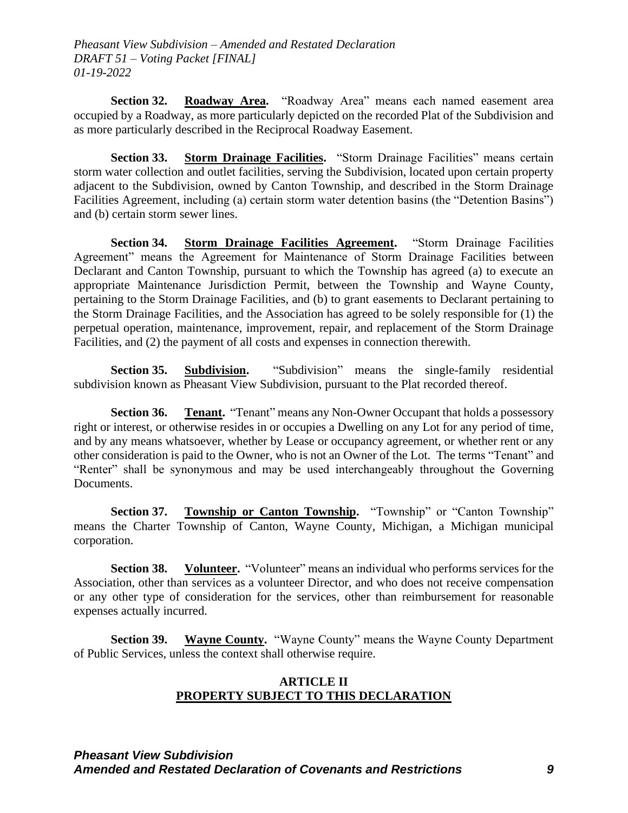**Section 32. Roadway Area.** "Roadway Area" means each named easement area occupied by a Roadway, as more particularly depicted on the recorded Plat of the Subdivision and as more particularly described in the Reciprocal Roadway Easement.

**Section 33. Storm Drainage Facilities.** "Storm Drainage Facilities" means certain storm water collection and outlet facilities, serving the Subdivision, located upon certain property adjacent to the Subdivision, owned by Canton Township, and described in the Storm Drainage Facilities Agreement, including (a) certain storm water detention basins (the "Detention Basins") and (b) certain storm sewer lines.

**Section 34. Storm Drainage Facilities Agreement.** "Storm Drainage Facilities Agreement" means the Agreement for Maintenance of Storm Drainage Facilities between Declarant and Canton Township, pursuant to which the Township has agreed (a) to execute an appropriate Maintenance Jurisdiction Permit, between the Township and Wayne County, pertaining to the Storm Drainage Facilities, and (b) to grant easements to Declarant pertaining to the Storm Drainage Facilities, and the Association has agreed to be solely responsible for (1) the perpetual operation, maintenance, improvement, repair, and replacement of the Storm Drainage Facilities, and (2) the payment of all costs and expenses in connection therewith.

**Section 35. Subdivision.** "Subdivision" means the single-family residential subdivision known as Pheasant View Subdivision, pursuant to the Plat recorded thereof.

**Section 36. Tenant.** "Tenant" means any Non-Owner Occupant that holds a possessory right or interest, or otherwise resides in or occupies a Dwelling on any Lot for any period of time, and by any means whatsoever, whether by Lease or occupancy agreement, or whether rent or any other consideration is paid to the Owner, who is not an Owner of the Lot. The terms "Tenant" and "Renter" shall be synonymous and may be used interchangeably throughout the Governing Documents.

**Section 37. Township or Canton Township.** "Township" or "Canton Township" means the Charter Township of Canton, Wayne County, Michigan, a Michigan municipal corporation.

**Section 38. Volunteer.** "Volunteer" means an individual who performs services for the Association, other than services as a volunteer Director, and who does not receive compensation or any other type of consideration for the services, other than reimbursement for reasonable expenses actually incurred.

**Section 39. Wayne County.** "Wayne County" means the Wayne County Department of Public Services, unless the context shall otherwise require.

#### **ARTICLE II PROPERTY SUBJECT TO THIS DECLARATION**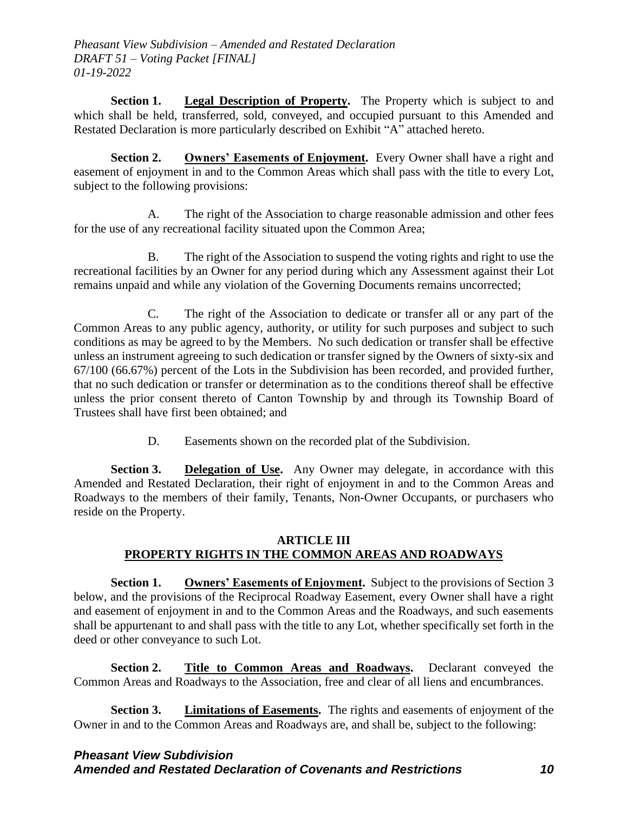**Section 1. Legal Description of Property.** The Property which is subject to and which shall be held, transferred, sold, conveyed, and occupied pursuant to this Amended and Restated Declaration is more particularly described on Exhibit "A" attached hereto.

**Section 2. Owners' Easements of Enjoyment.** Every Owner shall have a right and easement of enjoyment in and to the Common Areas which shall pass with the title to every Lot, subject to the following provisions:

A. The right of the Association to charge reasonable admission and other fees for the use of any recreational facility situated upon the Common Area;

B. The right of the Association to suspend the voting rights and right to use the recreational facilities by an Owner for any period during which any Assessment against their Lot remains unpaid and while any violation of the Governing Documents remains uncorrected;

C. The right of the Association to dedicate or transfer all or any part of the Common Areas to any public agency, authority, or utility for such purposes and subject to such conditions as may be agreed to by the Members. No such dedication or transfer shall be effective unless an instrument agreeing to such dedication or transfer signed by the Owners of sixty-six and 67/100 (66.67%) percent of the Lots in the Subdivision has been recorded, and provided further, that no such dedication or transfer or determination as to the conditions thereof shall be effective unless the prior consent thereto of Canton Township by and through its Township Board of Trustees shall have first been obtained; and

D. Easements shown on the recorded plat of the Subdivision.

**Section 3.** Delegation of Use. Any Owner may delegate, in accordance with this Amended and Restated Declaration, their right of enjoyment in and to the Common Areas and Roadways to the members of their family, Tenants, Non-Owner Occupants, or purchasers who reside on the Property.

# **ARTICLE III PROPERTY RIGHTS IN THE COMMON AREAS AND ROADWAYS**

**Section 1. Owners' Easements of Enjoyment.** Subject to the provisions of Section 3 below, and the provisions of the Reciprocal Roadway Easement, every Owner shall have a right and easement of enjoyment in and to the Common Areas and the Roadways, and such easements shall be appurtenant to and shall pass with the title to any Lot, whether specifically set forth in the deed or other conveyance to such Lot.

**Section 2. Title to Common Areas and Roadways.** Declarant conveyed the Common Areas and Roadways to the Association, free and clear of all liens and encumbrances.

**Section 3. Limitations of Easements.** The rights and easements of enjoyment of the Owner in and to the Common Areas and Roadways are, and shall be, subject to the following: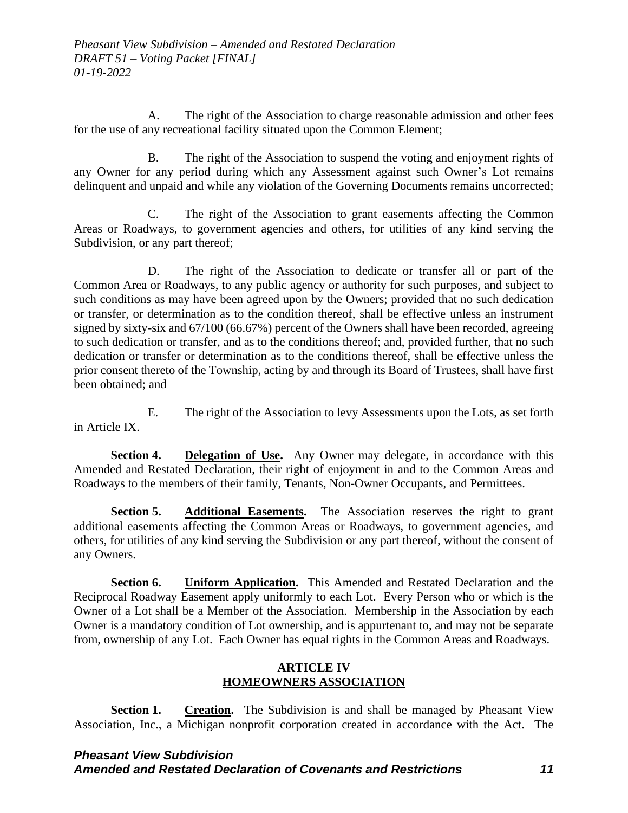A. The right of the Association to charge reasonable admission and other fees for the use of any recreational facility situated upon the Common Element;

B. The right of the Association to suspend the voting and enjoyment rights of any Owner for any period during which any Assessment against such Owner's Lot remains delinquent and unpaid and while any violation of the Governing Documents remains uncorrected;

C. The right of the Association to grant easements affecting the Common Areas or Roadways, to government agencies and others, for utilities of any kind serving the Subdivision, or any part thereof;

D. The right of the Association to dedicate or transfer all or part of the Common Area or Roadways, to any public agency or authority for such purposes, and subject to such conditions as may have been agreed upon by the Owners; provided that no such dedication or transfer, or determination as to the condition thereof, shall be effective unless an instrument signed by sixty-six and 67/100 (66.67%) percent of the Owners shall have been recorded, agreeing to such dedication or transfer, and as to the conditions thereof; and, provided further, that no such dedication or transfer or determination as to the conditions thereof, shall be effective unless the prior consent thereto of the Township, acting by and through its Board of Trustees, shall have first been obtained; and

E. The right of the Association to levy Assessments upon the Lots, as set forth in Article IX.

**Section 4. Delegation of Use.** Any Owner may delegate, in accordance with this Amended and Restated Declaration, their right of enjoyment in and to the Common Areas and Roadways to the members of their family, Tenants, Non-Owner Occupants, and Permittees.

**Section 5. Additional Easements.** The Association reserves the right to grant additional easements affecting the Common Areas or Roadways, to government agencies, and others, for utilities of any kind serving the Subdivision or any part thereof, without the consent of any Owners.

**Section 6. Uniform Application.** This Amended and Restated Declaration and the Reciprocal Roadway Easement apply uniformly to each Lot. Every Person who or which is the Owner of a Lot shall be a Member of the Association. Membership in the Association by each Owner is a mandatory condition of Lot ownership, and is appurtenant to, and may not be separate from, ownership of any Lot. Each Owner has equal rights in the Common Areas and Roadways.

### **ARTICLE IV HOMEOWNERS ASSOCIATION**

**Section 1. Creation.** The Subdivision is and shall be managed by Pheasant View Association, Inc., a Michigan nonprofit corporation created in accordance with the Act. The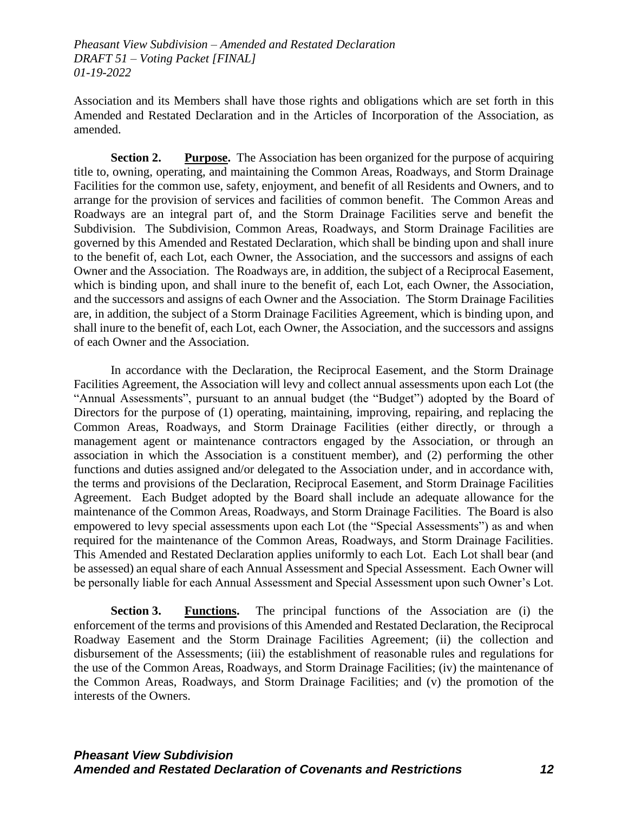Association and its Members shall have those rights and obligations which are set forth in this Amended and Restated Declaration and in the Articles of Incorporation of the Association, as amended.

**Section 2. Purpose.** The Association has been organized for the purpose of acquiring title to, owning, operating, and maintaining the Common Areas, Roadways, and Storm Drainage Facilities for the common use, safety, enjoyment, and benefit of all Residents and Owners, and to arrange for the provision of services and facilities of common benefit. The Common Areas and Roadways are an integral part of, and the Storm Drainage Facilities serve and benefit the Subdivision. The Subdivision, Common Areas, Roadways, and Storm Drainage Facilities are governed by this Amended and Restated Declaration, which shall be binding upon and shall inure to the benefit of, each Lot, each Owner, the Association, and the successors and assigns of each Owner and the Association. The Roadways are, in addition, the subject of a Reciprocal Easement, which is binding upon, and shall inure to the benefit of, each Lot, each Owner, the Association, and the successors and assigns of each Owner and the Association. The Storm Drainage Facilities are, in addition, the subject of a Storm Drainage Facilities Agreement, which is binding upon, and shall inure to the benefit of, each Lot, each Owner, the Association, and the successors and assigns of each Owner and the Association.

In accordance with the Declaration, the Reciprocal Easement, and the Storm Drainage Facilities Agreement, the Association will levy and collect annual assessments upon each Lot (the "Annual Assessments", pursuant to an annual budget (the "Budget") adopted by the Board of Directors for the purpose of (1) operating, maintaining, improving, repairing, and replacing the Common Areas, Roadways, and Storm Drainage Facilities (either directly, or through a management agent or maintenance contractors engaged by the Association, or through an association in which the Association is a constituent member), and (2) performing the other functions and duties assigned and/or delegated to the Association under, and in accordance with, the terms and provisions of the Declaration, Reciprocal Easement, and Storm Drainage Facilities Agreement. Each Budget adopted by the Board shall include an adequate allowance for the maintenance of the Common Areas, Roadways, and Storm Drainage Facilities. The Board is also empowered to levy special assessments upon each Lot (the "Special Assessments") as and when required for the maintenance of the Common Areas, Roadways, and Storm Drainage Facilities. This Amended and Restated Declaration applies uniformly to each Lot. Each Lot shall bear (and be assessed) an equal share of each Annual Assessment and Special Assessment. Each Owner will be personally liable for each Annual Assessment and Special Assessment upon such Owner's Lot.

**Section 3. Functions.** The principal functions of the Association are (i) the enforcement of the terms and provisions of this Amended and Restated Declaration, the Reciprocal Roadway Easement and the Storm Drainage Facilities Agreement; (ii) the collection and disbursement of the Assessments; (iii) the establishment of reasonable rules and regulations for the use of the Common Areas, Roadways, and Storm Drainage Facilities; (iv) the maintenance of the Common Areas, Roadways, and Storm Drainage Facilities; and (v) the promotion of the interests of the Owners.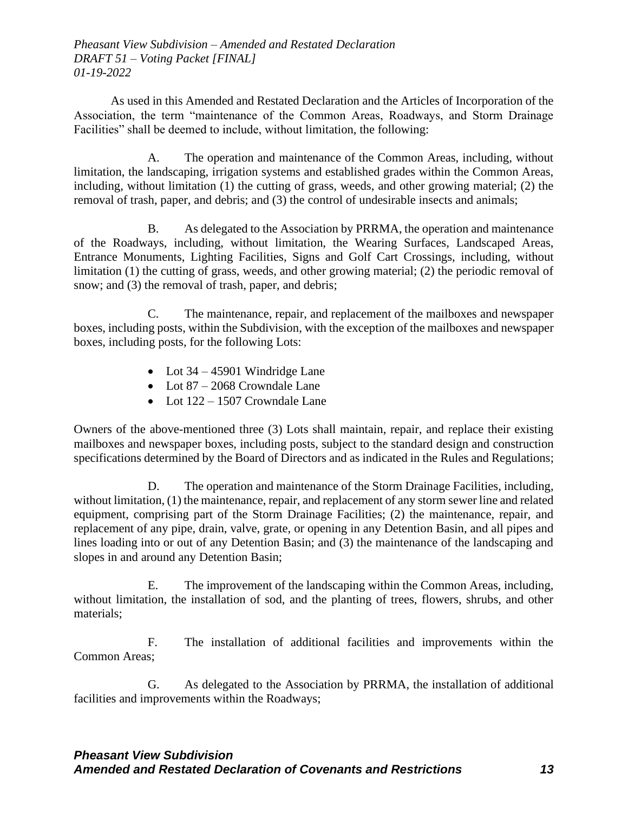As used in this Amended and Restated Declaration and the Articles of Incorporation of the Association, the term "maintenance of the Common Areas, Roadways, and Storm Drainage Facilities" shall be deemed to include, without limitation, the following:

A. The operation and maintenance of the Common Areas, including, without limitation, the landscaping, irrigation systems and established grades within the Common Areas, including, without limitation (1) the cutting of grass, weeds, and other growing material; (2) the removal of trash, paper, and debris; and (3) the control of undesirable insects and animals;

B. As delegated to the Association by PRRMA, the operation and maintenance of the Roadways, including, without limitation, the Wearing Surfaces, Landscaped Areas, Entrance Monuments, Lighting Facilities, Signs and Golf Cart Crossings, including, without limitation (1) the cutting of grass, weeds, and other growing material; (2) the periodic removal of snow; and (3) the removal of trash, paper, and debris;

C. The maintenance, repair, and replacement of the mailboxes and newspaper boxes, including posts, within the Subdivision, with the exception of the mailboxes and newspaper boxes, including posts, for the following Lots:

- Lot  $34 45901$  Windridge Lane
- Lot 87 2068 Crowndale Lane
- Lot  $122 1507$  Crowndale Lane

Owners of the above-mentioned three (3) Lots shall maintain, repair, and replace their existing mailboxes and newspaper boxes, including posts, subject to the standard design and construction specifications determined by the Board of Directors and as indicated in the Rules and Regulations;

D. The operation and maintenance of the Storm Drainage Facilities, including, without limitation, (1) the maintenance, repair, and replacement of any storm sewer line and related equipment, comprising part of the Storm Drainage Facilities; (2) the maintenance, repair, and replacement of any pipe, drain, valve, grate, or opening in any Detention Basin, and all pipes and lines loading into or out of any Detention Basin; and (3) the maintenance of the landscaping and slopes in and around any Detention Basin;

E. The improvement of the landscaping within the Common Areas, including, without limitation, the installation of sod, and the planting of trees, flowers, shrubs, and other materials;

F. The installation of additional facilities and improvements within the Common Areas;

G. As delegated to the Association by PRRMA, the installation of additional facilities and improvements within the Roadways;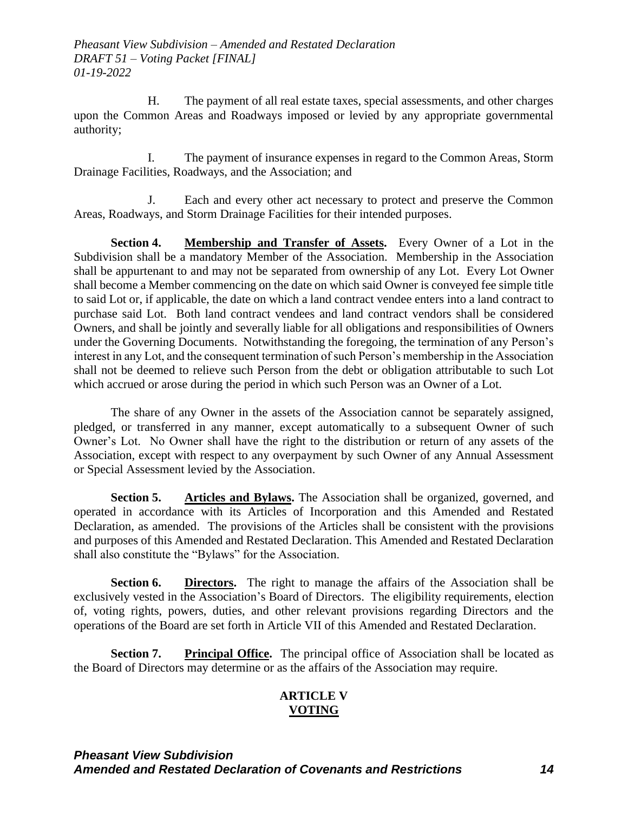H. The payment of all real estate taxes, special assessments, and other charges upon the Common Areas and Roadways imposed or levied by any appropriate governmental authority;

I. The payment of insurance expenses in regard to the Common Areas, Storm Drainage Facilities, Roadways, and the Association; and

J. Each and every other act necessary to protect and preserve the Common Areas, Roadways, and Storm Drainage Facilities for their intended purposes.

**Section 4. Membership and Transfer of Assets.** Every Owner of a Lot in the Subdivision shall be a mandatory Member of the Association. Membership in the Association shall be appurtenant to and may not be separated from ownership of any Lot. Every Lot Owner shall become a Member commencing on the date on which said Owner is conveyed fee simple title to said Lot or, if applicable, the date on which a land contract vendee enters into a land contract to purchase said Lot. Both land contract vendees and land contract vendors shall be considered Owners, and shall be jointly and severally liable for all obligations and responsibilities of Owners under the Governing Documents. Notwithstanding the foregoing, the termination of any Person's interest in any Lot, and the consequent termination of such Person's membership in the Association shall not be deemed to relieve such Person from the debt or obligation attributable to such Lot which accrued or arose during the period in which such Person was an Owner of a Lot.

The share of any Owner in the assets of the Association cannot be separately assigned, pledged, or transferred in any manner, except automatically to a subsequent Owner of such Owner's Lot. No Owner shall have the right to the distribution or return of any assets of the Association, except with respect to any overpayment by such Owner of any Annual Assessment or Special Assessment levied by the Association.

**Section 5. Articles and Bylaws.** The Association shall be organized, governed, and operated in accordance with its Articles of Incorporation and this Amended and Restated Declaration, as amended. The provisions of the Articles shall be consistent with the provisions and purposes of this Amended and Restated Declaration. This Amended and Restated Declaration shall also constitute the "Bylaws" for the Association.

**Section 6. Directors.** The right to manage the affairs of the Association shall be exclusively vested in the Association's Board of Directors. The eligibility requirements, election of, voting rights, powers, duties, and other relevant provisions regarding Directors and the operations of the Board are set forth in Article VII of this Amended and Restated Declaration.

**Section 7. Principal Office.** The principal office of Association shall be located as the Board of Directors may determine or as the affairs of the Association may require.

# **ARTICLE V VOTING**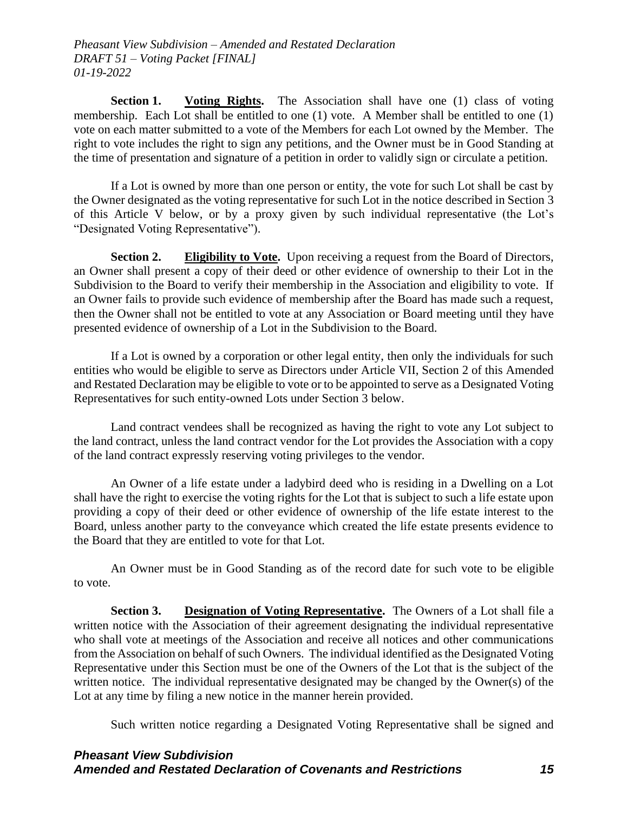**Section 1.** Voting Rights. The Association shall have one (1) class of voting membership. Each Lot shall be entitled to one (1) vote. A Member shall be entitled to one (1) vote on each matter submitted to a vote of the Members for each Lot owned by the Member. The right to vote includes the right to sign any petitions, and the Owner must be in Good Standing at the time of presentation and signature of a petition in order to validly sign or circulate a petition.

If a Lot is owned by more than one person or entity, the vote for such Lot shall be cast by the Owner designated as the voting representative for such Lot in the notice described in Section 3 of this Article V below, or by a proxy given by such individual representative (the Lot's "Designated Voting Representative").

**Section 2.** Eligibility to Vote. Upon receiving a request from the Board of Directors, an Owner shall present a copy of their deed or other evidence of ownership to their Lot in the Subdivision to the Board to verify their membership in the Association and eligibility to vote. If an Owner fails to provide such evidence of membership after the Board has made such a request, then the Owner shall not be entitled to vote at any Association or Board meeting until they have presented evidence of ownership of a Lot in the Subdivision to the Board.

If a Lot is owned by a corporation or other legal entity, then only the individuals for such entities who would be eligible to serve as Directors under Article VII, Section 2 of this Amended and Restated Declaration may be eligible to vote or to be appointed to serve as a Designated Voting Representatives for such entity-owned Lots under Section 3 below.

Land contract vendees shall be recognized as having the right to vote any Lot subject to the land contract, unless the land contract vendor for the Lot provides the Association with a copy of the land contract expressly reserving voting privileges to the vendor.

An Owner of a life estate under a ladybird deed who is residing in a Dwelling on a Lot shall have the right to exercise the voting rights for the Lot that is subject to such a life estate upon providing a copy of their deed or other evidence of ownership of the life estate interest to the Board, unless another party to the conveyance which created the life estate presents evidence to the Board that they are entitled to vote for that Lot.

An Owner must be in Good Standing as of the record date for such vote to be eligible to vote.

**Section 3. Designation of Voting Representative.** The Owners of a Lot shall file a written notice with the Association of their agreement designating the individual representative who shall vote at meetings of the Association and receive all notices and other communications from the Association on behalf of such Owners. The individual identified as the Designated Voting Representative under this Section must be one of the Owners of the Lot that is the subject of the written notice. The individual representative designated may be changed by the Owner(s) of the Lot at any time by filing a new notice in the manner herein provided.

Such written notice regarding a Designated Voting Representative shall be signed and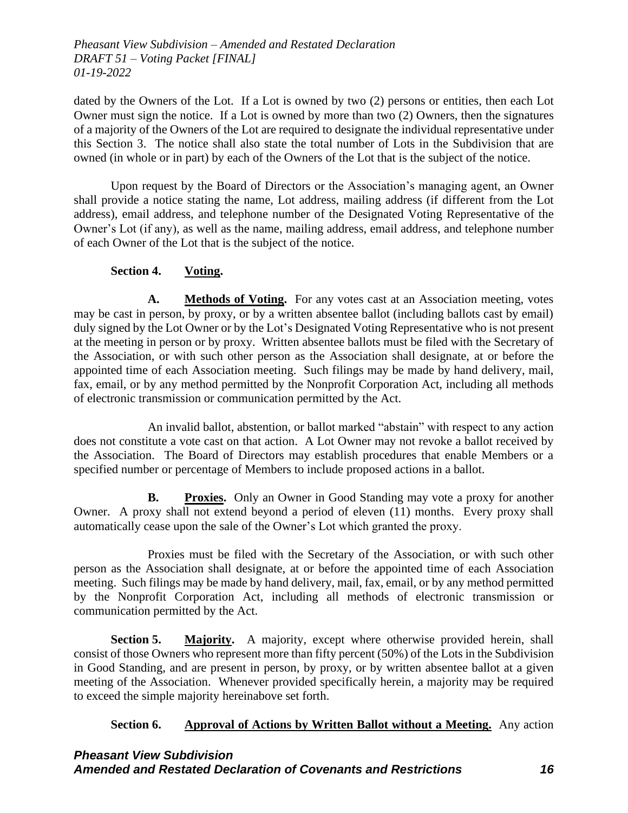dated by the Owners of the Lot. If a Lot is owned by two (2) persons or entities, then each Lot Owner must sign the notice. If a Lot is owned by more than two (2) Owners, then the signatures of a majority of the Owners of the Lot are required to designate the individual representative under this Section 3. The notice shall also state the total number of Lots in the Subdivision that are owned (in whole or in part) by each of the Owners of the Lot that is the subject of the notice.

Upon request by the Board of Directors or the Association's managing agent, an Owner shall provide a notice stating the name, Lot address, mailing address (if different from the Lot address), email address, and telephone number of the Designated Voting Representative of the Owner's Lot (if any), as well as the name, mailing address, email address, and telephone number of each Owner of the Lot that is the subject of the notice.

# **Section 4. Voting.**

**A. Methods of Voting.** For any votes cast at an Association meeting, votes may be cast in person, by proxy, or by a written absentee ballot (including ballots cast by email) duly signed by the Lot Owner or by the Lot's Designated Voting Representative who is not present at the meeting in person or by proxy. Written absentee ballots must be filed with the Secretary of the Association, or with such other person as the Association shall designate, at or before the appointed time of each Association meeting. Such filings may be made by hand delivery, mail, fax, email, or by any method permitted by the Nonprofit Corporation Act, including all methods of electronic transmission or communication permitted by the Act.

An invalid ballot, abstention, or ballot marked "abstain" with respect to any action does not constitute a vote cast on that action. A Lot Owner may not revoke a ballot received by the Association. The Board of Directors may establish procedures that enable Members or a specified number or percentage of Members to include proposed actions in a ballot.

**B. Proxies.** Only an Owner in Good Standing may vote a proxy for another Owner. A proxy shall not extend beyond a period of eleven (11) months. Every proxy shall automatically cease upon the sale of the Owner's Lot which granted the proxy.

Proxies must be filed with the Secretary of the Association, or with such other person as the Association shall designate, at or before the appointed time of each Association meeting. Such filings may be made by hand delivery, mail, fax, email, or by any method permitted by the Nonprofit Corporation Act, including all methods of electronic transmission or communication permitted by the Act.

**Section 5. Majority.** A majority, except where otherwise provided herein, shall consist of those Owners who represent more than fifty percent (50%) of the Lots in the Subdivision in Good Standing, and are present in person, by proxy, or by written absentee ballot at a given meeting of the Association. Whenever provided specifically herein, a majority may be required to exceed the simple majority hereinabove set forth.

# **Section 6. Approval of Actions by Written Ballot without a Meeting.** Any action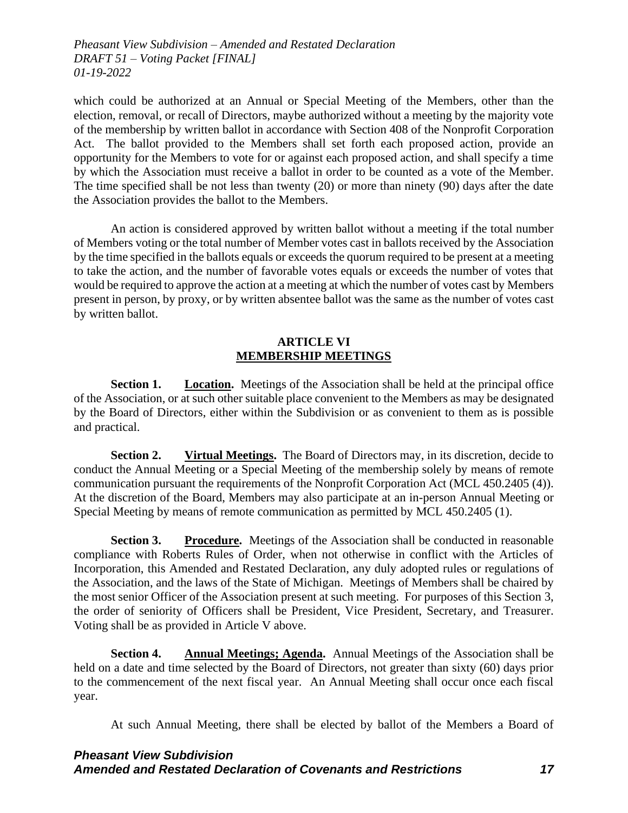which could be authorized at an Annual or Special Meeting of the Members, other than the election, removal, or recall of Directors, maybe authorized without a meeting by the majority vote of the membership by written ballot in accordance with Section 408 of the Nonprofit Corporation Act. The ballot provided to the Members shall set forth each proposed action, provide an opportunity for the Members to vote for or against each proposed action, and shall specify a time by which the Association must receive a ballot in order to be counted as a vote of the Member. The time specified shall be not less than twenty (20) or more than ninety (90) days after the date the Association provides the ballot to the Members.

An action is considered approved by written ballot without a meeting if the total number of Members voting or the total number of Member votes cast in ballots received by the Association by the time specified in the ballots equals or exceeds the quorum required to be present at a meeting to take the action, and the number of favorable votes equals or exceeds the number of votes that would be required to approve the action at a meeting at which the number of votes cast by Members present in person, by proxy, or by written absentee ballot was the same as the number of votes cast by written ballot.

### **ARTICLE VI MEMBERSHIP MEETINGS**

**Section 1. Location.** Meetings of the Association shall be held at the principal office of the Association, or at such other suitable place convenient to the Members as may be designated by the Board of Directors, either within the Subdivision or as convenient to them as is possible and practical.

**Section 2. Virtual Meetings.** The Board of Directors may, in its discretion, decide to conduct the Annual Meeting or a Special Meeting of the membership solely by means of remote communication pursuant the requirements of the Nonprofit Corporation Act (MCL 450.2405 (4)). At the discretion of the Board, Members may also participate at an in-person Annual Meeting or Special Meeting by means of remote communication as permitted by MCL 450.2405 (1).

**Section 3. Procedure.** Meetings of the Association shall be conducted in reasonable compliance with Roberts Rules of Order, when not otherwise in conflict with the Articles of Incorporation, this Amended and Restated Declaration, any duly adopted rules or regulations of the Association, and the laws of the State of Michigan. Meetings of Members shall be chaired by the most senior Officer of the Association present at such meeting. For purposes of this Section 3, the order of seniority of Officers shall be President, Vice President, Secretary, and Treasurer. Voting shall be as provided in Article V above.

**Section 4. Annual Meetings; Agenda.** Annual Meetings of the Association shall be held on a date and time selected by the Board of Directors, not greater than sixty (60) days prior to the commencement of the next fiscal year. An Annual Meeting shall occur once each fiscal year.

At such Annual Meeting, there shall be elected by ballot of the Members a Board of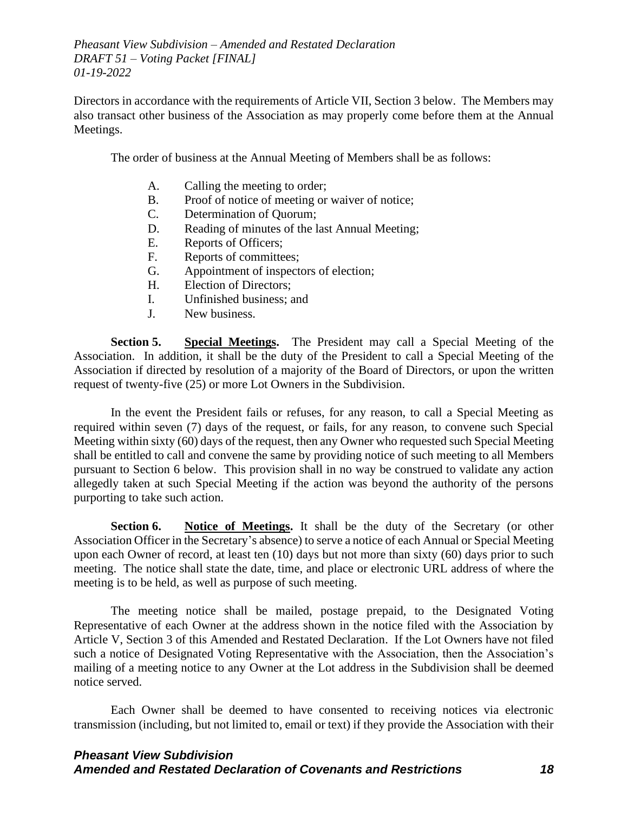Directors in accordance with the requirements of Article VII, Section 3 below. The Members may also transact other business of the Association as may properly come before them at the Annual Meetings.

The order of business at the Annual Meeting of Members shall be as follows:

- A. Calling the meeting to order;
- B. Proof of notice of meeting or waiver of notice;
- C. Determination of Quorum;
- D. Reading of minutes of the last Annual Meeting;
- E. Reports of Officers;
- F. Reports of committees;
- G. Appointment of inspectors of election;
- H. Election of Directors;
- I. Unfinished business; and
- J. New business.

**Section 5. Special Meetings.** The President may call a Special Meeting of the Association. In addition, it shall be the duty of the President to call a Special Meeting of the Association if directed by resolution of a majority of the Board of Directors, or upon the written request of twenty-five (25) or more Lot Owners in the Subdivision.

In the event the President fails or refuses, for any reason, to call a Special Meeting as required within seven (7) days of the request, or fails, for any reason, to convene such Special Meeting within sixty (60) days of the request, then any Owner who requested such Special Meeting shall be entitled to call and convene the same by providing notice of such meeting to all Members pursuant to Section 6 below. This provision shall in no way be construed to validate any action allegedly taken at such Special Meeting if the action was beyond the authority of the persons purporting to take such action.

**Section 6. Notice of Meetings.** It shall be the duty of the Secretary (or other Association Officer in the Secretary's absence) to serve a notice of each Annual or Special Meeting upon each Owner of record, at least ten (10) days but not more than sixty (60) days prior to such meeting. The notice shall state the date, time, and place or electronic URL address of where the meeting is to be held, as well as purpose of such meeting.

The meeting notice shall be mailed, postage prepaid, to the Designated Voting Representative of each Owner at the address shown in the notice filed with the Association by Article V, Section 3 of this Amended and Restated Declaration. If the Lot Owners have not filed such a notice of Designated Voting Representative with the Association, then the Association's mailing of a meeting notice to any Owner at the Lot address in the Subdivision shall be deemed notice served.

Each Owner shall be deemed to have consented to receiving notices via electronic transmission (including, but not limited to, email or text) if they provide the Association with their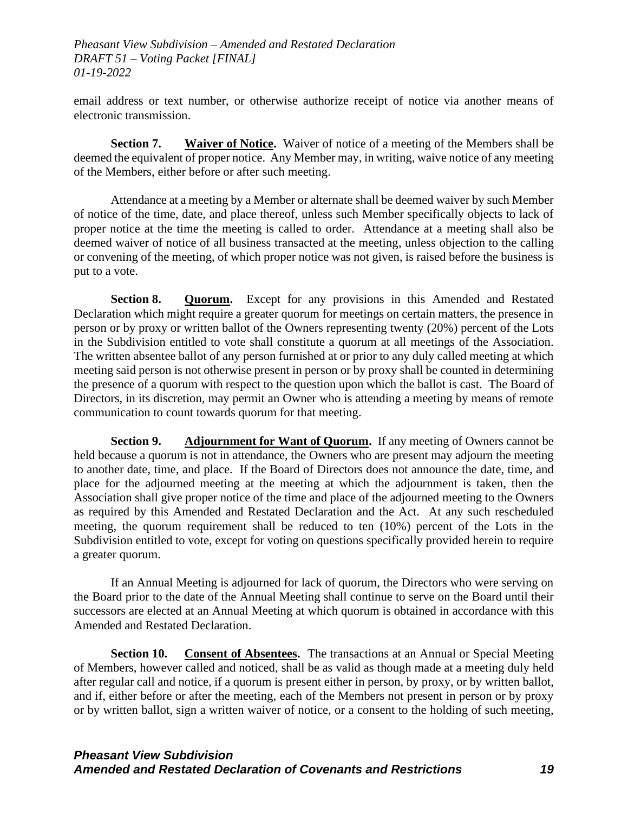email address or text number, or otherwise authorize receipt of notice via another means of electronic transmission.

**Section 7. Waiver of Notice.** Waiver of notice of a meeting of the Members shall be deemed the equivalent of proper notice. Any Member may, in writing, waive notice of any meeting of the Members, either before or after such meeting.

Attendance at a meeting by a Member or alternate shall be deemed waiver by such Member of notice of the time, date, and place thereof, unless such Member specifically objects to lack of proper notice at the time the meeting is called to order. Attendance at a meeting shall also be deemed waiver of notice of all business transacted at the meeting, unless objection to the calling or convening of the meeting, of which proper notice was not given, is raised before the business is put to a vote.

**Section 8. Quorum.** Except for any provisions in this Amended and Restated Declaration which might require a greater quorum for meetings on certain matters, the presence in person or by proxy or written ballot of the Owners representing twenty (20%) percent of the Lots in the Subdivision entitled to vote shall constitute a quorum at all meetings of the Association. The written absentee ballot of any person furnished at or prior to any duly called meeting at which meeting said person is not otherwise present in person or by proxy shall be counted in determining the presence of a quorum with respect to the question upon which the ballot is cast. The Board of Directors, in its discretion, may permit an Owner who is attending a meeting by means of remote communication to count towards quorum for that meeting.

**Section 9. Adjournment for Want of Quorum.** If any meeting of Owners cannot be held because a quorum is not in attendance, the Owners who are present may adjourn the meeting to another date, time, and place. If the Board of Directors does not announce the date, time, and place for the adjourned meeting at the meeting at which the adjournment is taken, then the Association shall give proper notice of the time and place of the adjourned meeting to the Owners as required by this Amended and Restated Declaration and the Act. At any such rescheduled meeting, the quorum requirement shall be reduced to ten (10%) percent of the Lots in the Subdivision entitled to vote, except for voting on questions specifically provided herein to require a greater quorum.

If an Annual Meeting is adjourned for lack of quorum, the Directors who were serving on the Board prior to the date of the Annual Meeting shall continue to serve on the Board until their successors are elected at an Annual Meeting at which quorum is obtained in accordance with this Amended and Restated Declaration.

**Section 10. Consent of Absentees.** The transactions at an Annual or Special Meeting of Members, however called and noticed, shall be as valid as though made at a meeting duly held after regular call and notice, if a quorum is present either in person, by proxy, or by written ballot, and if, either before or after the meeting, each of the Members not present in person or by proxy or by written ballot, sign a written waiver of notice, or a consent to the holding of such meeting,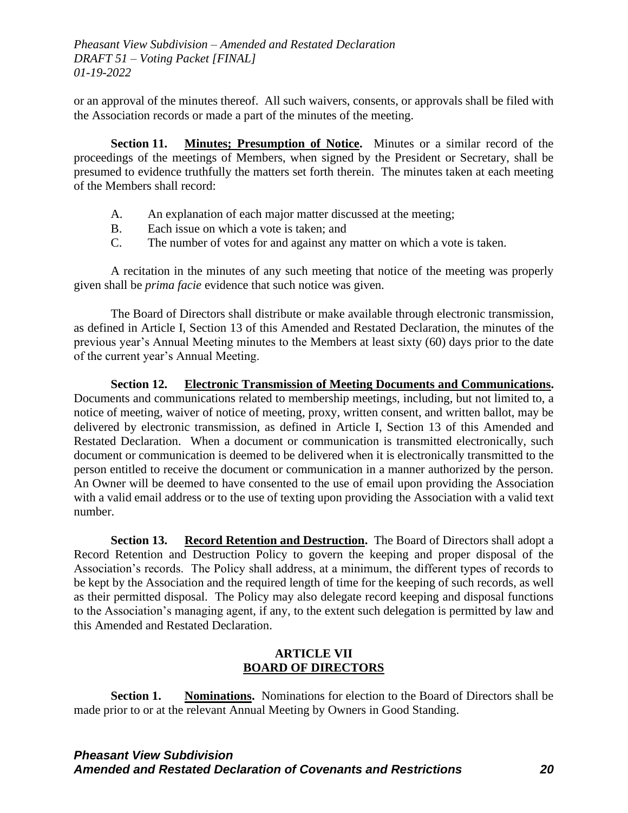or an approval of the minutes thereof. All such waivers, consents, or approvals shall be filed with the Association records or made a part of the minutes of the meeting.

**Section 11. Minutes; Presumption of Notice.** Minutes or a similar record of the proceedings of the meetings of Members, when signed by the President or Secretary, shall be presumed to evidence truthfully the matters set forth therein. The minutes taken at each meeting of the Members shall record:

- A. An explanation of each major matter discussed at the meeting;
- B. Each issue on which a vote is taken; and
- C. The number of votes for and against any matter on which a vote is taken.

A recitation in the minutes of any such meeting that notice of the meeting was properly given shall be *prima facie* evidence that such notice was given.

The Board of Directors shall distribute or make available through electronic transmission, as defined in Article I, Section 13 of this Amended and Restated Declaration, the minutes of the previous year's Annual Meeting minutes to the Members at least sixty (60) days prior to the date of the current year's Annual Meeting.

**Section 12. Electronic Transmission of Meeting Documents and Communications.** Documents and communications related to membership meetings, including, but not limited to, a notice of meeting, waiver of notice of meeting, proxy, written consent, and written ballot, may be delivered by electronic transmission, as defined in Article I, Section 13 of this Amended and Restated Declaration. When a document or communication is transmitted electronically, such document or communication is deemed to be delivered when it is electronically transmitted to the person entitled to receive the document or communication in a manner authorized by the person. An Owner will be deemed to have consented to the use of email upon providing the Association with a valid email address or to the use of texting upon providing the Association with a valid text number.

**Section 13. Record Retention and Destruction.** The Board of Directors shall adopt a Record Retention and Destruction Policy to govern the keeping and proper disposal of the Association's records. The Policy shall address, at a minimum, the different types of records to be kept by the Association and the required length of time for the keeping of such records, as well as their permitted disposal. The Policy may also delegate record keeping and disposal functions to the Association's managing agent, if any, to the extent such delegation is permitted by law and this Amended and Restated Declaration.

# **ARTICLE VII BOARD OF DIRECTORS**

**Section 1. Nominations.** Nominations for election to the Board of Directors shall be made prior to or at the relevant Annual Meeting by Owners in Good Standing.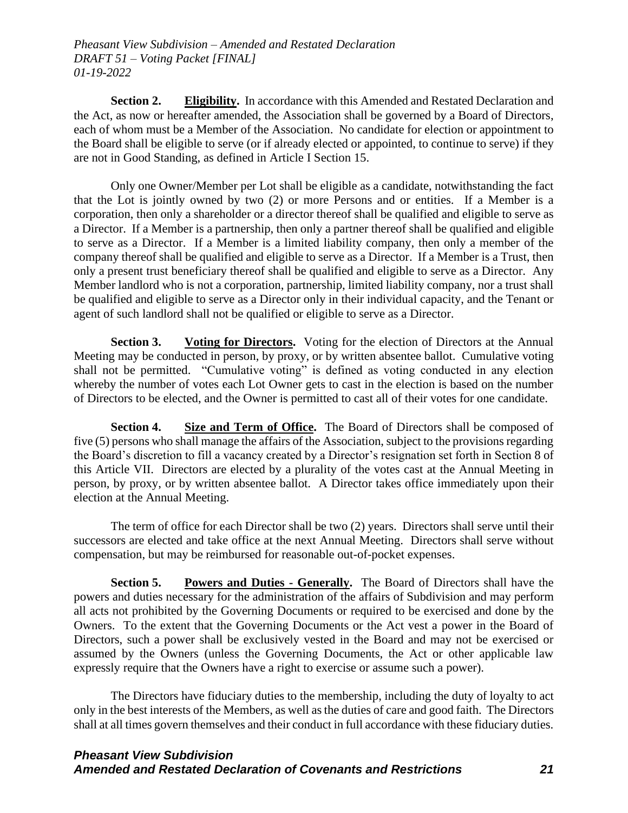**Section 2. Eligibility.** In accordance with this Amended and Restated Declaration and the Act, as now or hereafter amended, the Association shall be governed by a Board of Directors, each of whom must be a Member of the Association. No candidate for election or appointment to the Board shall be eligible to serve (or if already elected or appointed, to continue to serve) if they are not in Good Standing, as defined in Article I Section 15.

Only one Owner/Member per Lot shall be eligible as a candidate, notwithstanding the fact that the Lot is jointly owned by two (2) or more Persons and or entities. If a Member is a corporation, then only a shareholder or a director thereof shall be qualified and eligible to serve as a Director. If a Member is a partnership, then only a partner thereof shall be qualified and eligible to serve as a Director. If a Member is a limited liability company, then only a member of the company thereof shall be qualified and eligible to serve as a Director. If a Member is a Trust, then only a present trust beneficiary thereof shall be qualified and eligible to serve as a Director. Any Member landlord who is not a corporation, partnership, limited liability company, nor a trust shall be qualified and eligible to serve as a Director only in their individual capacity, and the Tenant or agent of such landlord shall not be qualified or eligible to serve as a Director.

**Section 3. Voting for Directors.** Voting for the election of Directors at the Annual Meeting may be conducted in person, by proxy, or by written absentee ballot. Cumulative voting shall not be permitted. "Cumulative voting" is defined as voting conducted in any election whereby the number of votes each Lot Owner gets to cast in the election is based on the number of Directors to be elected, and the Owner is permitted to cast all of their votes for one candidate.

**Section 4.** Size and Term of Office. The Board of Directors shall be composed of five (5) persons who shall manage the affairs of the Association, subject to the provisions regarding the Board's discretion to fill a vacancy created by a Director's resignation set forth in Section 8 of this Article VII. Directors are elected by a plurality of the votes cast at the Annual Meeting in person, by proxy, or by written absentee ballot. A Director takes office immediately upon their election at the Annual Meeting.

The term of office for each Director shall be two (2) years. Directors shall serve until their successors are elected and take office at the next Annual Meeting. Directors shall serve without compensation, but may be reimbursed for reasonable out-of-pocket expenses.

**Section 5.** Powers and Duties **-** Generally. The Board of Directors shall have the powers and duties necessary for the administration of the affairs of Subdivision and may perform all acts not prohibited by the Governing Documents or required to be exercised and done by the Owners. To the extent that the Governing Documents or the Act vest a power in the Board of Directors, such a power shall be exclusively vested in the Board and may not be exercised or assumed by the Owners (unless the Governing Documents, the Act or other applicable law expressly require that the Owners have a right to exercise or assume such a power).

The Directors have fiduciary duties to the membership, including the duty of loyalty to act only in the best interests of the Members, as well as the duties of care and good faith. The Directors shall at all times govern themselves and their conduct in full accordance with these fiduciary duties.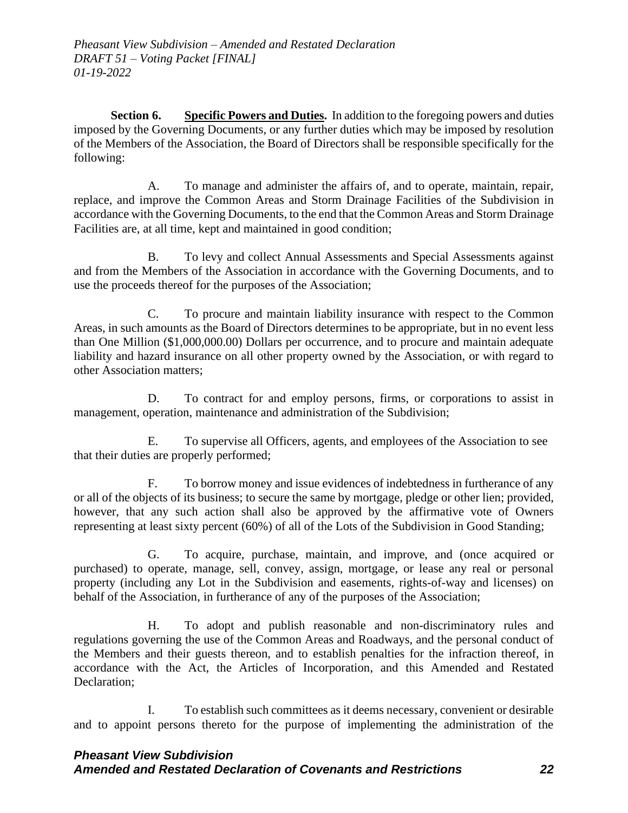**Section 6. Specific Powers and Duties.** In addition to the foregoing powers and duties imposed by the Governing Documents, or any further duties which may be imposed by resolution of the Members of the Association, the Board of Directors shall be responsible specifically for the following:

A. To manage and administer the affairs of, and to operate, maintain, repair, replace, and improve the Common Areas and Storm Drainage Facilities of the Subdivision in accordance with the Governing Documents, to the end that the Common Areas and Storm Drainage Facilities are, at all time, kept and maintained in good condition;

B. To levy and collect Annual Assessments and Special Assessments against and from the Members of the Association in accordance with the Governing Documents, and to use the proceeds thereof for the purposes of the Association;

C. To procure and maintain liability insurance with respect to the Common Areas, in such amounts as the Board of Directors determines to be appropriate, but in no event less than One Million (\$1,000,000.00) Dollars per occurrence, and to procure and maintain adequate liability and hazard insurance on all other property owned by the Association, or with regard to other Association matters;

D. To contract for and employ persons, firms, or corporations to assist in management, operation, maintenance and administration of the Subdivision;

E. To supervise all Officers, agents, and employees of the Association to see that their duties are properly performed;

F. To borrow money and issue evidences of indebtedness in furtherance of any or all of the objects of its business; to secure the same by mortgage, pledge or other lien; provided, however, that any such action shall also be approved by the affirmative vote of Owners representing at least sixty percent (60%) of all of the Lots of the Subdivision in Good Standing;

G. To acquire, purchase, maintain, and improve, and (once acquired or purchased) to operate, manage, sell, convey, assign, mortgage, or lease any real or personal property (including any Lot in the Subdivision and easements, rights-of-way and licenses) on behalf of the Association, in furtherance of any of the purposes of the Association;

H. To adopt and publish reasonable and non-discriminatory rules and regulations governing the use of the Common Areas and Roadways, and the personal conduct of the Members and their guests thereon, and to establish penalties for the infraction thereof, in accordance with the Act, the Articles of Incorporation, and this Amended and Restated Declaration;

I. To establish such committees as it deems necessary, convenient or desirable and to appoint persons thereto for the purpose of implementing the administration of the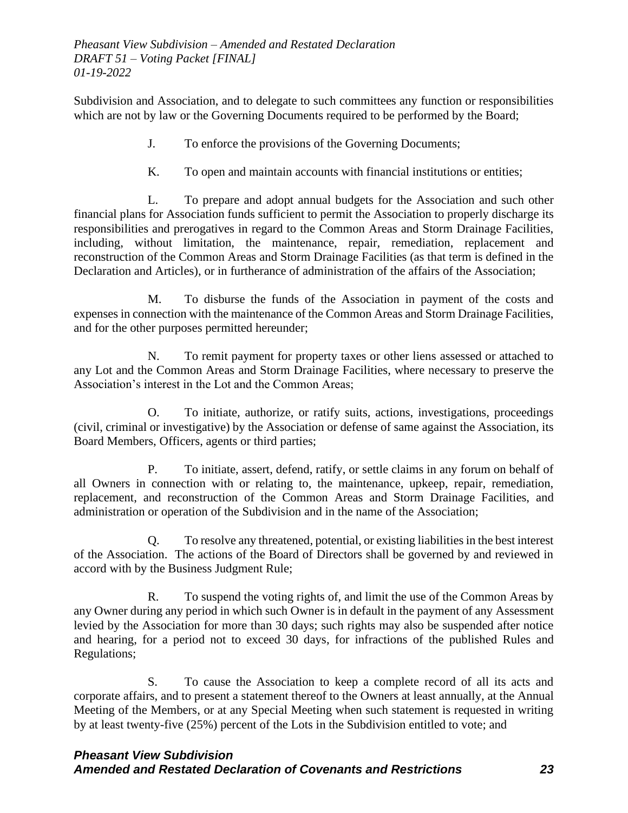Subdivision and Association, and to delegate to such committees any function or responsibilities which are not by law or the Governing Documents required to be performed by the Board;

- J. To enforce the provisions of the Governing Documents;
- K. To open and maintain accounts with financial institutions or entities;

L. To prepare and adopt annual budgets for the Association and such other financial plans for Association funds sufficient to permit the Association to properly discharge its responsibilities and prerogatives in regard to the Common Areas and Storm Drainage Facilities, including, without limitation, the maintenance, repair, remediation, replacement and reconstruction of the Common Areas and Storm Drainage Facilities (as that term is defined in the Declaration and Articles), or in furtherance of administration of the affairs of the Association;

M. To disburse the funds of the Association in payment of the costs and expenses in connection with the maintenance of the Common Areas and Storm Drainage Facilities, and for the other purposes permitted hereunder;

N. To remit payment for property taxes or other liens assessed or attached to any Lot and the Common Areas and Storm Drainage Facilities, where necessary to preserve the Association's interest in the Lot and the Common Areas;

O. To initiate, authorize, or ratify suits, actions, investigations, proceedings (civil, criminal or investigative) by the Association or defense of same against the Association, its Board Members, Officers, agents or third parties;

P. To initiate, assert, defend, ratify, or settle claims in any forum on behalf of all Owners in connection with or relating to, the maintenance, upkeep, repair, remediation, replacement, and reconstruction of the Common Areas and Storm Drainage Facilities, and administration or operation of the Subdivision and in the name of the Association;

Q. To resolve any threatened, potential, or existing liabilities in the best interest of the Association. The actions of the Board of Directors shall be governed by and reviewed in accord with by the Business Judgment Rule;

R. To suspend the voting rights of, and limit the use of the Common Areas by any Owner during any period in which such Owner is in default in the payment of any Assessment levied by the Association for more than 30 days; such rights may also be suspended after notice and hearing, for a period not to exceed 30 days, for infractions of the published Rules and Regulations;

S. To cause the Association to keep a complete record of all its acts and corporate affairs, and to present a statement thereof to the Owners at least annually, at the Annual Meeting of the Members, or at any Special Meeting when such statement is requested in writing by at least twenty-five (25%) percent of the Lots in the Subdivision entitled to vote; and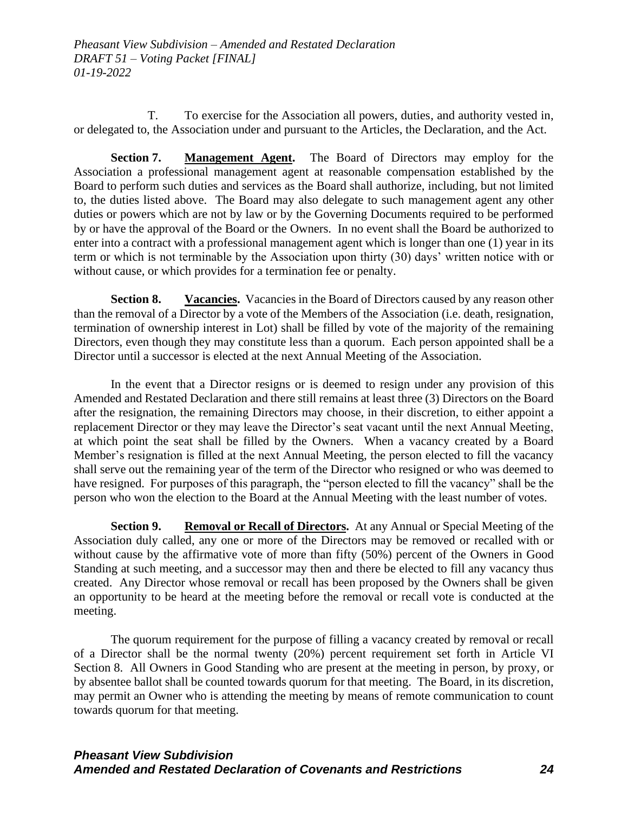T. To exercise for the Association all powers, duties, and authority vested in, or delegated to, the Association under and pursuant to the Articles, the Declaration, and the Act.

**Section 7. Management Agent.** The Board of Directors may employ for the Association a professional management agent at reasonable compensation established by the Board to perform such duties and services as the Board shall authorize, including, but not limited to, the duties listed above. The Board may also delegate to such management agent any other duties or powers which are not by law or by the Governing Documents required to be performed by or have the approval of the Board or the Owners. In no event shall the Board be authorized to enter into a contract with a professional management agent which is longer than one (1) year in its term or which is not terminable by the Association upon thirty (30) days' written notice with or without cause, or which provides for a termination fee or penalty.

**Section 8.** Vacancies. Vacancies in the Board of Directors caused by any reason other than the removal of a Director by a vote of the Members of the Association (i.e. death, resignation, termination of ownership interest in Lot) shall be filled by vote of the majority of the remaining Directors, even though they may constitute less than a quorum. Each person appointed shall be a Director until a successor is elected at the next Annual Meeting of the Association.

In the event that a Director resigns or is deemed to resign under any provision of this Amended and Restated Declaration and there still remains at least three (3) Directors on the Board after the resignation, the remaining Directors may choose, in their discretion, to either appoint a replacement Director or they may leave the Director's seat vacant until the next Annual Meeting, at which point the seat shall be filled by the Owners. When a vacancy created by a Board Member's resignation is filled at the next Annual Meeting, the person elected to fill the vacancy shall serve out the remaining year of the term of the Director who resigned or who was deemed to have resigned. For purposes of this paragraph, the "person elected to fill the vacancy" shall be the person who won the election to the Board at the Annual Meeting with the least number of votes.

**Section 9. Removal or Recall of Directors.** At any Annual or Special Meeting of the Association duly called, any one or more of the Directors may be removed or recalled with or without cause by the affirmative vote of more than fifty (50%) percent of the Owners in Good Standing at such meeting, and a successor may then and there be elected to fill any vacancy thus created. Any Director whose removal or recall has been proposed by the Owners shall be given an opportunity to be heard at the meeting before the removal or recall vote is conducted at the meeting.

The quorum requirement for the purpose of filling a vacancy created by removal or recall of a Director shall be the normal twenty (20%) percent requirement set forth in Article VI Section 8. All Owners in Good Standing who are present at the meeting in person, by proxy, or by absentee ballot shall be counted towards quorum for that meeting. The Board, in its discretion, may permit an Owner who is attending the meeting by means of remote communication to count towards quorum for that meeting.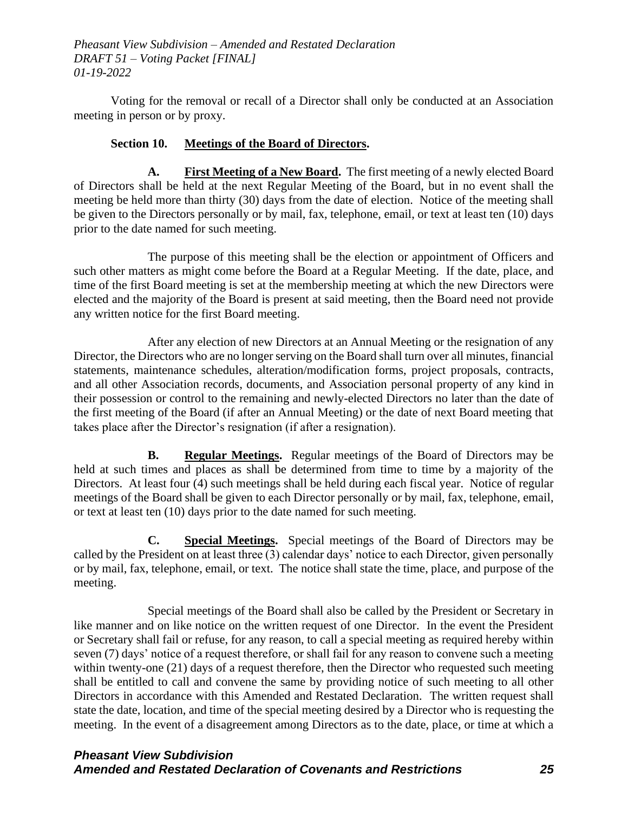Voting for the removal or recall of a Director shall only be conducted at an Association meeting in person or by proxy.

### **Section 10. Meetings of the Board of Directors.**

**A. First Meeting of a New Board.** The first meeting of a newly elected Board of Directors shall be held at the next Regular Meeting of the Board, but in no event shall the meeting be held more than thirty (30) days from the date of election. Notice of the meeting shall be given to the Directors personally or by mail, fax, telephone, email, or text at least ten (10) days prior to the date named for such meeting.

The purpose of this meeting shall be the election or appointment of Officers and such other matters as might come before the Board at a Regular Meeting. If the date, place, and time of the first Board meeting is set at the membership meeting at which the new Directors were elected and the majority of the Board is present at said meeting, then the Board need not provide any written notice for the first Board meeting.

After any election of new Directors at an Annual Meeting or the resignation of any Director, the Directors who are no longer serving on the Board shall turn over all minutes, financial statements, maintenance schedules, alteration/modification forms, project proposals, contracts, and all other Association records, documents, and Association personal property of any kind in their possession or control to the remaining and newly-elected Directors no later than the date of the first meeting of the Board (if after an Annual Meeting) or the date of next Board meeting that takes place after the Director's resignation (if after a resignation).

**B. Regular Meetings.** Regular meetings of the Board of Directors may be held at such times and places as shall be determined from time to time by a majority of the Directors. At least four (4) such meetings shall be held during each fiscal year. Notice of regular meetings of the Board shall be given to each Director personally or by mail, fax, telephone, email, or text at least ten (10) days prior to the date named for such meeting.

**C. Special Meetings.** Special meetings of the Board of Directors may be called by the President on at least three (3) calendar days' notice to each Director, given personally or by mail, fax, telephone, email, or text. The notice shall state the time, place, and purpose of the meeting.

Special meetings of the Board shall also be called by the President or Secretary in like manner and on like notice on the written request of one Director. In the event the President or Secretary shall fail or refuse, for any reason, to call a special meeting as required hereby within seven (7) days' notice of a request therefore, or shall fail for any reason to convene such a meeting within twenty-one (21) days of a request therefore, then the Director who requested such meeting shall be entitled to call and convene the same by providing notice of such meeting to all other Directors in accordance with this Amended and Restated Declaration. The written request shall state the date, location, and time of the special meeting desired by a Director who is requesting the meeting. In the event of a disagreement among Directors as to the date, place, or time at which a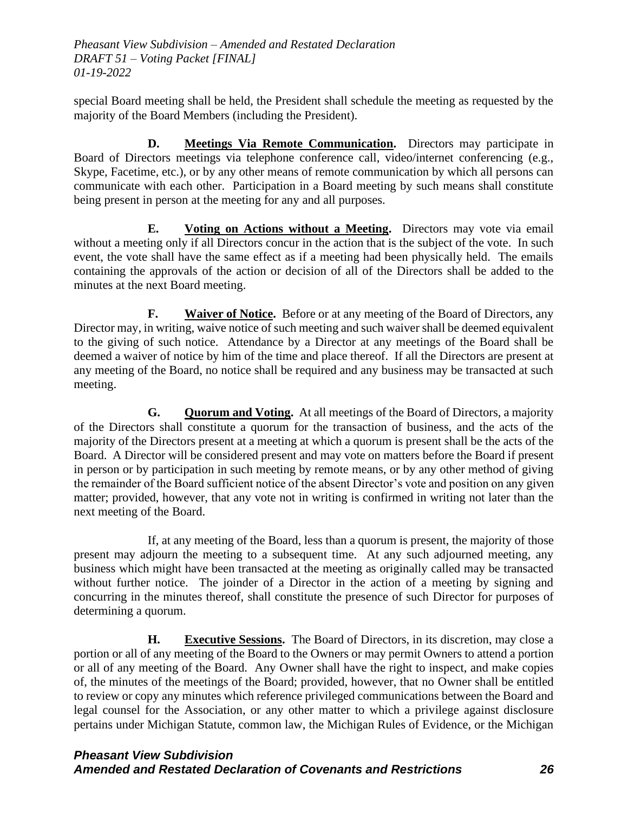special Board meeting shall be held, the President shall schedule the meeting as requested by the majority of the Board Members (including the President).

**D. Meetings Via Remote Communication.** Directors may participate in Board of Directors meetings via telephone conference call, video/internet conferencing (e.g., Skype, Facetime, etc.), or by any other means of remote communication by which all persons can communicate with each other. Participation in a Board meeting by such means shall constitute being present in person at the meeting for any and all purposes.

**E. Voting on Actions without a Meeting.** Directors may vote via email without a meeting only if all Directors concur in the action that is the subject of the vote. In such event, the vote shall have the same effect as if a meeting had been physically held. The emails containing the approvals of the action or decision of all of the Directors shall be added to the minutes at the next Board meeting.

**F. Waiver of Notice.** Before or at any meeting of the Board of Directors, any Director may, in writing, waive notice of such meeting and such waiver shall be deemed equivalent to the giving of such notice. Attendance by a Director at any meetings of the Board shall be deemed a waiver of notice by him of the time and place thereof. If all the Directors are present at any meeting of the Board, no notice shall be required and any business may be transacted at such meeting.

**G. Quorum and Voting.** At all meetings of the Board of Directors, a majority of the Directors shall constitute a quorum for the transaction of business, and the acts of the majority of the Directors present at a meeting at which a quorum is present shall be the acts of the Board. A Director will be considered present and may vote on matters before the Board if present in person or by participation in such meeting by remote means, or by any other method of giving the remainder of the Board sufficient notice of the absent Director's vote and position on any given matter; provided, however, that any vote not in writing is confirmed in writing not later than the next meeting of the Board.

If, at any meeting of the Board, less than a quorum is present, the majority of those present may adjourn the meeting to a subsequent time. At any such adjourned meeting, any business which might have been transacted at the meeting as originally called may be transacted without further notice. The joinder of a Director in the action of a meeting by signing and concurring in the minutes thereof, shall constitute the presence of such Director for purposes of determining a quorum.

**H. Executive Sessions.** The Board of Directors, in its discretion, may close a portion or all of any meeting of the Board to the Owners or may permit Owners to attend a portion or all of any meeting of the Board. Any Owner shall have the right to inspect, and make copies of, the minutes of the meetings of the Board; provided, however, that no Owner shall be entitled to review or copy any minutes which reference privileged communications between the Board and legal counsel for the Association, or any other matter to which a privilege against disclosure pertains under Michigan Statute, common law, the Michigan Rules of Evidence, or the Michigan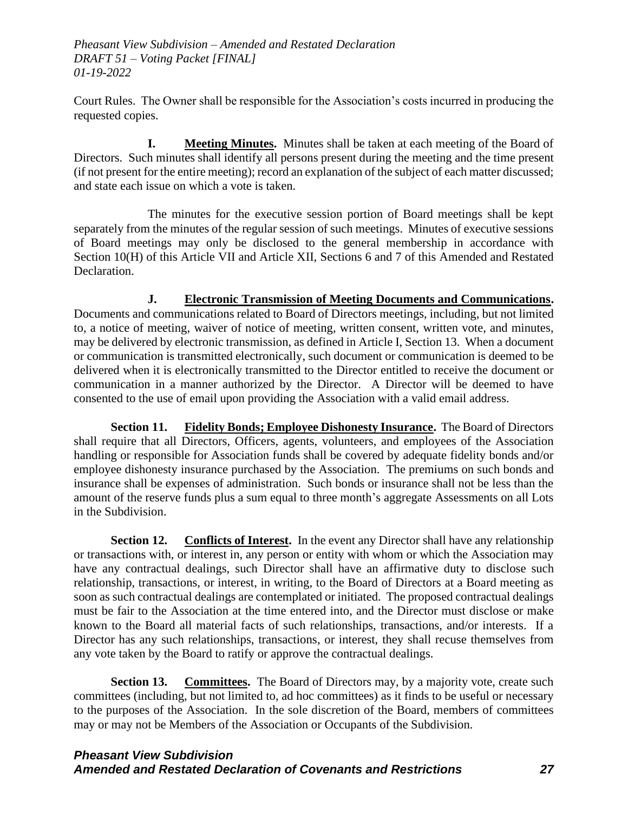Court Rules. The Owner shall be responsible for the Association's costs incurred in producing the requested copies.

**I. Meeting Minutes.** Minutes shall be taken at each meeting of the Board of Directors. Such minutes shall identify all persons present during the meeting and the time present (if not present for the entire meeting); record an explanation of the subject of each matter discussed; and state each issue on which a vote is taken.

The minutes for the executive session portion of Board meetings shall be kept separately from the minutes of the regular session of such meetings. Minutes of executive sessions of Board meetings may only be disclosed to the general membership in accordance with Section 10(H) of this Article VII and Article XII, Sections 6 and 7 of this Amended and Restated Declaration.

**J. Electronic Transmission of Meeting Documents and Communications.** Documents and communications related to Board of Directors meetings, including, but not limited to, a notice of meeting, waiver of notice of meeting, written consent, written vote, and minutes, may be delivered by electronic transmission, as defined in Article I, Section 13. When a document or communication is transmitted electronically, such document or communication is deemed to be delivered when it is electronically transmitted to the Director entitled to receive the document or communication in a manner authorized by the Director. A Director will be deemed to have consented to the use of email upon providing the Association with a valid email address.

**Section 11. Fidelity Bonds; Employee Dishonesty Insurance.** The Board of Directors shall require that all Directors, Officers, agents, volunteers, and employees of the Association handling or responsible for Association funds shall be covered by adequate fidelity bonds and/or employee dishonesty insurance purchased by the Association. The premiums on such bonds and insurance shall be expenses of administration. Such bonds or insurance shall not be less than the amount of the reserve funds plus a sum equal to three month's aggregate Assessments on all Lots in the Subdivision.

**Section 12.** Conflicts of Interest. In the event any Director shall have any relationship or transactions with, or interest in, any person or entity with whom or which the Association may have any contractual dealings, such Director shall have an affirmative duty to disclose such relationship, transactions, or interest, in writing, to the Board of Directors at a Board meeting as soon as such contractual dealings are contemplated or initiated. The proposed contractual dealings must be fair to the Association at the time entered into, and the Director must disclose or make known to the Board all material facts of such relationships, transactions, and/or interests. If a Director has any such relationships, transactions, or interest, they shall recuse themselves from any vote taken by the Board to ratify or approve the contractual dealings.

**Section 13. Committees.** The Board of Directors may, by a majority vote, create such committees (including, but not limited to, ad hoc committees) as it finds to be useful or necessary to the purposes of the Association. In the sole discretion of the Board, members of committees may or may not be Members of the Association or Occupants of the Subdivision.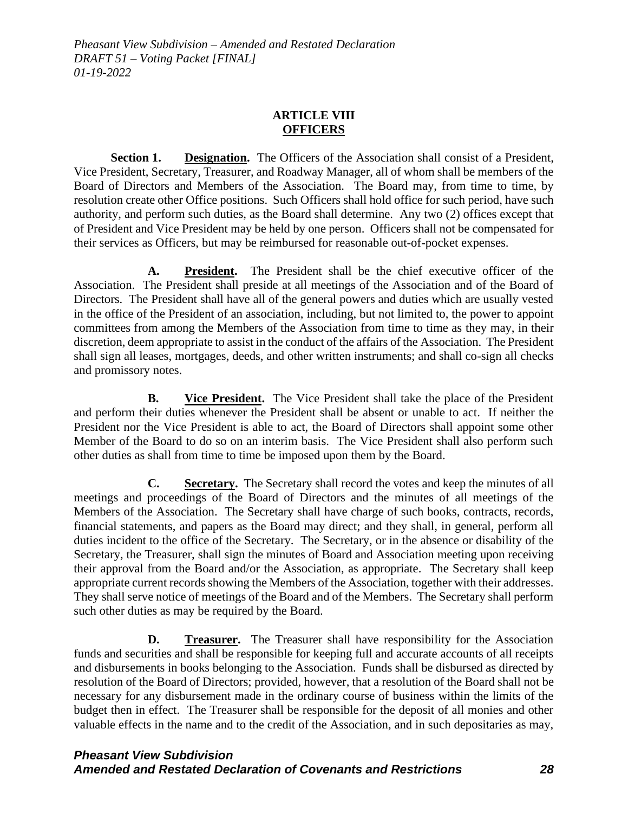### **ARTICLE VIII OFFICERS**

**Section 1. Designation.** The Officers of the Association shall consist of a President, Vice President, Secretary, Treasurer, and Roadway Manager, all of whom shall be members of the Board of Directors and Members of the Association. The Board may, from time to time, by resolution create other Office positions. Such Officers shall hold office for such period, have such authority, and perform such duties, as the Board shall determine. Any two (2) offices except that of President and Vice President may be held by one person. Officers shall not be compensated for their services as Officers, but may be reimbursed for reasonable out-of-pocket expenses.

**A. President.** The President shall be the chief executive officer of the Association. The President shall preside at all meetings of the Association and of the Board of Directors. The President shall have all of the general powers and duties which are usually vested in the office of the President of an association, including, but not limited to, the power to appoint committees from among the Members of the Association from time to time as they may, in their discretion, deem appropriate to assist in the conduct of the affairs of the Association. The President shall sign all leases, mortgages, deeds, and other written instruments; and shall co-sign all checks and promissory notes.

**B. Vice President.** The Vice President shall take the place of the President and perform their duties whenever the President shall be absent or unable to act. If neither the President nor the Vice President is able to act, the Board of Directors shall appoint some other Member of the Board to do so on an interim basis. The Vice President shall also perform such other duties as shall from time to time be imposed upon them by the Board.

**C. Secretary.** The Secretary shall record the votes and keep the minutes of all meetings and proceedings of the Board of Directors and the minutes of all meetings of the Members of the Association. The Secretary shall have charge of such books, contracts, records, financial statements, and papers as the Board may direct; and they shall, in general, perform all duties incident to the office of the Secretary. The Secretary, or in the absence or disability of the Secretary, the Treasurer, shall sign the minutes of Board and Association meeting upon receiving their approval from the Board and/or the Association, as appropriate. The Secretary shall keep appropriate current records showing the Members of the Association, together with their addresses. They shall serve notice of meetings of the Board and of the Members. The Secretary shall perform such other duties as may be required by the Board.

**D. Treasurer.** The Treasurer shall have responsibility for the Association funds and securities and shall be responsible for keeping full and accurate accounts of all receipts and disbursements in books belonging to the Association. Funds shall be disbursed as directed by resolution of the Board of Directors; provided, however, that a resolution of the Board shall not be necessary for any disbursement made in the ordinary course of business within the limits of the budget then in effect. The Treasurer shall be responsible for the deposit of all monies and other valuable effects in the name and to the credit of the Association, and in such depositaries as may,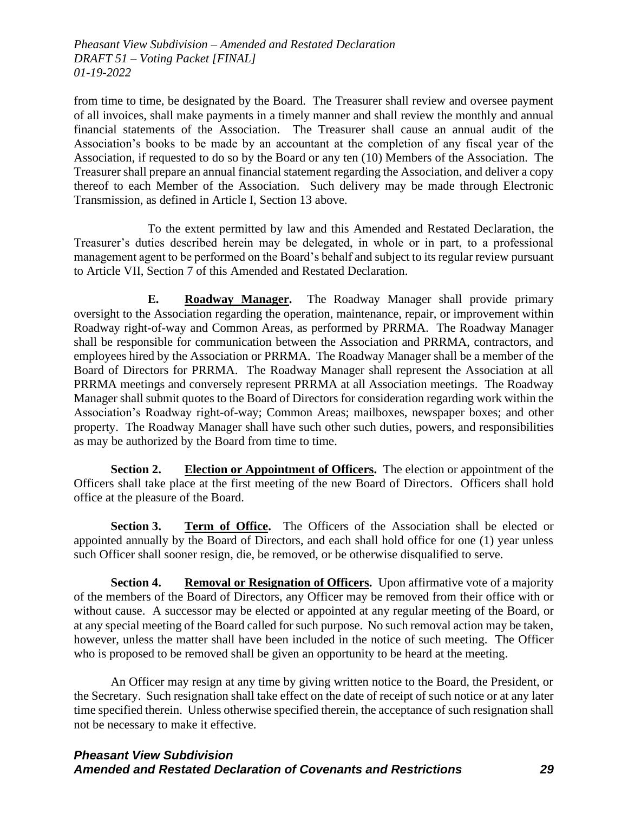from time to time, be designated by the Board. The Treasurer shall review and oversee payment of all invoices, shall make payments in a timely manner and shall review the monthly and annual financial statements of the Association. The Treasurer shall cause an annual audit of the Association's books to be made by an accountant at the completion of any fiscal year of the Association, if requested to do so by the Board or any ten (10) Members of the Association. The Treasurer shall prepare an annual financial statement regarding the Association, and deliver a copy thereof to each Member of the Association. Such delivery may be made through Electronic Transmission, as defined in Article I, Section 13 above.

To the extent permitted by law and this Amended and Restated Declaration, the Treasurer's duties described herein may be delegated, in whole or in part, to a professional management agent to be performed on the Board's behalf and subject to its regular review pursuant to Article VII, Section 7 of this Amended and Restated Declaration.

**E. Roadway Manager.** The Roadway Manager shall provide primary oversight to the Association regarding the operation, maintenance, repair, or improvement within Roadway right-of-way and Common Areas, as performed by PRRMA. The Roadway Manager shall be responsible for communication between the Association and PRRMA, contractors, and employees hired by the Association or PRRMA. The Roadway Manager shall be a member of the Board of Directors for PRRMA. The Roadway Manager shall represent the Association at all PRRMA meetings and conversely represent PRRMA at all Association meetings. The Roadway Manager shall submit quotes to the Board of Directors for consideration regarding work within the Association's Roadway right-of-way; Common Areas; mailboxes, newspaper boxes; and other property. The Roadway Manager shall have such other such duties, powers, and responsibilities as may be authorized by the Board from time to time.

**Section 2. Election or Appointment of Officers.** The election or appointment of the Officers shall take place at the first meeting of the new Board of Directors. Officers shall hold office at the pleasure of the Board.

**Section 3. Term of Office.** The Officers of the Association shall be elected or appointed annually by the Board of Directors, and each shall hold office for one (1) year unless such Officer shall sooner resign, die, be removed, or be otherwise disqualified to serve.

**Section 4. Removal or Resignation of Officers.** Upon affirmative vote of a majority of the members of the Board of Directors, any Officer may be removed from their office with or without cause. A successor may be elected or appointed at any regular meeting of the Board, or at any special meeting of the Board called for such purpose. No such removal action may be taken, however, unless the matter shall have been included in the notice of such meeting. The Officer who is proposed to be removed shall be given an opportunity to be heard at the meeting.

An Officer may resign at any time by giving written notice to the Board, the President, or the Secretary. Such resignation shall take effect on the date of receipt of such notice or at any later time specified therein. Unless otherwise specified therein, the acceptance of such resignation shall not be necessary to make it effective.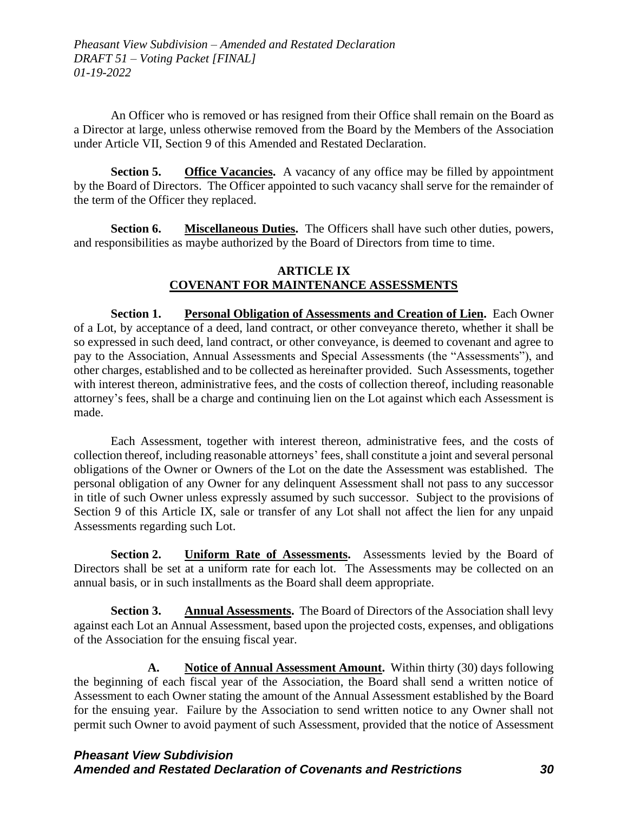An Officer who is removed or has resigned from their Office shall remain on the Board as a Director at large, unless otherwise removed from the Board by the Members of the Association under Article VII, Section 9 of this Amended and Restated Declaration.

**Section 5. Office Vacancies.** A vacancy of any office may be filled by appointment by the Board of Directors. The Officer appointed to such vacancy shall serve for the remainder of the term of the Officer they replaced.

**Section 6. Miscellaneous Duties.** The Officers shall have such other duties, powers, and responsibilities as maybe authorized by the Board of Directors from time to time.

### **ARTICLE IX COVENANT FOR MAINTENANCE ASSESSMENTS**

**Section 1. Personal Obligation of Assessments and Creation of Lien.** Each Owner of a Lot, by acceptance of a deed, land contract, or other conveyance thereto, whether it shall be so expressed in such deed, land contract, or other conveyance, is deemed to covenant and agree to pay to the Association, Annual Assessments and Special Assessments (the "Assessments"), and other charges, established and to be collected as hereinafter provided. Such Assessments, together with interest thereon, administrative fees, and the costs of collection thereof, including reasonable attorney's fees, shall be a charge and continuing lien on the Lot against which each Assessment is made.

Each Assessment, together with interest thereon, administrative fees, and the costs of collection thereof, including reasonable attorneys' fees, shall constitute a joint and several personal obligations of the Owner or Owners of the Lot on the date the Assessment was established. The personal obligation of any Owner for any delinquent Assessment shall not pass to any successor in title of such Owner unless expressly assumed by such successor. Subject to the provisions of Section 9 of this Article IX, sale or transfer of any Lot shall not affect the lien for any unpaid Assessments regarding such Lot.

**Section 2. Uniform Rate of Assessments.** Assessments levied by the Board of Directors shall be set at a uniform rate for each lot. The Assessments may be collected on an annual basis, or in such installments as the Board shall deem appropriate.

**Section 3. Annual Assessments.** The Board of Directors of the Association shall levy against each Lot an Annual Assessment, based upon the projected costs, expenses, and obligations of the Association for the ensuing fiscal year.

**A. Notice of Annual Assessment Amount.** Within thirty (30) days following the beginning of each fiscal year of the Association, the Board shall send a written notice of Assessment to each Owner stating the amount of the Annual Assessment established by the Board for the ensuing year. Failure by the Association to send written notice to any Owner shall not permit such Owner to avoid payment of such Assessment, provided that the notice of Assessment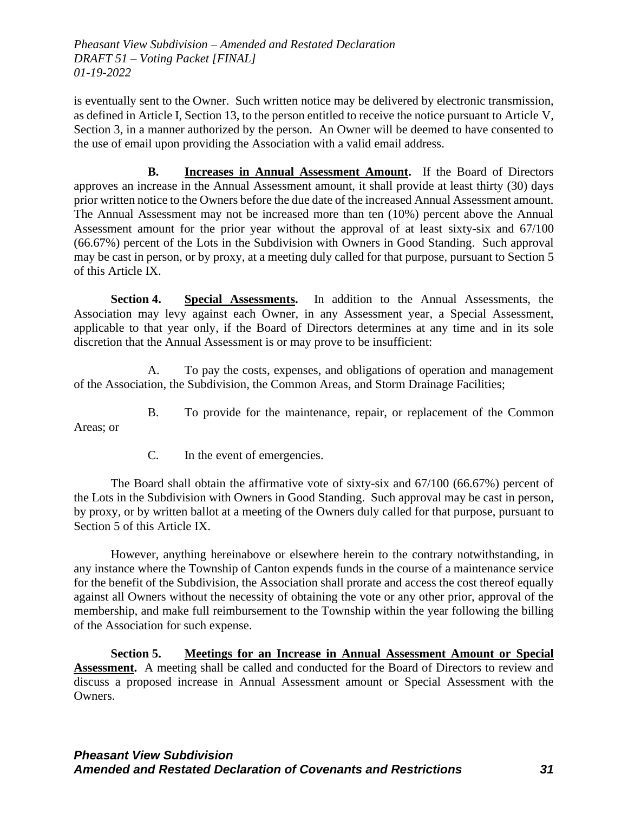is eventually sent to the Owner. Such written notice may be delivered by electronic transmission, as defined in Article I, Section 13, to the person entitled to receive the notice pursuant to Article V, Section 3, in a manner authorized by the person. An Owner will be deemed to have consented to the use of email upon providing the Association with a valid email address.

**B. Increases in Annual Assessment Amount.** If the Board of Directors approves an increase in the Annual Assessment amount, it shall provide at least thirty (30) days prior written notice to the Owners before the due date of the increased Annual Assessment amount. The Annual Assessment may not be increased more than ten (10%) percent above the Annual Assessment amount for the prior year without the approval of at least sixty-six and 67/100 (66.67%) percent of the Lots in the Subdivision with Owners in Good Standing. Such approval may be cast in person, or by proxy, at a meeting duly called for that purpose, pursuant to Section 5 of this Article IX.

**Section 4. Special Assessments.** In addition to the Annual Assessments, the Association may levy against each Owner, in any Assessment year, a Special Assessment, applicable to that year only, if the Board of Directors determines at any time and in its sole discretion that the Annual Assessment is or may prove to be insufficient:

A. To pay the costs, expenses, and obligations of operation and management of the Association, the Subdivision, the Common Areas, and Storm Drainage Facilities;

B. To provide for the maintenance, repair, or replacement of the Common

Areas; or

C. In the event of emergencies.

The Board shall obtain the affirmative vote of sixty-six and 67/100 (66.67%) percent of the Lots in the Subdivision with Owners in Good Standing. Such approval may be cast in person, by proxy, or by written ballot at a meeting of the Owners duly called for that purpose, pursuant to Section 5 of this Article IX.

However, anything hereinabove or elsewhere herein to the contrary notwithstanding, in any instance where the Township of Canton expends funds in the course of a maintenance service for the benefit of the Subdivision, the Association shall prorate and access the cost thereof equally against all Owners without the necessity of obtaining the vote or any other prior, approval of the membership, and make full reimbursement to the Township within the year following the billing of the Association for such expense.

**Section 5. Meetings for an Increase in Annual Assessment Amount or Special Assessment.** A meeting shall be called and conducted for the Board of Directors to review and discuss a proposed increase in Annual Assessment amount or Special Assessment with the Owners.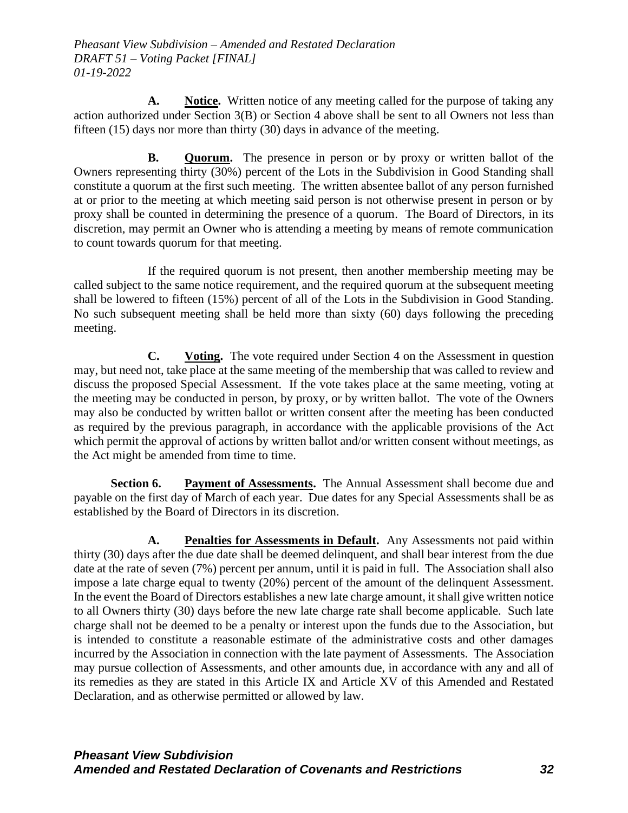**A. Notice.** Written notice of any meeting called for the purpose of taking any action authorized under Section 3(B) or Section 4 above shall be sent to all Owners not less than fifteen (15) days nor more than thirty (30) days in advance of the meeting.

**B. Quorum.** The presence in person or by proxy or written ballot of the Owners representing thirty (30%) percent of the Lots in the Subdivision in Good Standing shall constitute a quorum at the first such meeting. The written absentee ballot of any person furnished at or prior to the meeting at which meeting said person is not otherwise present in person or by proxy shall be counted in determining the presence of a quorum. The Board of Directors, in its discretion, may permit an Owner who is attending a meeting by means of remote communication to count towards quorum for that meeting.

If the required quorum is not present, then another membership meeting may be called subject to the same notice requirement, and the required quorum at the subsequent meeting shall be lowered to fifteen (15%) percent of all of the Lots in the Subdivision in Good Standing. No such subsequent meeting shall be held more than sixty (60) days following the preceding meeting.

**C. Voting.** The vote required under Section 4 on the Assessment in question may, but need not, take place at the same meeting of the membership that was called to review and discuss the proposed Special Assessment. If the vote takes place at the same meeting, voting at the meeting may be conducted in person, by proxy, or by written ballot. The vote of the Owners may also be conducted by written ballot or written consent after the meeting has been conducted as required by the previous paragraph, in accordance with the applicable provisions of the Act which permit the approval of actions by written ballot and/or written consent without meetings, as the Act might be amended from time to time.

**Section 6. Payment of Assessments.** The Annual Assessment shall become due and payable on the first day of March of each year. Due dates for any Special Assessments shall be as established by the Board of Directors in its discretion.

**A. Penalties for Assessments in Default.** Any Assessments not paid within thirty (30) days after the due date shall be deemed delinquent, and shall bear interest from the due date at the rate of seven (7%) percent per annum, until it is paid in full. The Association shall also impose a late charge equal to twenty (20%) percent of the amount of the delinquent Assessment. In the event the Board of Directors establishes a new late charge amount, it shall give written notice to all Owners thirty (30) days before the new late charge rate shall become applicable. Such late charge shall not be deemed to be a penalty or interest upon the funds due to the Association, but is intended to constitute a reasonable estimate of the administrative costs and other damages incurred by the Association in connection with the late payment of Assessments. The Association may pursue collection of Assessments, and other amounts due, in accordance with any and all of its remedies as they are stated in this Article IX and Article XV of this Amended and Restated Declaration, and as otherwise permitted or allowed by law.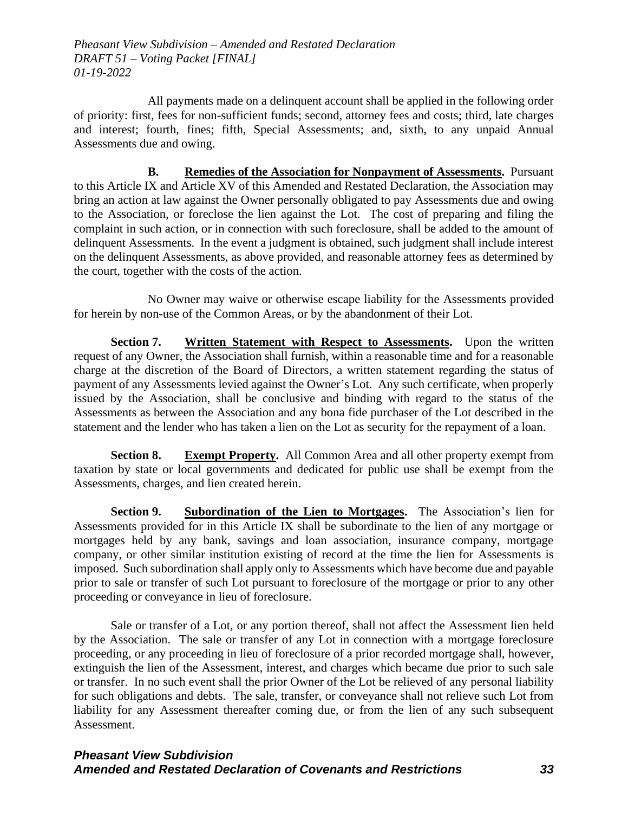All payments made on a delinquent account shall be applied in the following order of priority: first, fees for non-sufficient funds; second, attorney fees and costs; third, late charges and interest; fourth, fines; fifth, Special Assessments; and, sixth, to any unpaid Annual Assessments due and owing.

**B. Remedies of the Association for Nonpayment of Assessments.** Pursuant to this Article IX and Article XV of this Amended and Restated Declaration, the Association may bring an action at law against the Owner personally obligated to pay Assessments due and owing to the Association, or foreclose the lien against the Lot. The cost of preparing and filing the complaint in such action, or in connection with such foreclosure, shall be added to the amount of delinquent Assessments. In the event a judgment is obtained, such judgment shall include interest on the delinquent Assessments, as above provided, and reasonable attorney fees as determined by the court, together with the costs of the action.

No Owner may waive or otherwise escape liability for the Assessments provided for herein by non-use of the Common Areas, or by the abandonment of their Lot.

**Section 7. Written Statement with Respect to Assessments.** Upon the written request of any Owner, the Association shall furnish, within a reasonable time and for a reasonable charge at the discretion of the Board of Directors, a written statement regarding the status of payment of any Assessments levied against the Owner's Lot. Any such certificate, when properly issued by the Association, shall be conclusive and binding with regard to the status of the Assessments as between the Association and any bona fide purchaser of the Lot described in the statement and the lender who has taken a lien on the Lot as security for the repayment of a loan.

**Section 8. Exempt Property.** All Common Area and all other property exempt from taxation by state or local governments and dedicated for public use shall be exempt from the Assessments, charges, and lien created herein.

**Section 9. Subordination of the Lien to Mortgages.** The Association's lien for Assessments provided for in this Article IX shall be subordinate to the lien of any mortgage or mortgages held by any bank, savings and loan association, insurance company, mortgage company, or other similar institution existing of record at the time the lien for Assessments is imposed. Such subordination shall apply only to Assessments which have become due and payable prior to sale or transfer of such Lot pursuant to foreclosure of the mortgage or prior to any other proceeding or conveyance in lieu of foreclosure.

Sale or transfer of a Lot, or any portion thereof, shall not affect the Assessment lien held by the Association. The sale or transfer of any Lot in connection with a mortgage foreclosure proceeding, or any proceeding in lieu of foreclosure of a prior recorded mortgage shall, however, extinguish the lien of the Assessment, interest, and charges which became due prior to such sale or transfer. In no such event shall the prior Owner of the Lot be relieved of any personal liability for such obligations and debts. The sale, transfer, or conveyance shall not relieve such Lot from liability for any Assessment thereafter coming due, or from the lien of any such subsequent Assessment.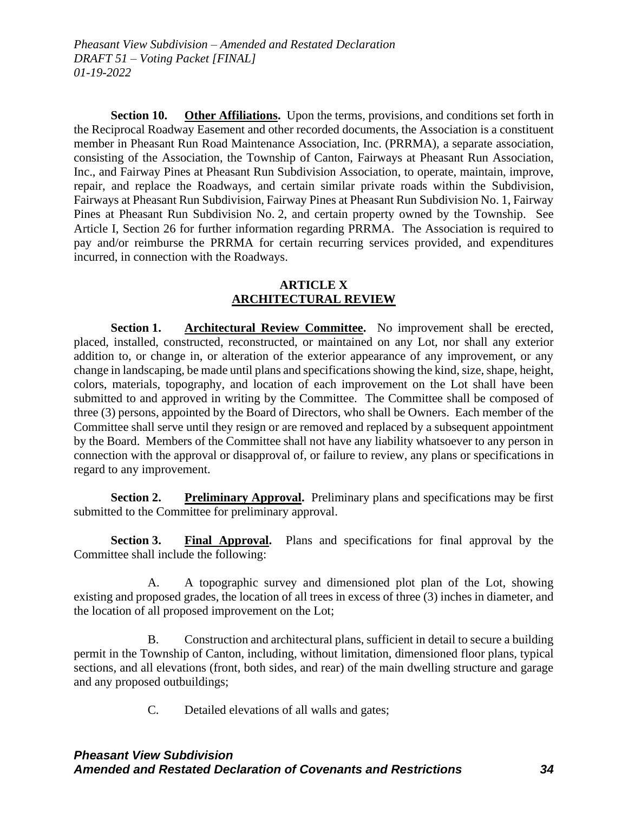**Section 10. Other Affiliations.** Upon the terms, provisions, and conditions set forth in the Reciprocal Roadway Easement and other recorded documents, the Association is a constituent member in Pheasant Run Road Maintenance Association, Inc. (PRRMA), a separate association, consisting of the Association, the Township of Canton, Fairways at Pheasant Run Association, Inc., and Fairway Pines at Pheasant Run Subdivision Association, to operate, maintain, improve, repair, and replace the Roadways, and certain similar private roads within the Subdivision, Fairways at Pheasant Run Subdivision, Fairway Pines at Pheasant Run Subdivision No. 1, Fairway Pines at Pheasant Run Subdivision No. 2, and certain property owned by the Township. See Article I, Section 26 for further information regarding PRRMA. The Association is required to pay and/or reimburse the PRRMA for certain recurring services provided, and expenditures incurred, in connection with the Roadways.

#### **ARTICLE X ARCHITECTURAL REVIEW**

**Section 1. Architectural Review Committee.** No improvement shall be erected, placed, installed, constructed, reconstructed, or maintained on any Lot, nor shall any exterior addition to, or change in, or alteration of the exterior appearance of any improvement, or any change in landscaping, be made until plans and specifications showing the kind, size, shape, height, colors, materials, topography, and location of each improvement on the Lot shall have been submitted to and approved in writing by the Committee. The Committee shall be composed of three (3) persons, appointed by the Board of Directors, who shall be Owners. Each member of the Committee shall serve until they resign or are removed and replaced by a subsequent appointment by the Board. Members of the Committee shall not have any liability whatsoever to any person in connection with the approval or disapproval of, or failure to review, any plans or specifications in regard to any improvement.

**Section 2. Preliminary Approval.** Preliminary plans and specifications may be first submitted to the Committee for preliminary approval.

**Section 3.** Final Approval. Plans and specifications for final approval by the Committee shall include the following:

A. A topographic survey and dimensioned plot plan of the Lot, showing existing and proposed grades, the location of all trees in excess of three (3) inches in diameter, and the location of all proposed improvement on the Lot;

B. Construction and architectural plans, sufficient in detail to secure a building permit in the Township of Canton, including, without limitation, dimensioned floor plans, typical sections, and all elevations (front, both sides, and rear) of the main dwelling structure and garage and any proposed outbuildings;

C. Detailed elevations of all walls and gates;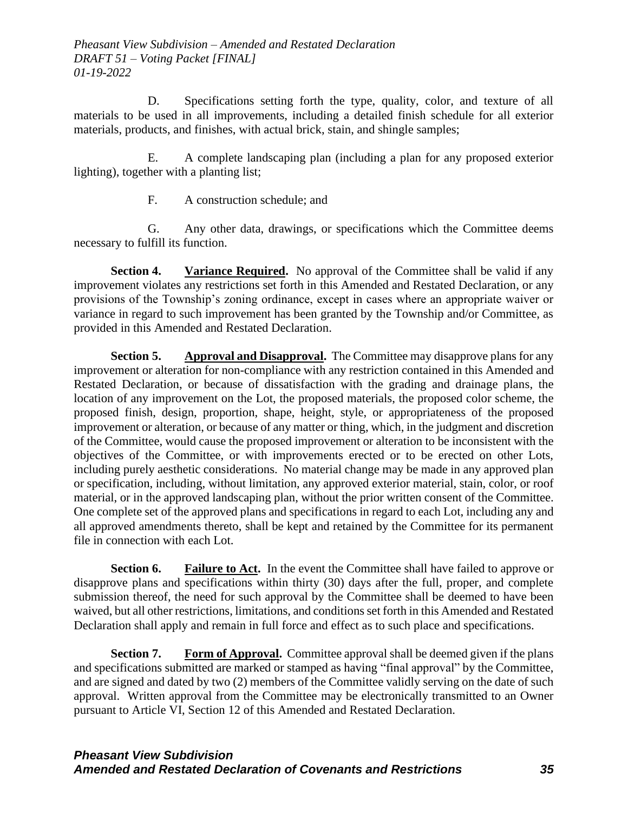D. Specifications setting forth the type, quality, color, and texture of all materials to be used in all improvements, including a detailed finish schedule for all exterior materials, products, and finishes, with actual brick, stain, and shingle samples;

E. A complete landscaping plan (including a plan for any proposed exterior lighting), together with a planting list;

F. A construction schedule; and

G. Any other data, drawings, or specifications which the Committee deems necessary to fulfill its function.

**Section 4. Variance Required.** No approval of the Committee shall be valid if any improvement violates any restrictions set forth in this Amended and Restated Declaration, or any provisions of the Township's zoning ordinance, except in cases where an appropriate waiver or variance in regard to such improvement has been granted by the Township and/or Committee, as provided in this Amended and Restated Declaration.

**Section 5. Approval and Disapproval.** The Committee may disapprove plans for any improvement or alteration for non-compliance with any restriction contained in this Amended and Restated Declaration, or because of dissatisfaction with the grading and drainage plans, the location of any improvement on the Lot, the proposed materials, the proposed color scheme, the proposed finish, design, proportion, shape, height, style, or appropriateness of the proposed improvement or alteration, or because of any matter or thing, which, in the judgment and discretion of the Committee, would cause the proposed improvement or alteration to be inconsistent with the objectives of the Committee, or with improvements erected or to be erected on other Lots, including purely aesthetic considerations. No material change may be made in any approved plan or specification, including, without limitation, any approved exterior material, stain, color, or roof material, or in the approved landscaping plan, without the prior written consent of the Committee. One complete set of the approved plans and specifications in regard to each Lot, including any and all approved amendments thereto, shall be kept and retained by the Committee for its permanent file in connection with each Lot.

**Section 6. Failure to Act.** In the event the Committee shall have failed to approve or disapprove plans and specifications within thirty (30) days after the full, proper, and complete submission thereof, the need for such approval by the Committee shall be deemed to have been waived, but all other restrictions, limitations, and conditions set forth in this Amended and Restated Declaration shall apply and remain in full force and effect as to such place and specifications.

**Section 7. Form of Approval.** Committee approval shall be deemed given if the plans and specifications submitted are marked or stamped as having "final approval" by the Committee, and are signed and dated by two (2) members of the Committee validly serving on the date of such approval. Written approval from the Committee may be electronically transmitted to an Owner pursuant to Article VI, Section 12 of this Amended and Restated Declaration.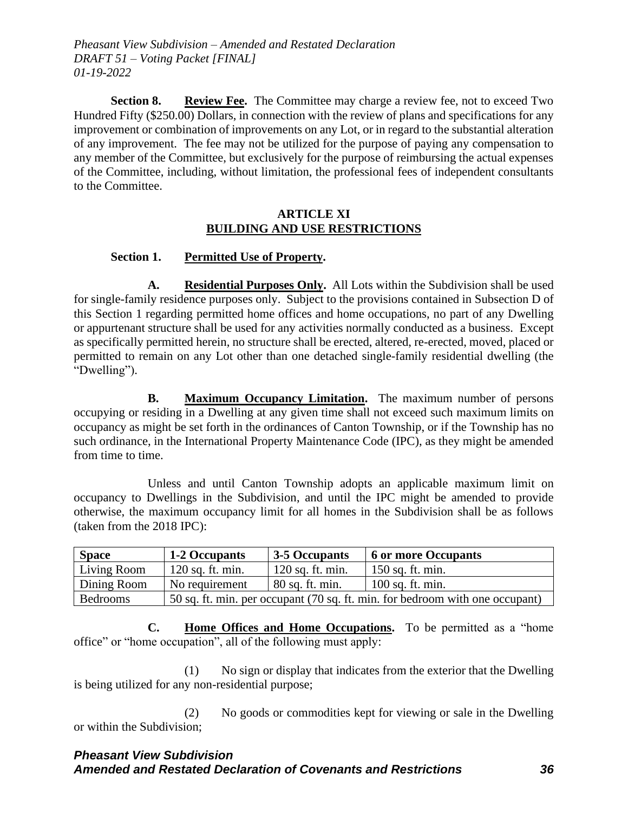**Section 8. Review Fee.** The Committee may charge a review fee, not to exceed Two Hundred Fifty (\$250.00) Dollars, in connection with the review of plans and specifications for any improvement or combination of improvements on any Lot, or in regard to the substantial alteration of any improvement. The fee may not be utilized for the purpose of paying any compensation to any member of the Committee, but exclusively for the purpose of reimbursing the actual expenses of the Committee, including, without limitation, the professional fees of independent consultants to the Committee.

#### **ARTICLE XI BUILDING AND USE RESTRICTIONS**

# **Section 1. Permitted Use of Property.**

**A. Residential Purposes Only.** All Lots within the Subdivision shall be used for single-family residence purposes only. Subject to the provisions contained in Subsection D of this Section 1 regarding permitted home offices and home occupations, no part of any Dwelling or appurtenant structure shall be used for any activities normally conducted as a business. Except as specifically permitted herein, no structure shall be erected, altered, re-erected, moved, placed or permitted to remain on any Lot other than one detached single-family residential dwelling (the "Dwelling").

**B. Maximum Occupancy Limitation.** The maximum number of persons occupying or residing in a Dwelling at any given time shall not exceed such maximum limits on occupancy as might be set forth in the ordinances of Canton Township, or if the Township has no such ordinance, in the International Property Maintenance Code (IPC), as they might be amended from time to time.

Unless and until Canton Township adopts an applicable maximum limit on occupancy to Dwellings in the Subdivision, and until the IPC might be amended to provide otherwise, the maximum occupancy limit for all homes in the Subdivision shall be as follows (taken from the 2018 IPC):

| <b>Space</b> | 1-2 Occupants                                                                | 3-5 Occupants      | <b>6 or more Occupants</b> |
|--------------|------------------------------------------------------------------------------|--------------------|----------------------------|
| Living Room  | $120$ sq. ft. min.                                                           | $120$ sq. ft. min. | $150$ sq. ft. min.         |
| Dining Room  | No requirement                                                               | 80 sq. ft. min.    | $100$ sq. ft. min.         |
| Bedrooms     | 50 sq. ft. min. per occupant (70 sq. ft. min. for bedroom with one occupant) |                    |                            |

**C. Home Offices and Home Occupations.** To be permitted as a "home office" or "home occupation", all of the following must apply:

(1) No sign or display that indicates from the exterior that the Dwelling is being utilized for any non-residential purpose;

(2) No goods or commodities kept for viewing or sale in the Dwelling or within the Subdivision;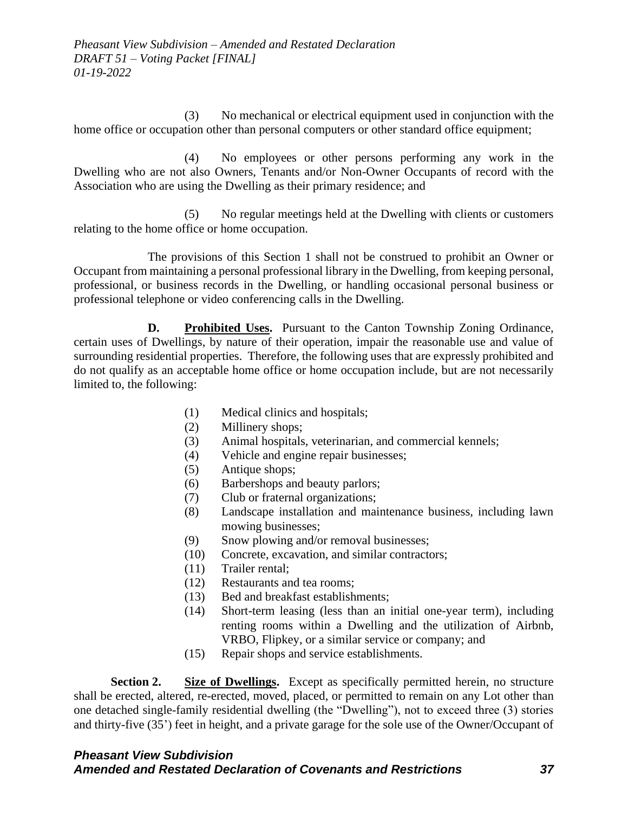(3) No mechanical or electrical equipment used in conjunction with the home office or occupation other than personal computers or other standard office equipment;

(4) No employees or other persons performing any work in the Dwelling who are not also Owners, Tenants and/or Non-Owner Occupants of record with the Association who are using the Dwelling as their primary residence; and

(5) No regular meetings held at the Dwelling with clients or customers relating to the home office or home occupation.

The provisions of this Section 1 shall not be construed to prohibit an Owner or Occupant from maintaining a personal professional library in the Dwelling, from keeping personal, professional, or business records in the Dwelling, or handling occasional personal business or professional telephone or video conferencing calls in the Dwelling.

**D. Prohibited Uses.** Pursuant to the Canton Township Zoning Ordinance, certain uses of Dwellings, by nature of their operation, impair the reasonable use and value of surrounding residential properties. Therefore, the following uses that are expressly prohibited and do not qualify as an acceptable home office or home occupation include, but are not necessarily limited to, the following:

- (1) Medical clinics and hospitals;
- (2) Millinery shops;
- (3) Animal hospitals, veterinarian, and commercial kennels;
- (4) Vehicle and engine repair businesses;
- (5) Antique shops;
- (6) Barbershops and beauty parlors;
- (7) Club or fraternal organizations;
- (8) Landscape installation and maintenance business, including lawn mowing businesses;
- (9) Snow plowing and/or removal businesses;
- (10) Concrete, excavation, and similar contractors;
- (11) Trailer rental;
- (12) Restaurants and tea rooms;
- (13) Bed and breakfast establishments;
- (14) Short-term leasing (less than an initial one-year term), including renting rooms within a Dwelling and the utilization of Airbnb, VRBO, Flipkey, or a similar service or company; and
- (15) Repair shops and service establishments.

**Section 2.** Size of Dwellings. Except as specifically permitted herein, no structure shall be erected, altered, re-erected, moved, placed, or permitted to remain on any Lot other than one detached single-family residential dwelling (the "Dwelling"), not to exceed three (3) stories and thirty-five (35') feet in height, and a private garage for the sole use of the Owner/Occupant of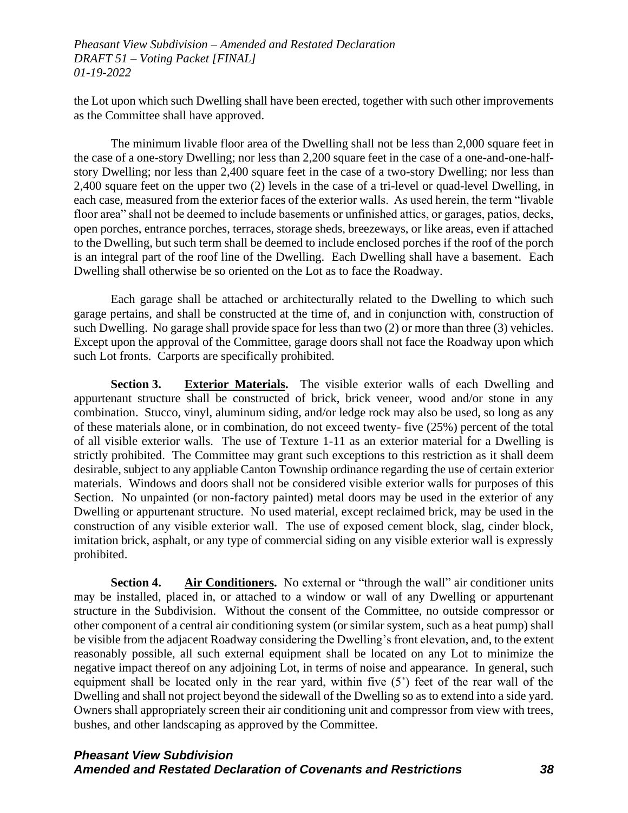the Lot upon which such Dwelling shall have been erected, together with such other improvements as the Committee shall have approved.

The minimum livable floor area of the Dwelling shall not be less than 2,000 square feet in the case of a one-story Dwelling; nor less than 2,200 square feet in the case of a one-and-one-halfstory Dwelling; nor less than 2,400 square feet in the case of a two-story Dwelling; nor less than 2,400 square feet on the upper two (2) levels in the case of a tri-level or quad-level Dwelling, in each case, measured from the exterior faces of the exterior walls. As used herein, the term "livable floor area" shall not be deemed to include basements or unfinished attics, or garages, patios, decks, open porches, entrance porches, terraces, storage sheds, breezeways, or like areas, even if attached to the Dwelling, but such term shall be deemed to include enclosed porches if the roof of the porch is an integral part of the roof line of the Dwelling. Each Dwelling shall have a basement. Each Dwelling shall otherwise be so oriented on the Lot as to face the Roadway.

Each garage shall be attached or architecturally related to the Dwelling to which such garage pertains, and shall be constructed at the time of, and in conjunction with, construction of such Dwelling. No garage shall provide space for less than two (2) or more than three (3) vehicles. Except upon the approval of the Committee, garage doors shall not face the Roadway upon which such Lot fronts. Carports are specifically prohibited.

**Section 3. Exterior Materials.** The visible exterior walls of each Dwelling and appurtenant structure shall be constructed of brick, brick veneer, wood and/or stone in any combination. Stucco, vinyl, aluminum siding, and/or ledge rock may also be used, so long as any of these materials alone, or in combination, do not exceed twenty- five (25%) percent of the total of all visible exterior walls. The use of Texture 1-11 as an exterior material for a Dwelling is strictly prohibited. The Committee may grant such exceptions to this restriction as it shall deem desirable, subject to any appliable Canton Township ordinance regarding the use of certain exterior materials. Windows and doors shall not be considered visible exterior walls for purposes of this Section. No unpainted (or non-factory painted) metal doors may be used in the exterior of any Dwelling or appurtenant structure. No used material, except reclaimed brick, may be used in the construction of any visible exterior wall. The use of exposed cement block, slag, cinder block, imitation brick, asphalt, or any type of commercial siding on any visible exterior wall is expressly prohibited.

**Section 4. Air Conditioners.** No external or "through the wall" air conditioner units may be installed, placed in, or attached to a window or wall of any Dwelling or appurtenant structure in the Subdivision. Without the consent of the Committee, no outside compressor or other component of a central air conditioning system (or similar system, such as a heat pump) shall be visible from the adjacent Roadway considering the Dwelling's front elevation, and, to the extent reasonably possible, all such external equipment shall be located on any Lot to minimize the negative impact thereof on any adjoining Lot, in terms of noise and appearance. In general, such equipment shall be located only in the rear yard, within five (5') feet of the rear wall of the Dwelling and shall not project beyond the sidewall of the Dwelling so as to extend into a side yard. Owners shall appropriately screen their air conditioning unit and compressor from view with trees, bushes, and other landscaping as approved by the Committee.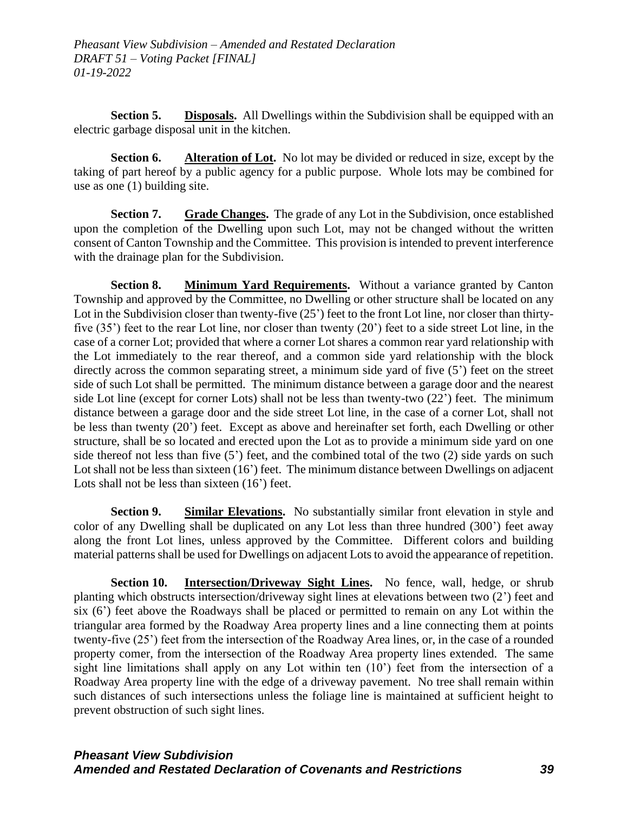**Section 5. Disposals.** All Dwellings within the Subdivision shall be equipped with an electric garbage disposal unit in the kitchen.

**Section 6. Alteration of Lot.** No lot may be divided or reduced in size, except by the taking of part hereof by a public agency for a public purpose. Whole lots may be combined for use as one (1) building site.

**Section 7. Grade Changes.** The grade of any Lot in the Subdivision, once established upon the completion of the Dwelling upon such Lot, may not be changed without the written consent of Canton Township and the Committee. This provision is intended to prevent interference with the drainage plan for the Subdivision.

**Section 8.** Minimum Yard Requirements. Without a variance granted by Canton Township and approved by the Committee, no Dwelling or other structure shall be located on any Lot in the Subdivision closer than twenty-five (25') feet to the front Lot line, nor closer than thirtyfive (35') feet to the rear Lot line, nor closer than twenty (20') feet to a side street Lot line, in the case of a corner Lot; provided that where a corner Lot shares a common rear yard relationship with the Lot immediately to the rear thereof, and a common side yard relationship with the block directly across the common separating street, a minimum side yard of five (5') feet on the street side of such Lot shall be permitted. The minimum distance between a garage door and the nearest side Lot line (except for corner Lots) shall not be less than twenty-two (22') feet. The minimum distance between a garage door and the side street Lot line, in the case of a corner Lot, shall not be less than twenty (20') feet. Except as above and hereinafter set forth, each Dwelling or other structure, shall be so located and erected upon the Lot as to provide a minimum side yard on one side thereof not less than five (5') feet, and the combined total of the two (2) side yards on such Lot shall not be less than sixteen (16') feet. The minimum distance between Dwellings on adjacent Lots shall not be less than sixteen  $(16')$  feet.

**Section 9. Similar Elevations.** No substantially similar front elevation in style and color of any Dwelling shall be duplicated on any Lot less than three hundred (300') feet away along the front Lot lines, unless approved by the Committee. Different colors and building material patterns shall be used for Dwellings on adjacent Lots to avoid the appearance of repetition.

**Section 10.** Intersection/Driveway Sight Lines. No fence, wall, hedge, or shrub planting which obstructs intersection/driveway sight lines at elevations between two (2') feet and six (6') feet above the Roadways shall be placed or permitted to remain on any Lot within the triangular area formed by the Roadway Area property lines and a line connecting them at points twenty-five (25') feet from the intersection of the Roadway Area lines, or, in the case of a rounded property comer, from the intersection of the Roadway Area property lines extended. The same sight line limitations shall apply on any Lot within ten (10') feet from the intersection of a Roadway Area property line with the edge of a driveway pavement. No tree shall remain within such distances of such intersections unless the foliage line is maintained at sufficient height to prevent obstruction of such sight lines.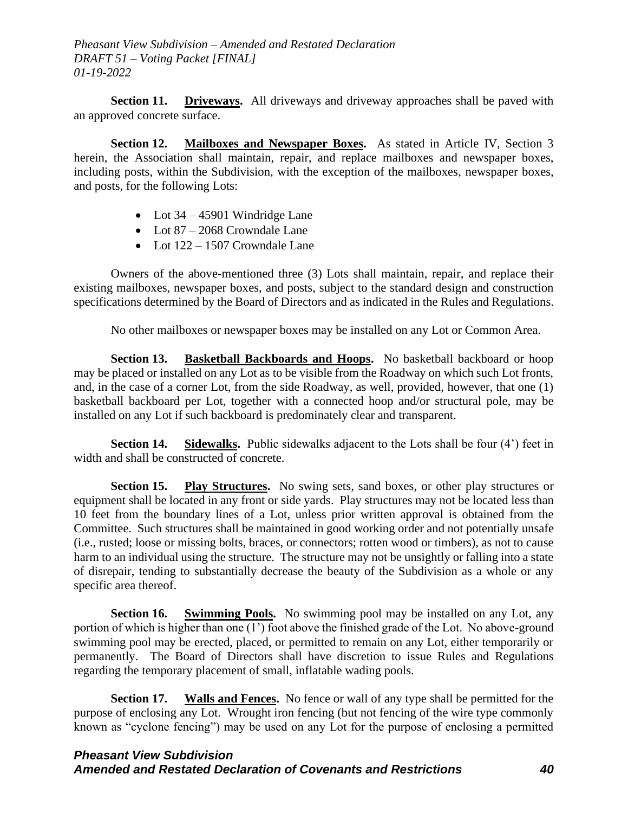**Section 11. Driveways.** All driveways and driveway approaches shall be paved with an approved concrete surface.

**Section 12. Mailboxes and Newspaper Boxes.** As stated in Article IV, Section 3 herein, the Association shall maintain, repair, and replace mailboxes and newspaper boxes, including posts, within the Subdivision, with the exception of the mailboxes, newspaper boxes, and posts, for the following Lots:

- Lot  $34 45901$  Windridge Lane
- Lot 87 2068 Crowndale Lane
- Lot  $122 1507$  Crowndale Lane

Owners of the above-mentioned three (3) Lots shall maintain, repair, and replace their existing mailboxes, newspaper boxes, and posts, subject to the standard design and construction specifications determined by the Board of Directors and as indicated in the Rules and Regulations.

No other mailboxes or newspaper boxes may be installed on any Lot or Common Area.

**Section 13. Basketball Backboards and Hoops.** No basketball backboard or hoop may be placed or installed on any Lot as to be visible from the Roadway on which such Lot fronts, and, in the case of a corner Lot, from the side Roadway, as well, provided, however, that one (1) basketball backboard per Lot, together with a connected hoop and/or structural pole, may be installed on any Lot if such backboard is predominately clear and transparent.

**Section 14. Sidewalks.** Public sidewalks adjacent to the Lots shall be four (4') feet in width and shall be constructed of concrete.

**Section 15. Play Structures.** No swing sets, sand boxes, or other play structures or equipment shall be located in any front or side yards. Play structures may not be located less than 10 feet from the boundary lines of a Lot, unless prior written approval is obtained from the Committee. Such structures shall be maintained in good working order and not potentially unsafe (i.e., rusted; loose or missing bolts, braces, or connectors; rotten wood or timbers), as not to cause harm to an individual using the structure. The structure may not be unsightly or falling into a state of disrepair, tending to substantially decrease the beauty of the Subdivision as a whole or any specific area thereof.

**Section 16. Swimming Pools.** No swimming pool may be installed on any Lot, any portion of which is higher than one (1') foot above the finished grade of the Lot. No above-ground swimming pool may be erected, placed, or permitted to remain on any Lot, either temporarily or permanently. The Board of Directors shall have discretion to issue Rules and Regulations regarding the temporary placement of small, inflatable wading pools.

**Section 17. Walls and Fences.** No fence or wall of any type shall be permitted for the purpose of enclosing any Lot. Wrought iron fencing (but not fencing of the wire type commonly known as "cyclone fencing") may be used on any Lot for the purpose of enclosing a permitted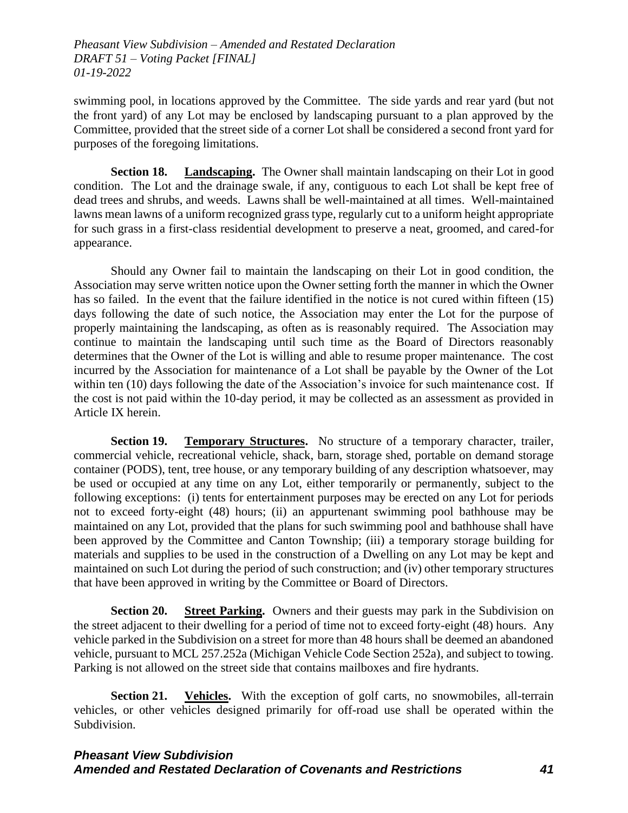swimming pool, in locations approved by the Committee. The side yards and rear yard (but not the front yard) of any Lot may be enclosed by landscaping pursuant to a plan approved by the Committee, provided that the street side of a corner Lot shall be considered a second front yard for purposes of the foregoing limitations.

**Section 18. Landscaping.** The Owner shall maintain landscaping on their Lot in good condition. The Lot and the drainage swale, if any, contiguous to each Lot shall be kept free of dead trees and shrubs, and weeds. Lawns shall be well-maintained at all times. Well-maintained lawns mean lawns of a uniform recognized grass type, regularly cut to a uniform height appropriate for such grass in a first-class residential development to preserve a neat, groomed, and cared-for appearance.

Should any Owner fail to maintain the landscaping on their Lot in good condition, the Association may serve written notice upon the Owner setting forth the manner in which the Owner has so failed. In the event that the failure identified in the notice is not cured within fifteen (15) days following the date of such notice, the Association may enter the Lot for the purpose of properly maintaining the landscaping, as often as is reasonably required. The Association may continue to maintain the landscaping until such time as the Board of Directors reasonably determines that the Owner of the Lot is willing and able to resume proper maintenance. The cost incurred by the Association for maintenance of a Lot shall be payable by the Owner of the Lot within ten (10) days following the date of the Association's invoice for such maintenance cost. If the cost is not paid within the 10-day period, it may be collected as an assessment as provided in Article IX herein.

**Section 19. Temporary Structures.** No structure of a temporary character, trailer, commercial vehicle, recreational vehicle, shack, barn, storage shed, portable on demand storage container (PODS), tent, tree house, or any temporary building of any description whatsoever, may be used or occupied at any time on any Lot, either temporarily or permanently, subject to the following exceptions: (i) tents for entertainment purposes may be erected on any Lot for periods not to exceed forty-eight (48) hours; (ii) an appurtenant swimming pool bathhouse may be maintained on any Lot, provided that the plans for such swimming pool and bathhouse shall have been approved by the Committee and Canton Township; (iii) a temporary storage building for materials and supplies to be used in the construction of a Dwelling on any Lot may be kept and maintained on such Lot during the period of such construction; and (iv) other temporary structures that have been approved in writing by the Committee or Board of Directors.

**Section 20. Street Parking.** Owners and their guests may park in the Subdivision on the street adjacent to their dwelling for a period of time not to exceed forty-eight (48) hours. Any vehicle parked in the Subdivision on a street for more than 48 hours shall be deemed an abandoned vehicle, pursuant to MCL 257.252a (Michigan Vehicle Code Section 252a), and subject to towing. Parking is not allowed on the street side that contains mailboxes and fire hydrants.

**Section 21. Vehicles.** With the exception of golf carts, no snowmobiles, all-terrain vehicles, or other vehicles designed primarily for off-road use shall be operated within the Subdivision.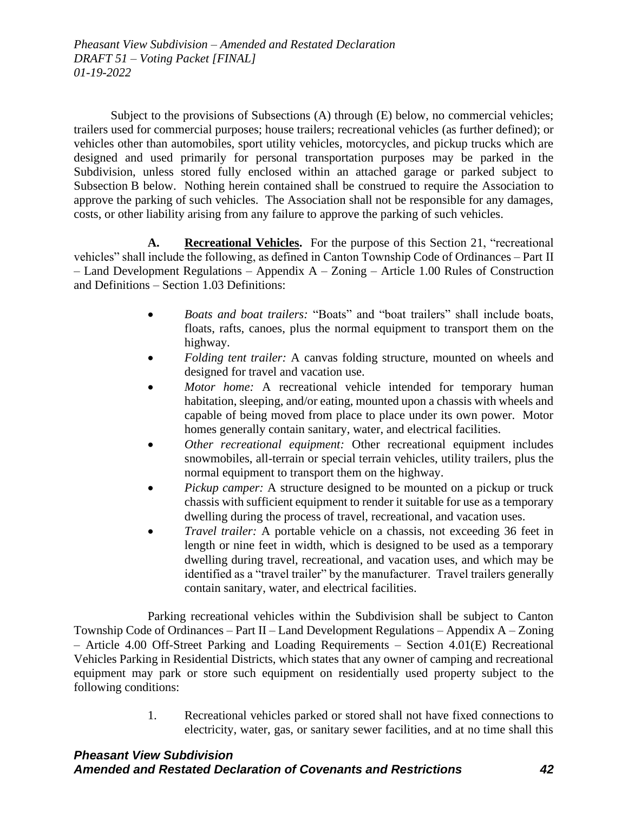Subject to the provisions of Subsections (A) through (E) below, no commercial vehicles; trailers used for commercial purposes; house trailers; recreational vehicles (as further defined); or vehicles other than automobiles, sport utility vehicles, motorcycles, and pickup trucks which are designed and used primarily for personal transportation purposes may be parked in the Subdivision, unless stored fully enclosed within an attached garage or parked subject to Subsection B below. Nothing herein contained shall be construed to require the Association to approve the parking of such vehicles. The Association shall not be responsible for any damages, costs, or other liability arising from any failure to approve the parking of such vehicles.

**A. Recreational Vehicles.** For the purpose of this Section 21, "recreational vehicles" shall include the following, as defined in Canton Township Code of Ordinances – Part II – Land Development Regulations – Appendix A – Zoning – Article 1.00 Rules of Construction and Definitions – Section 1.03 Definitions:

- *Boats and boat trailers:* "Boats" and "boat trailers" shall include boats, floats, rafts, canoes, plus the normal equipment to transport them on the highway.
- *Folding tent trailer:* A canvas folding structure, mounted on wheels and designed for travel and vacation use.
- *Motor home:* A recreational vehicle intended for temporary human habitation, sleeping, and/or eating, mounted upon a chassis with wheels and capable of being moved from place to place under its own power. Motor homes generally contain sanitary, water, and electrical facilities.
- *Other recreational equipment:* Other recreational equipment includes snowmobiles, all-terrain or special terrain vehicles, utility trailers, plus the normal equipment to transport them on the highway.
- *Pickup camper:* A structure designed to be mounted on a pickup or truck chassis with sufficient equipment to render it suitable for use as a temporary dwelling during the process of travel, recreational, and vacation uses.
- *Travel trailer:* A portable vehicle on a chassis, not exceeding 36 feet in length or nine feet in width, which is designed to be used as a temporary dwelling during travel, recreational, and vacation uses, and which may be identified as a "travel trailer" by the manufacturer. Travel trailers generally contain sanitary, water, and electrical facilities.

Parking recreational vehicles within the Subdivision shall be subject to Canton Township Code of Ordinances – Part II – Land Development Regulations – Appendix A – Zoning – Article 4.00 Off-Street Parking and Loading Requirements – Section 4.01(E) Recreational Vehicles Parking in Residential Districts, which states that any owner of camping and recreational equipment may park or store such equipment on residentially used property subject to the following conditions:

> 1. Recreational vehicles parked or stored shall not have fixed connections to electricity, water, gas, or sanitary sewer facilities, and at no time shall this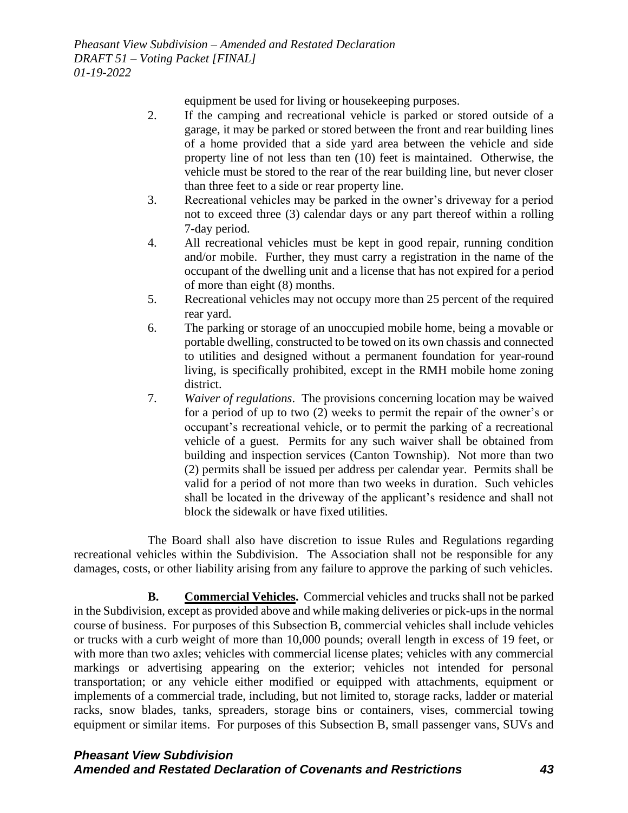equipment be used for living or housekeeping purposes.

- 2. If the camping and recreational vehicle is parked or stored outside of a garage, it may be parked or stored between the front and rear building lines of a home provided that a side yard area between the vehicle and side property line of not less than ten (10) feet is maintained. Otherwise, the vehicle must be stored to the rear of the rear building line, but never closer than three feet to a side or rear property line.
- 3. Recreational vehicles may be parked in the owner's driveway for a period not to exceed three (3) calendar days or any part thereof within a rolling 7-day period.
- 4. All recreational vehicles must be kept in good repair, running condition and/or mobile. Further, they must carry a registration in the name of the occupant of the dwelling unit and a license that has not expired for a period of more than eight (8) months.
- 5. Recreational vehicles may not occupy more than 25 percent of the required rear yard.
- 6. The parking or storage of an unoccupied mobile home, being a movable or portable dwelling, constructed to be towed on its own chassis and connected to utilities and designed without a permanent foundation for year-round living, is specifically prohibited, except in the RMH mobile home zoning district.
- 7. *Waiver of regulations*. The provisions concerning location may be waived for a period of up to two (2) weeks to permit the repair of the owner's or occupant's recreational vehicle, or to permit the parking of a recreational vehicle of a guest. Permits for any such waiver shall be obtained from building and inspection services (Canton Township). Not more than two (2) permits shall be issued per address per calendar year. Permits shall be valid for a period of not more than two weeks in duration. Such vehicles shall be located in the driveway of the applicant's residence and shall not block the sidewalk or have fixed utilities.

The Board shall also have discretion to issue Rules and Regulations regarding recreational vehicles within the Subdivision. The Association shall not be responsible for any damages, costs, or other liability arising from any failure to approve the parking of such vehicles.

**B. Commercial Vehicles.** Commercial vehicles and trucks shall not be parked in the Subdivision, except as provided above and while making deliveries or pick-ups in the normal course of business. For purposes of this Subsection B, commercial vehicles shall include vehicles or trucks with a curb weight of more than 10,000 pounds; overall length in excess of 19 feet, or with more than two axles; vehicles with commercial license plates; vehicles with any commercial markings or advertising appearing on the exterior; vehicles not intended for personal transportation; or any vehicle either modified or equipped with attachments, equipment or implements of a commercial trade, including, but not limited to, storage racks, ladder or material racks, snow blades, tanks, spreaders, storage bins or containers, vises, commercial towing equipment or similar items. For purposes of this Subsection B, small passenger vans, SUVs and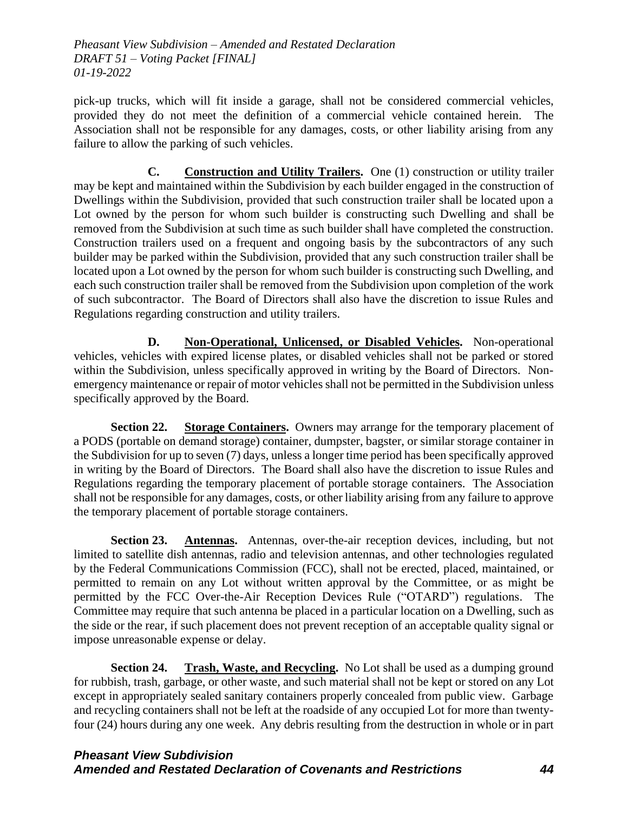pick-up trucks, which will fit inside a garage, shall not be considered commercial vehicles, provided they do not meet the definition of a commercial vehicle contained herein. The Association shall not be responsible for any damages, costs, or other liability arising from any failure to allow the parking of such vehicles.

**C. Construction and Utility Trailers.** One (1) construction or utility trailer may be kept and maintained within the Subdivision by each builder engaged in the construction of Dwellings within the Subdivision, provided that such construction trailer shall be located upon a Lot owned by the person for whom such builder is constructing such Dwelling and shall be removed from the Subdivision at such time as such builder shall have completed the construction. Construction trailers used on a frequent and ongoing basis by the subcontractors of any such builder may be parked within the Subdivision, provided that any such construction trailer shall be located upon a Lot owned by the person for whom such builder is constructing such Dwelling, and each such construction trailer shall be removed from the Subdivision upon completion of the work of such subcontractor. The Board of Directors shall also have the discretion to issue Rules and Regulations regarding construction and utility trailers.

**D. Non-Operational, Unlicensed, or Disabled Vehicles.** Non-operational vehicles, vehicles with expired license plates, or disabled vehicles shall not be parked or stored within the Subdivision, unless specifically approved in writing by the Board of Directors. Nonemergency maintenance or repair of motor vehicles shall not be permitted in the Subdivision unless specifically approved by the Board.

**Section 22. Storage Containers.** Owners may arrange for the temporary placement of a PODS (portable on demand storage) container, dumpster, bagster, or similar storage container in the Subdivision for up to seven (7) days, unless a longer time period has been specifically approved in writing by the Board of Directors. The Board shall also have the discretion to issue Rules and Regulations regarding the temporary placement of portable storage containers. The Association shall not be responsible for any damages, costs, or other liability arising from any failure to approve the temporary placement of portable storage containers.

**Section 23. Antennas.** Antennas, over-the-air reception devices, including, but not limited to satellite dish antennas, radio and television antennas, and other technologies regulated by the Federal Communications Commission (FCC), shall not be erected, placed, maintained, or permitted to remain on any Lot without written approval by the Committee, or as might be permitted by the FCC Over-the-Air Reception Devices Rule ("OTARD") regulations. The Committee may require that such antenna be placed in a particular location on a Dwelling, such as the side or the rear, if such placement does not prevent reception of an acceptable quality signal or impose unreasonable expense or delay.

**Section 24. Trash, Waste, and Recycling.** No Lot shall be used as a dumping ground for rubbish, trash, garbage, or other waste, and such material shall not be kept or stored on any Lot except in appropriately sealed sanitary containers properly concealed from public view. Garbage and recycling containers shall not be left at the roadside of any occupied Lot for more than twentyfour (24) hours during any one week. Any debris resulting from the destruction in whole or in part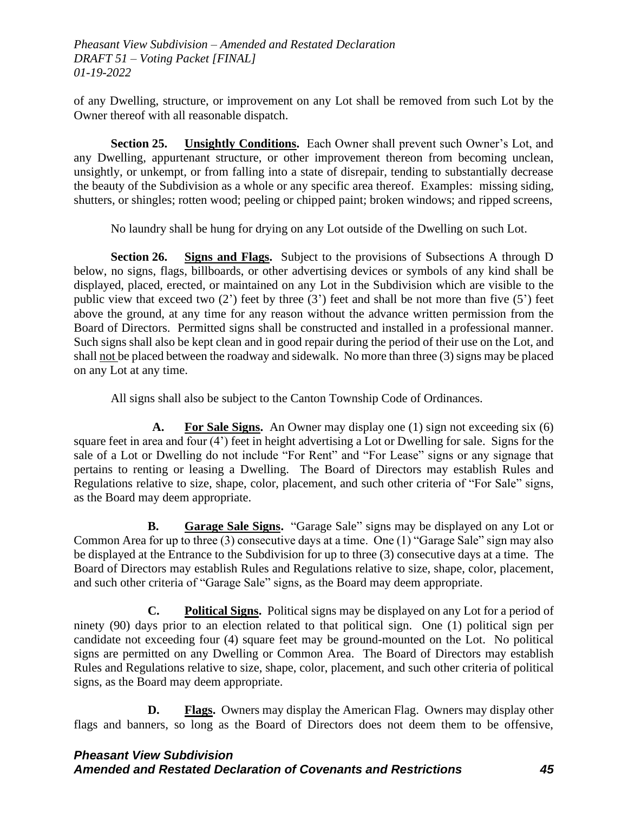of any Dwelling, structure, or improvement on any Lot shall be removed from such Lot by the Owner thereof with all reasonable dispatch.

**Section 25. Unsightly Conditions.** Each Owner shall prevent such Owner's Lot, and any Dwelling, appurtenant structure, or other improvement thereon from becoming unclean, unsightly, or unkempt, or from falling into a state of disrepair, tending to substantially decrease the beauty of the Subdivision as a whole or any specific area thereof. Examples: missing siding, shutters, or shingles; rotten wood; peeling or chipped paint; broken windows; and ripped screens,

No laundry shall be hung for drying on any Lot outside of the Dwelling on such Lot.

**Section 26. Signs and Flags.** Subject to the provisions of Subsections A through D below, no signs, flags, billboards, or other advertising devices or symbols of any kind shall be displayed, placed, erected, or maintained on any Lot in the Subdivision which are visible to the public view that exceed two  $(2')$  feet by three  $(3')$  feet and shall be not more than five  $(5')$  feet above the ground, at any time for any reason without the advance written permission from the Board of Directors. Permitted signs shall be constructed and installed in a professional manner. Such signs shall also be kept clean and in good repair during the period of their use on the Lot, and shall not be placed between the roadway and sidewalk. No more than three (3) signs may be placed on any Lot at any time.

All signs shall also be subject to the Canton Township Code of Ordinances.

**A. For Sale Signs.** An Owner may display one (1) sign not exceeding six (6) square feet in area and four (4') feet in height advertising a Lot or Dwelling for sale. Signs for the sale of a Lot or Dwelling do not include "For Rent" and "For Lease" signs or any signage that pertains to renting or leasing a Dwelling. The Board of Directors may establish Rules and Regulations relative to size, shape, color, placement, and such other criteria of "For Sale" signs, as the Board may deem appropriate.

**B. Garage Sale Signs.** "Garage Sale" signs may be displayed on any Lot or Common Area for up to three (3) consecutive days at a time. One (1) "Garage Sale" sign may also be displayed at the Entrance to the Subdivision for up to three (3) consecutive days at a time. The Board of Directors may establish Rules and Regulations relative to size, shape, color, placement, and such other criteria of "Garage Sale" signs, as the Board may deem appropriate.

**C. Political Signs.** Political signs may be displayed on any Lot for a period of ninety (90) days prior to an election related to that political sign. One (1) political sign per candidate not exceeding four (4) square feet may be ground-mounted on the Lot. No political signs are permitted on any Dwelling or Common Area. The Board of Directors may establish Rules and Regulations relative to size, shape, color, placement, and such other criteria of political signs, as the Board may deem appropriate.

**D. Flags.** Owners may display the American Flag. Owners may display other flags and banners, so long as the Board of Directors does not deem them to be offensive,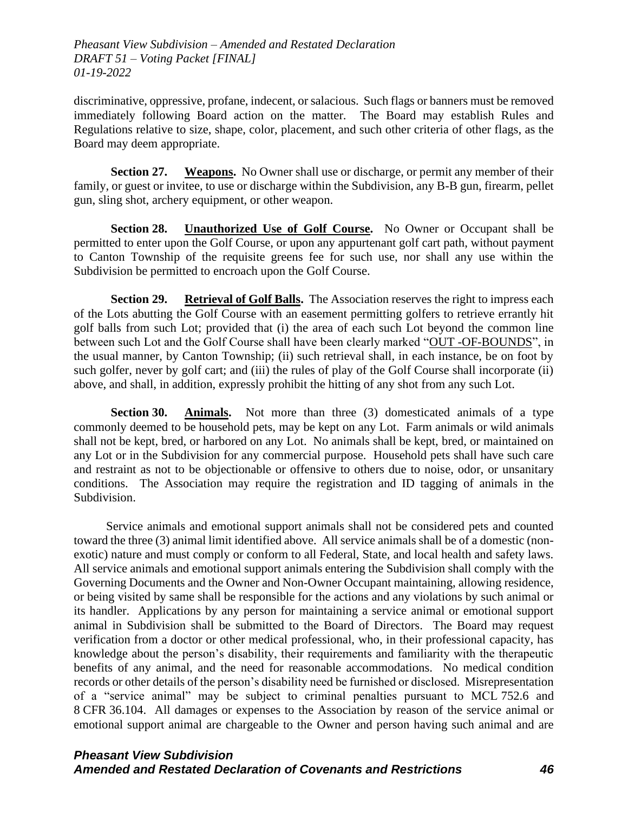discriminative, oppressive, profane, indecent, or salacious. Such flags or banners must be removed immediately following Board action on the matter. The Board may establish Rules and Regulations relative to size, shape, color, placement, and such other criteria of other flags, as the Board may deem appropriate.

**Section 27. Weapons.** No Owner shall use or discharge, or permit any member of their family, or guest or invitee, to use or discharge within the Subdivision, any B-B gun, firearm, pellet gun, sling shot, archery equipment, or other weapon.

**Section 28. Unauthorized Use of Golf Course.** No Owner or Occupant shall be permitted to enter upon the Golf Course, or upon any appurtenant golf cart path, without payment to Canton Township of the requisite greens fee for such use, nor shall any use within the Subdivision be permitted to encroach upon the Golf Course.

**Section 29. Retrieval of Golf Balls.** The Association reserves the right to impress each of the Lots abutting the Golf Course with an easement permitting golfers to retrieve errantly hit golf balls from such Lot; provided that (i) the area of each such Lot beyond the common line between such Lot and the Golf Course shall have been clearly marked "OUT -OF-BOUNDS", in the usual manner, by Canton Township; (ii) such retrieval shall, in each instance, be on foot by such golfer, never by golf cart; and (iii) the rules of play of the Golf Course shall incorporate (ii) above, and shall, in addition, expressly prohibit the hitting of any shot from any such Lot.

**Section 30. Animals.** Not more than three (3) domesticated animals of a type commonly deemed to be household pets, may be kept on any Lot. Farm animals or wild animals shall not be kept, bred, or harbored on any Lot. No animals shall be kept, bred, or maintained on any Lot or in the Subdivision for any commercial purpose. Household pets shall have such care and restraint as not to be objectionable or offensive to others due to noise, odor, or unsanitary conditions. The Association may require the registration and ID tagging of animals in the Subdivision.

Service animals and emotional support animals shall not be considered pets and counted toward the three (3) animal limit identified above. All service animals shall be of a domestic (nonexotic) nature and must comply or conform to all Federal, State, and local health and safety laws. All service animals and emotional support animals entering the Subdivision shall comply with the Governing Documents and the Owner and Non-Owner Occupant maintaining, allowing residence, or being visited by same shall be responsible for the actions and any violations by such animal or its handler. Applications by any person for maintaining a service animal or emotional support animal in Subdivision shall be submitted to the Board of Directors. The Board may request verification from a doctor or other medical professional, who, in their professional capacity, has knowledge about the person's disability, their requirements and familiarity with the therapeutic benefits of any animal, and the need for reasonable accommodations. No medical condition records or other details of the person's disability need be furnished or disclosed. Misrepresentation of a "service animal" may be subject to criminal penalties pursuant to MCL 752.6 and 8 CFR 36.104. All damages or expenses to the Association by reason of the service animal or emotional support animal are chargeable to the Owner and person having such animal and are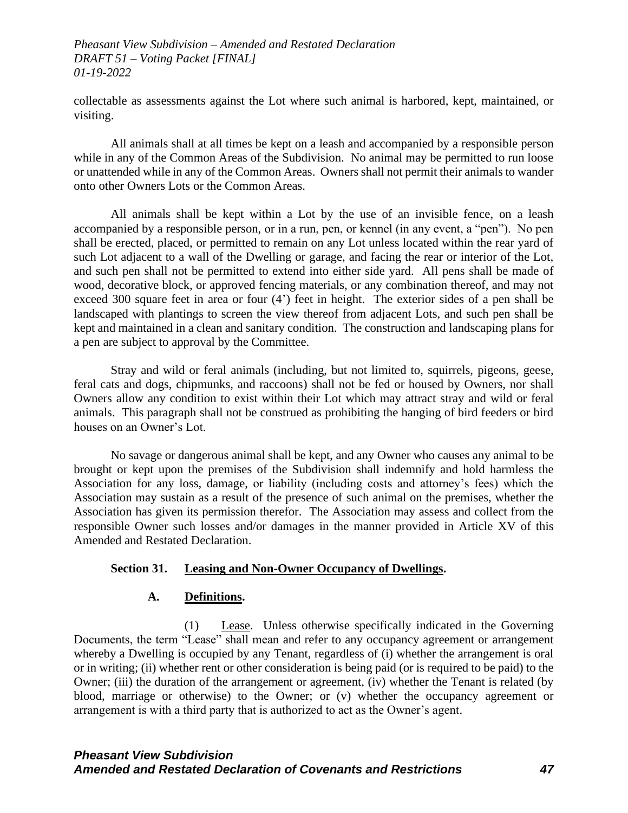collectable as assessments against the Lot where such animal is harbored, kept, maintained, or visiting.

All animals shall at all times be kept on a leash and accompanied by a responsible person while in any of the Common Areas of the Subdivision. No animal may be permitted to run loose or unattended while in any of the Common Areas. Owners shall not permit their animals to wander onto other Owners Lots or the Common Areas.

All animals shall be kept within a Lot by the use of an invisible fence, on a leash accompanied by a responsible person, or in a run, pen, or kennel (in any event, a "pen"). No pen shall be erected, placed, or permitted to remain on any Lot unless located within the rear yard of such Lot adjacent to a wall of the Dwelling or garage, and facing the rear or interior of the Lot, and such pen shall not be permitted to extend into either side yard. All pens shall be made of wood, decorative block, or approved fencing materials, or any combination thereof, and may not exceed 300 square feet in area or four (4') feet in height. The exterior sides of a pen shall be landscaped with plantings to screen the view thereof from adjacent Lots, and such pen shall be kept and maintained in a clean and sanitary condition. The construction and landscaping plans for a pen are subject to approval by the Committee.

Stray and wild or feral animals (including, but not limited to, squirrels, pigeons, geese, feral cats and dogs, chipmunks, and raccoons) shall not be fed or housed by Owners, nor shall Owners allow any condition to exist within their Lot which may attract stray and wild or feral animals. This paragraph shall not be construed as prohibiting the hanging of bird feeders or bird houses on an Owner's Lot.

No savage or dangerous animal shall be kept, and any Owner who causes any animal to be brought or kept upon the premises of the Subdivision shall indemnify and hold harmless the Association for any loss, damage, or liability (including costs and attorney's fees) which the Association may sustain as a result of the presence of such animal on the premises, whether the Association has given its permission therefor. The Association may assess and collect from the responsible Owner such losses and/or damages in the manner provided in Article XV of this Amended and Restated Declaration.

#### **Section 31. Leasing and Non-Owner Occupancy of Dwellings.**

#### **A. Definitions.**

(1) Lease.Unless otherwise specifically indicated in the Governing Documents, the term "Lease" shall mean and refer to any occupancy agreement or arrangement whereby a Dwelling is occupied by any Tenant, regardless of (i) whether the arrangement is oral or in writing; (ii) whether rent or other consideration is being paid (or is required to be paid) to the Owner; (iii) the duration of the arrangement or agreement, (iv) whether the Tenant is related (by blood, marriage or otherwise) to the Owner; or (v) whether the occupancy agreement or arrangement is with a third party that is authorized to act as the Owner's agent.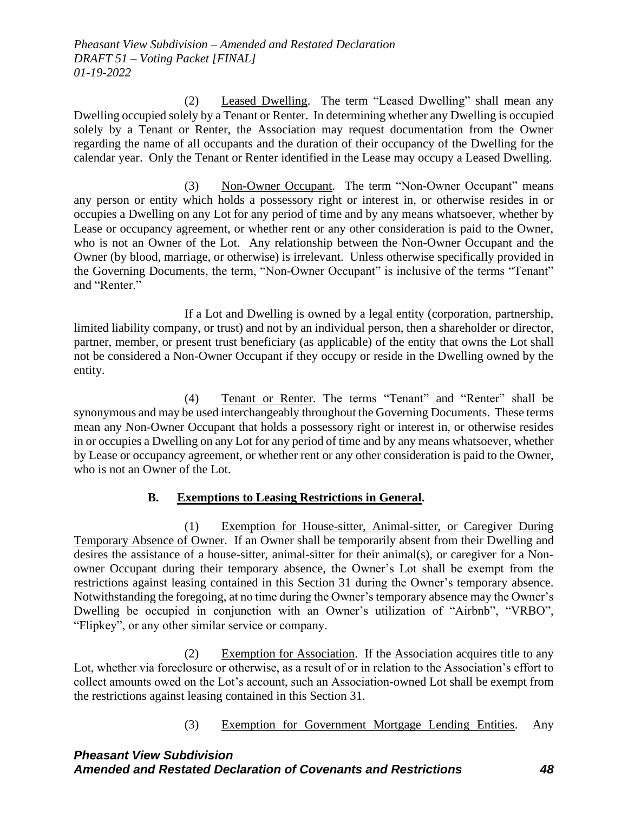(2) Leased Dwelling. The term "Leased Dwelling" shall mean any Dwelling occupied solely by a Tenant or Renter. In determining whether any Dwelling is occupied solely by a Tenant or Renter, the Association may request documentation from the Owner regarding the name of all occupants and the duration of their occupancy of the Dwelling for the calendar year. Only the Tenant or Renter identified in the Lease may occupy a Leased Dwelling.

(3) Non-Owner Occupant. The term "Non-Owner Occupant" means any person or entity which holds a possessory right or interest in, or otherwise resides in or occupies a Dwelling on any Lot for any period of time and by any means whatsoever, whether by Lease or occupancy agreement, or whether rent or any other consideration is paid to the Owner, who is not an Owner of the Lot. Any relationship between the Non-Owner Occupant and the Owner (by blood, marriage, or otherwise) is irrelevant. Unless otherwise specifically provided in the Governing Documents, the term, "Non-Owner Occupant" is inclusive of the terms "Tenant" and "Renter."

If a Lot and Dwelling is owned by a legal entity (corporation, partnership, limited liability company, or trust) and not by an individual person, then a shareholder or director, partner, member, or present trust beneficiary (as applicable) of the entity that owns the Lot shall not be considered a Non-Owner Occupant if they occupy or reside in the Dwelling owned by the entity.

(4) Tenant or Renter. The terms "Tenant" and "Renter" shall be synonymous and may be used interchangeably throughout the Governing Documents. These terms mean any Non-Owner Occupant that holds a possessory right or interest in, or otherwise resides in or occupies a Dwelling on any Lot for any period of time and by any means whatsoever, whether by Lease or occupancy agreement, or whether rent or any other consideration is paid to the Owner, who is not an Owner of the Lot.

# **B. Exemptions to Leasing Restrictions in General.**

(1) Exemption for House-sitter, Animal-sitter, or Caregiver During Temporary Absence of Owner. If an Owner shall be temporarily absent from their Dwelling and desires the assistance of a house-sitter, animal-sitter for their animal(s), or caregiver for a Nonowner Occupant during their temporary absence, the Owner's Lot shall be exempt from the restrictions against leasing contained in this Section 31 during the Owner's temporary absence. Notwithstanding the foregoing, at no time during the Owner's temporary absence may the Owner's Dwelling be occupied in conjunction with an Owner's utilization of "Airbnb", "VRBO", "Flipkey", or any other similar service or company.

(2) Exemption for Association. If the Association acquires title to any Lot, whether via foreclosure or otherwise, as a result of or in relation to the Association's effort to collect amounts owed on the Lot's account, such an Association-owned Lot shall be exempt from the restrictions against leasing contained in this Section 31.

(3) Exemption for Government Mortgage Lending Entities. Any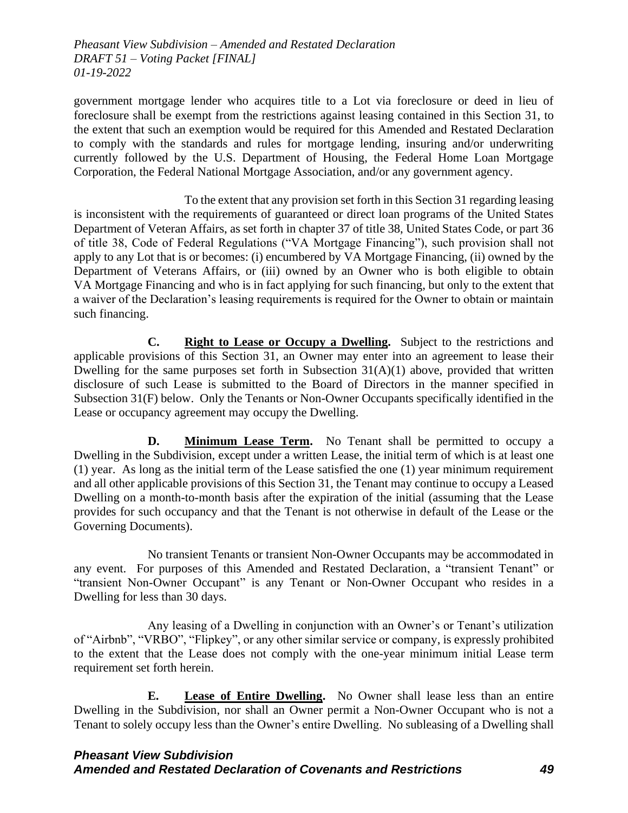government mortgage lender who acquires title to a Lot via foreclosure or deed in lieu of foreclosure shall be exempt from the restrictions against leasing contained in this Section 31, to the extent that such an exemption would be required for this Amended and Restated Declaration to comply with the standards and rules for mortgage lending, insuring and/or underwriting currently followed by the U.S. Department of Housing, the Federal Home Loan Mortgage Corporation, the Federal National Mortgage Association, and/or any government agency.

To the extent that any provision set forth in this Section 31 regarding leasing is inconsistent with the requirements of guaranteed or direct loan programs of the United States Department of Veteran Affairs, as set forth in chapter 37 of title 38, United States Code, or part 36 of title 38, Code of Federal Regulations ("VA Mortgage Financing"), such provision shall not apply to any Lot that is or becomes: (i) encumbered by VA Mortgage Financing, (ii) owned by the Department of Veterans Affairs, or (iii) owned by an Owner who is both eligible to obtain VA Mortgage Financing and who is in fact applying for such financing, but only to the extent that a waiver of the Declaration's leasing requirements is required for the Owner to obtain or maintain such financing.

**C. Right to Lease or Occupy a Dwelling.** Subject to the restrictions and applicable provisions of this Section 31, an Owner may enter into an agreement to lease their Dwelling for the same purposes set forth in Subsection 31(A)(1) above, provided that written disclosure of such Lease is submitted to the Board of Directors in the manner specified in Subsection 31(F) below. Only the Tenants or Non-Owner Occupants specifically identified in the Lease or occupancy agreement may occupy the Dwelling.

**D. Minimum Lease Term.** No Tenant shall be permitted to occupy a Dwelling in the Subdivision, except under a written Lease, the initial term of which is at least one (1) year. As long as the initial term of the Lease satisfied the one (1) year minimum requirement and all other applicable provisions of this Section 31, the Tenant may continue to occupy a Leased Dwelling on a month-to-month basis after the expiration of the initial (assuming that the Lease provides for such occupancy and that the Tenant is not otherwise in default of the Lease or the Governing Documents).

No transient Tenants or transient Non-Owner Occupants may be accommodated in any event. For purposes of this Amended and Restated Declaration, a "transient Tenant" or "transient Non-Owner Occupant" is any Tenant or Non-Owner Occupant who resides in a Dwelling for less than 30 days.

Any leasing of a Dwelling in conjunction with an Owner's or Tenant's utilization of "Airbnb", "VRBO", "Flipkey", or any other similar service or company, is expressly prohibited to the extent that the Lease does not comply with the one-year minimum initial Lease term requirement set forth herein.

**E. Lease of Entire Dwelling.** No Owner shall lease less than an entire Dwelling in the Subdivision, nor shall an Owner permit a Non-Owner Occupant who is not a Tenant to solely occupy less than the Owner's entire Dwelling. No subleasing of a Dwelling shall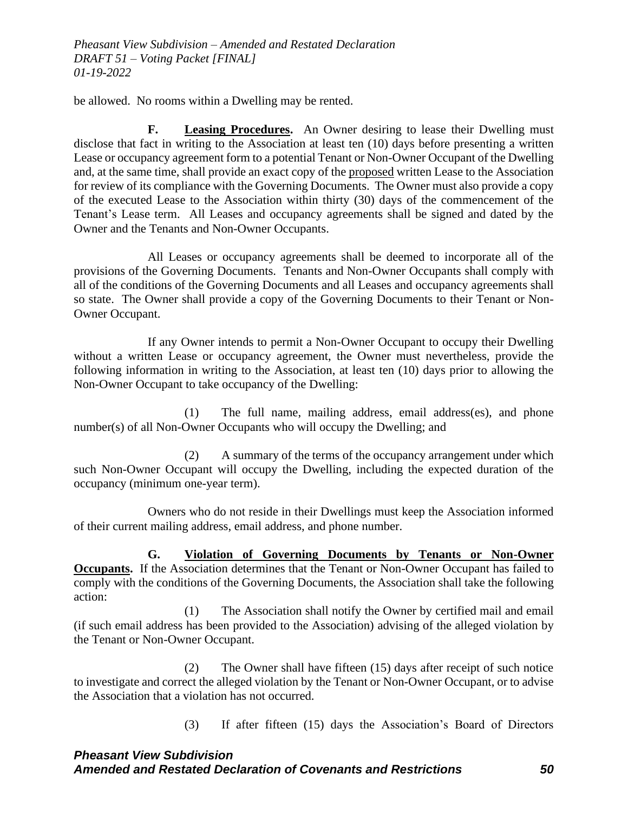be allowed. No rooms within a Dwelling may be rented.

**F. Leasing Procedures.** An Owner desiring to lease their Dwelling must disclose that fact in writing to the Association at least ten (10) days before presenting a written Lease or occupancy agreement form to a potential Tenant or Non-Owner Occupant of the Dwelling and, at the same time, shall provide an exact copy of the proposed written Lease to the Association for review of its compliance with the Governing Documents. The Owner must also provide a copy of the executed Lease to the Association within thirty (30) days of the commencement of the Tenant's Lease term. All Leases and occupancy agreements shall be signed and dated by the Owner and the Tenants and Non-Owner Occupants.

All Leases or occupancy agreements shall be deemed to incorporate all of the provisions of the Governing Documents. Tenants and Non-Owner Occupants shall comply with all of the conditions of the Governing Documents and all Leases and occupancy agreements shall so state. The Owner shall provide a copy of the Governing Documents to their Tenant or Non-Owner Occupant.

If any Owner intends to permit a Non-Owner Occupant to occupy their Dwelling without a written Lease or occupancy agreement, the Owner must nevertheless, provide the following information in writing to the Association, at least ten (10) days prior to allowing the Non-Owner Occupant to take occupancy of the Dwelling:

(1) The full name, mailing address, email address(es), and phone number(s) of all Non-Owner Occupants who will occupy the Dwelling; and

(2) A summary of the terms of the occupancy arrangement under which such Non-Owner Occupant will occupy the Dwelling, including the expected duration of the occupancy (minimum one-year term).

Owners who do not reside in their Dwellings must keep the Association informed of their current mailing address, email address, and phone number.

**G. Violation of Governing Documents by Tenants or Non-Owner Occupants.** If the Association determines that the Tenant or Non-Owner Occupant has failed to comply with the conditions of the Governing Documents, the Association shall take the following action:

(1) The Association shall notify the Owner by certified mail and email (if such email address has been provided to the Association) advising of the alleged violation by the Tenant or Non-Owner Occupant.

(2) The Owner shall have fifteen (15) days after receipt of such notice to investigate and correct the alleged violation by the Tenant or Non-Owner Occupant, or to advise the Association that a violation has not occurred.

(3) If after fifteen (15) days the Association's Board of Directors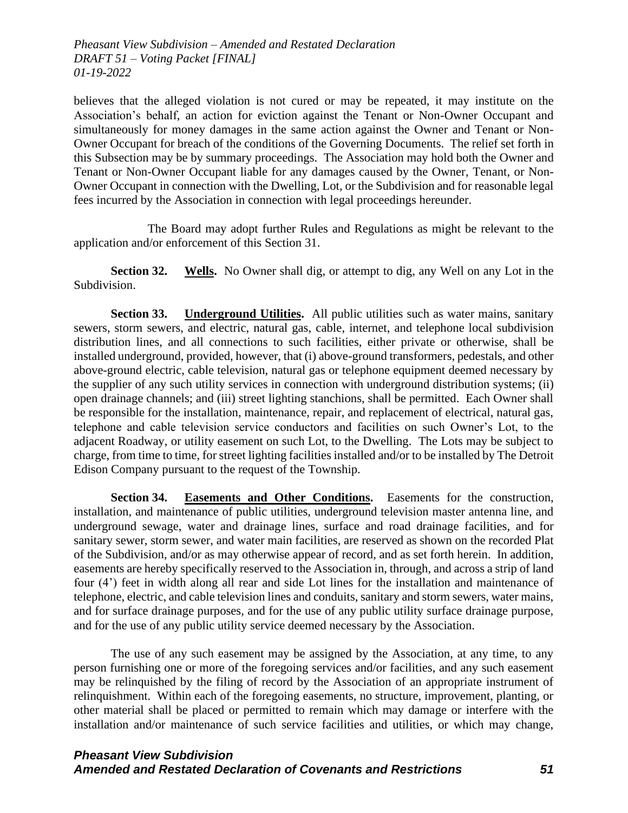believes that the alleged violation is not cured or may be repeated, it may institute on the Association's behalf, an action for eviction against the Tenant or Non-Owner Occupant and simultaneously for money damages in the same action against the Owner and Tenant or Non-Owner Occupant for breach of the conditions of the Governing Documents. The relief set forth in this Subsection may be by summary proceedings. The Association may hold both the Owner and Tenant or Non-Owner Occupant liable for any damages caused by the Owner, Tenant, or Non-Owner Occupant in connection with the Dwelling, Lot, or the Subdivision and for reasonable legal fees incurred by the Association in connection with legal proceedings hereunder.

The Board may adopt further Rules and Regulations as might be relevant to the application and/or enforcement of this Section 31.

**Section 32. Wells.** No Owner shall dig, or attempt to dig, any Well on any Lot in the Subdivision.

**Section 33. Underground Utilities.** All public utilities such as water mains, sanitary sewers, storm sewers, and electric, natural gas, cable, internet, and telephone local subdivision distribution lines, and all connections to such facilities, either private or otherwise, shall be installed underground, provided, however, that (i) above-ground transformers, pedestals, and other above-ground electric, cable television, natural gas or telephone equipment deemed necessary by the supplier of any such utility services in connection with underground distribution systems; (ii) open drainage channels; and (iii) street lighting stanchions, shall be permitted. Each Owner shall be responsible for the installation, maintenance, repair, and replacement of electrical, natural gas, telephone and cable television service conductors and facilities on such Owner's Lot, to the adjacent Roadway, or utility easement on such Lot, to the Dwelling. The Lots may be subject to charge, from time to time, for street lighting facilities installed and/or to be installed by The Detroit Edison Company pursuant to the request of the Township.

**Section 34. Easements and Other Conditions.** Easements for the construction, installation, and maintenance of public utilities, underground television master antenna line, and underground sewage, water and drainage lines, surface and road drainage facilities, and for sanitary sewer, storm sewer, and water main facilities, are reserved as shown on the recorded Plat of the Subdivision, and/or as may otherwise appear of record, and as set forth herein. In addition, easements are hereby specifically reserved to the Association in, through, and across a strip of land four (4') feet in width along all rear and side Lot lines for the installation and maintenance of telephone, electric, and cable television lines and conduits, sanitary and storm sewers, water mains, and for surface drainage purposes, and for the use of any public utility surface drainage purpose, and for the use of any public utility service deemed necessary by the Association.

The use of any such easement may be assigned by the Association, at any time, to any person furnishing one or more of the foregoing services and/or facilities, and any such easement may be relinquished by the filing of record by the Association of an appropriate instrument of relinquishment. Within each of the foregoing easements, no structure, improvement, planting, or other material shall be placed or permitted to remain which may damage or interfere with the installation and/or maintenance of such service facilities and utilities, or which may change,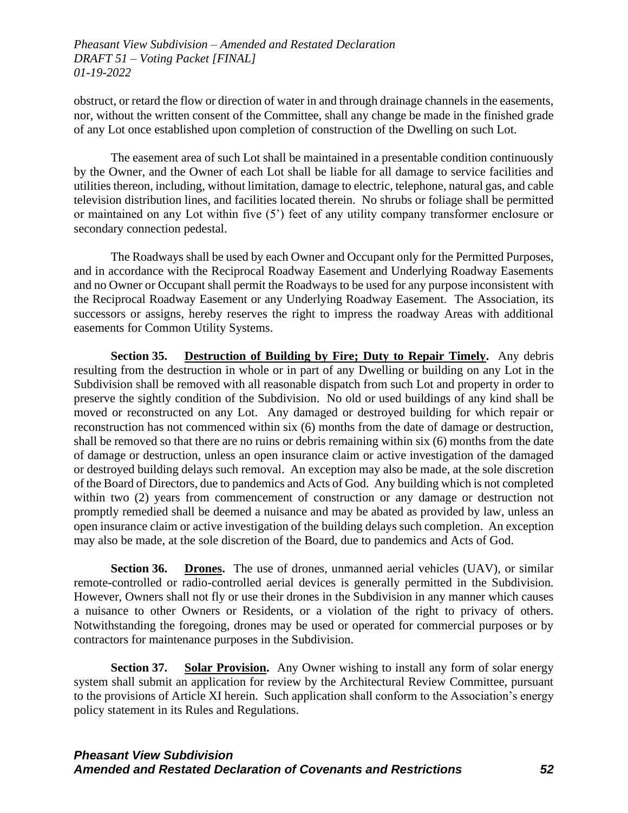obstruct, or retard the flow or direction of water in and through drainage channels in the easements, nor, without the written consent of the Committee, shall any change be made in the finished grade of any Lot once established upon completion of construction of the Dwelling on such Lot.

The easement area of such Lot shall be maintained in a presentable condition continuously by the Owner, and the Owner of each Lot shall be liable for all damage to service facilities and utilities thereon, including, without limitation, damage to electric, telephone, natural gas, and cable television distribution lines, and facilities located therein. No shrubs or foliage shall be permitted or maintained on any Lot within five (5') feet of any utility company transformer enclosure or secondary connection pedestal.

The Roadways shall be used by each Owner and Occupant only for the Permitted Purposes, and in accordance with the Reciprocal Roadway Easement and Underlying Roadway Easements and no Owner or Occupant shall permit the Roadways to be used for any purpose inconsistent with the Reciprocal Roadway Easement or any Underlying Roadway Easement. The Association, its successors or assigns, hereby reserves the right to impress the roadway Areas with additional easements for Common Utility Systems.

**Section 35. Destruction of Building by Fire; Duty to Repair Timely.** Any debris resulting from the destruction in whole or in part of any Dwelling or building on any Lot in the Subdivision shall be removed with all reasonable dispatch from such Lot and property in order to preserve the sightly condition of the Subdivision. No old or used buildings of any kind shall be moved or reconstructed on any Lot. Any damaged or destroyed building for which repair or reconstruction has not commenced within six (6) months from the date of damage or destruction, shall be removed so that there are no ruins or debris remaining within six (6) months from the date of damage or destruction, unless an open insurance claim or active investigation of the damaged or destroyed building delays such removal. An exception may also be made, at the sole discretion of the Board of Directors, due to pandemics and Acts of God. Any building which is not completed within two (2) years from commencement of construction or any damage or destruction not promptly remedied shall be deemed a nuisance and may be abated as provided by law, unless an open insurance claim or active investigation of the building delays such completion. An exception may also be made, at the sole discretion of the Board, due to pandemics and Acts of God.

**Section 36. Drones.** The use of drones, unmanned aerial vehicles (UAV), or similar remote-controlled or radio-controlled aerial devices is generally permitted in the Subdivision. However, Owners shall not fly or use their drones in the Subdivision in any manner which causes a nuisance to other Owners or Residents, or a violation of the right to privacy of others. Notwithstanding the foregoing, drones may be used or operated for commercial purposes or by contractors for maintenance purposes in the Subdivision.

**Section 37. Solar Provision.** Any Owner wishing to install any form of solar energy system shall submit an application for review by the Architectural Review Committee, pursuant to the provisions of Article XI herein. Such application shall conform to the Association's energy policy statement in its Rules and Regulations.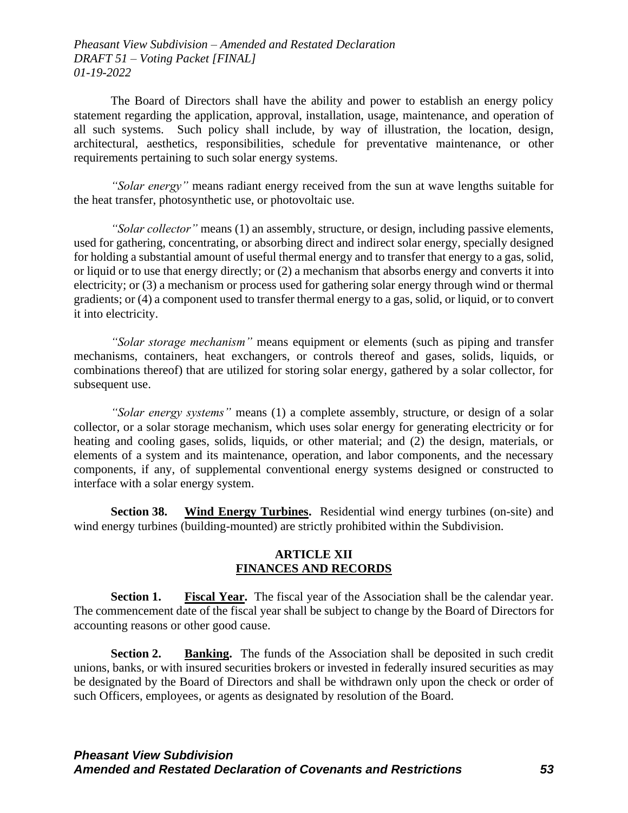The Board of Directors shall have the ability and power to establish an energy policy statement regarding the application, approval, installation, usage, maintenance, and operation of all such systems. Such policy shall include, by way of illustration, the location, design, architectural, aesthetics, responsibilities, schedule for preventative maintenance, or other requirements pertaining to such solar energy systems.

*"Solar energy"* means radiant energy received from the sun at wave lengths suitable for the heat transfer, photosynthetic use, or photovoltaic use.

*"Solar collector"* means (1) an assembly, structure, or design, including passive elements, used for gathering, concentrating, or absorbing direct and indirect solar energy, specially designed for holding a substantial amount of useful thermal energy and to transfer that energy to a gas, solid, or liquid or to use that energy directly; or (2) a mechanism that absorbs energy and converts it into electricity; or (3) a mechanism or process used for gathering solar energy through wind or thermal gradients; or (4) a component used to transfer thermal energy to a gas, solid, or liquid, or to convert it into electricity.

*"Solar storage mechanism"* means equipment or elements (such as piping and transfer mechanisms, containers, heat exchangers, or controls thereof and gases, solids, liquids, or combinations thereof) that are utilized for storing solar energy, gathered by a solar collector, for subsequent use.

*"Solar energy systems"* means (1) a complete assembly, structure, or design of a solar collector, or a solar storage mechanism, which uses solar energy for generating electricity or for heating and cooling gases, solids, liquids, or other material; and (2) the design, materials, or elements of a system and its maintenance, operation, and labor components, and the necessary components, if any, of supplemental conventional energy systems designed or constructed to interface with a solar energy system.

**Section 38. Wind Energy Turbines.** Residential wind energy turbines (on-site) and wind energy turbines (building-mounted) are strictly prohibited within the Subdivision.

### **ARTICLE XII FINANCES AND RECORDS**

**Section 1.** Fiscal Year. The fiscal year of the Association shall be the calendar year. The commencement date of the fiscal year shall be subject to change by the Board of Directors for accounting reasons or other good cause.

**Section 2. Banking.** The funds of the Association shall be deposited in such credit unions, banks, or with insured securities brokers or invested in federally insured securities as may be designated by the Board of Directors and shall be withdrawn only upon the check or order of such Officers, employees, or agents as designated by resolution of the Board.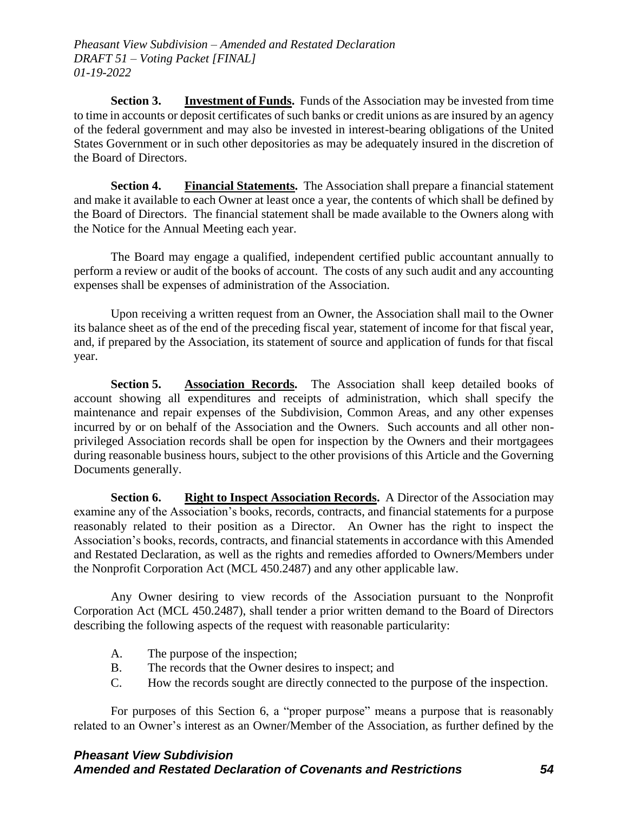**Section 3. Investment of Funds.** Funds of the Association may be invested from time to time in accounts or deposit certificates of such banks or credit unions as are insured by an agency of the federal government and may also be invested in interest-bearing obligations of the United States Government or in such other depositories as may be adequately insured in the discretion of the Board of Directors.

**Section 4. Financial Statements.** The Association shall prepare a financial statement and make it available to each Owner at least once a year, the contents of which shall be defined by the Board of Directors. The financial statement shall be made available to the Owners along with the Notice for the Annual Meeting each year.

The Board may engage a qualified, independent certified public accountant annually to perform a review or audit of the books of account. The costs of any such audit and any accounting expenses shall be expenses of administration of the Association.

Upon receiving a written request from an Owner, the Association shall mail to the Owner its balance sheet as of the end of the preceding fiscal year, statement of income for that fiscal year, and, if prepared by the Association, its statement of source and application of funds for that fiscal year.

**Section 5. Association Records.** The Association shall keep detailed books of account showing all expenditures and receipts of administration, which shall specify the maintenance and repair expenses of the Subdivision, Common Areas, and any other expenses incurred by or on behalf of the Association and the Owners. Such accounts and all other nonprivileged Association records shall be open for inspection by the Owners and their mortgagees during reasonable business hours, subject to the other provisions of this Article and the Governing Documents generally.

**Section 6. Right to Inspect Association Records.** A Director of the Association may examine any of the Association's books, records, contracts, and financial statements for a purpose reasonably related to their position as a Director. An Owner has the right to inspect the Association's books, records, contracts, and financial statements in accordance with this Amended and Restated Declaration, as well as the rights and remedies afforded to Owners/Members under the Nonprofit Corporation Act (MCL 450.2487) and any other applicable law.

Any Owner desiring to view records of the Association pursuant to the Nonprofit Corporation Act (MCL 450.2487), shall tender a prior written demand to the Board of Directors describing the following aspects of the request with reasonable particularity:

- A. The purpose of the inspection;
- B. The records that the Owner desires to inspect; and
- C. How the records sought are directly connected to the purpose of the inspection.

For purposes of this Section 6, a "proper purpose" means a purpose that is reasonably related to an Owner's interest as an Owner/Member of the Association, as further defined by the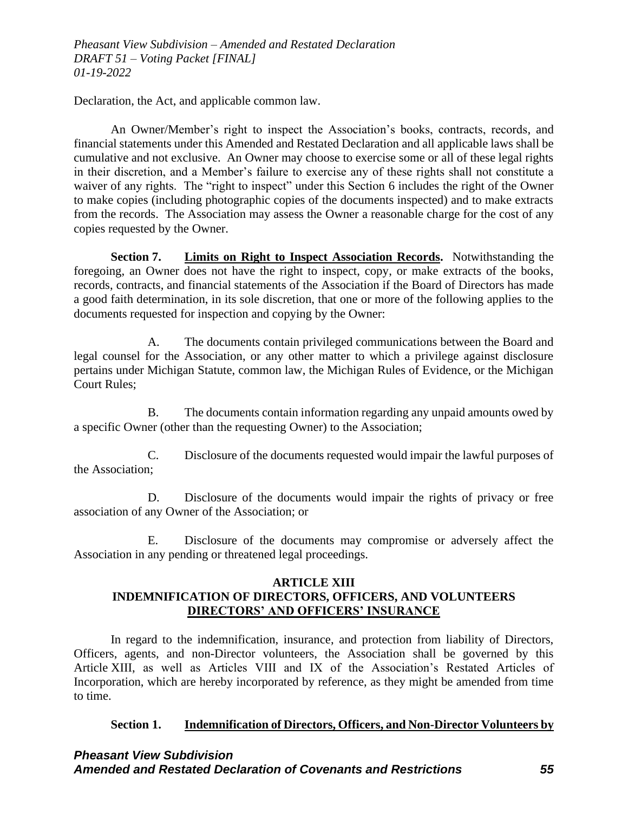Declaration, the Act, and applicable common law.

An Owner/Member's right to inspect the Association's books, contracts, records, and financial statements under this Amended and Restated Declaration and all applicable laws shall be cumulative and not exclusive. An Owner may choose to exercise some or all of these legal rights in their discretion, and a Member's failure to exercise any of these rights shall not constitute a waiver of any rights. The "right to inspect" under this Section 6 includes the right of the Owner to make copies (including photographic copies of the documents inspected) and to make extracts from the records. The Association may assess the Owner a reasonable charge for the cost of any copies requested by the Owner.

**Section 7. Limits on Right to Inspect Association Records.** Notwithstanding the foregoing, an Owner does not have the right to inspect, copy, or make extracts of the books, records, contracts, and financial statements of the Association if the Board of Directors has made a good faith determination, in its sole discretion, that one or more of the following applies to the documents requested for inspection and copying by the Owner:

A. The documents contain privileged communications between the Board and legal counsel for the Association, or any other matter to which a privilege against disclosure pertains under Michigan Statute, common law, the Michigan Rules of Evidence, or the Michigan Court Rules;

B. The documents contain information regarding any unpaid amounts owed by a specific Owner (other than the requesting Owner) to the Association;

C. Disclosure of the documents requested would impair the lawful purposes of the Association;

D. Disclosure of the documents would impair the rights of privacy or free association of any Owner of the Association; or

E. Disclosure of the documents may compromise or adversely affect the Association in any pending or threatened legal proceedings.

### **ARTICLE XIII INDEMNIFICATION OF DIRECTORS, OFFICERS, AND VOLUNTEERS DIRECTORS' AND OFFICERS' INSURANCE**

In regard to the indemnification, insurance, and protection from liability of Directors, Officers, agents, and non-Director volunteers, the Association shall be governed by this Article XIII, as well as Articles VIII and IX of the Association's Restated Articles of Incorporation, which are hereby incorporated by reference, as they might be amended from time to time.

#### **Section 1. Indemnification of Directors, Officers, and Non-Director Volunteers by**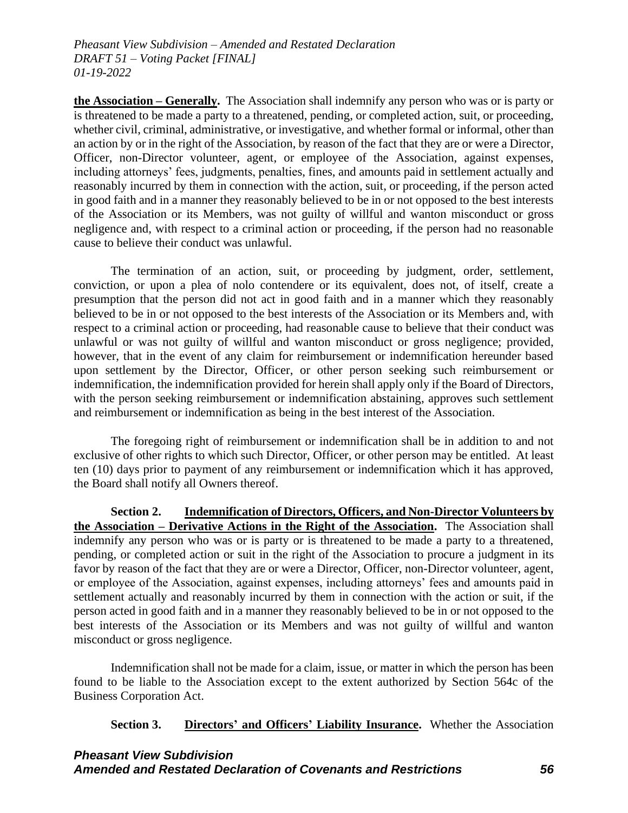**the Association – Generally.** The Association shall indemnify any person who was or is party or is threatened to be made a party to a threatened, pending, or completed action, suit, or proceeding, whether civil, criminal, administrative, or investigative, and whether formal or informal, other than an action by or in the right of the Association, by reason of the fact that they are or were a Director, Officer, non-Director volunteer, agent, or employee of the Association, against expenses, including attorneys' fees, judgments, penalties, fines, and amounts paid in settlement actually and reasonably incurred by them in connection with the action, suit, or proceeding, if the person acted in good faith and in a manner they reasonably believed to be in or not opposed to the best interests of the Association or its Members, was not guilty of willful and wanton misconduct or gross negligence and, with respect to a criminal action or proceeding, if the person had no reasonable cause to believe their conduct was unlawful.

The termination of an action, suit, or proceeding by judgment, order, settlement, conviction, or upon a plea of nolo contendere or its equivalent, does not, of itself, create a presumption that the person did not act in good faith and in a manner which they reasonably believed to be in or not opposed to the best interests of the Association or its Members and, with respect to a criminal action or proceeding, had reasonable cause to believe that their conduct was unlawful or was not guilty of willful and wanton misconduct or gross negligence; provided, however, that in the event of any claim for reimbursement or indemnification hereunder based upon settlement by the Director, Officer, or other person seeking such reimbursement or indemnification, the indemnification provided for herein shall apply only if the Board of Directors, with the person seeking reimbursement or indemnification abstaining, approves such settlement and reimbursement or indemnification as being in the best interest of the Association.

The foregoing right of reimbursement or indemnification shall be in addition to and not exclusive of other rights to which such Director, Officer, or other person may be entitled. At least ten (10) days prior to payment of any reimbursement or indemnification which it has approved, the Board shall notify all Owners thereof.

**Section 2. Indemnification of Directors, Officers, and Non-Director Volunteers by the Association – Derivative Actions in the Right of the Association.** The Association shall indemnify any person who was or is party or is threatened to be made a party to a threatened, pending, or completed action or suit in the right of the Association to procure a judgment in its favor by reason of the fact that they are or were a Director, Officer, non-Director volunteer, agent, or employee of the Association, against expenses, including attorneys' fees and amounts paid in settlement actually and reasonably incurred by them in connection with the action or suit, if the person acted in good faith and in a manner they reasonably believed to be in or not opposed to the best interests of the Association or its Members and was not guilty of willful and wanton misconduct or gross negligence.

Indemnification shall not be made for a claim, issue, or matter in which the person has been found to be liable to the Association except to the extent authorized by Section 564c of the Business Corporation Act.

**Section 3. Directors' and Officers' Liability Insurance.** Whether the Association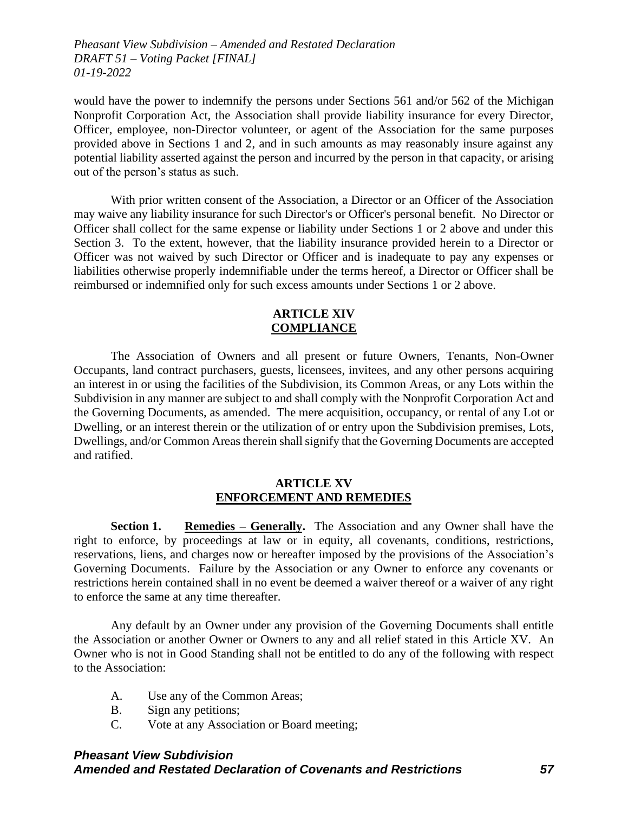would have the power to indemnify the persons under Sections 561 and/or 562 of the Michigan Nonprofit Corporation Act, the Association shall provide liability insurance for every Director, Officer, employee, non-Director volunteer, or agent of the Association for the same purposes provided above in Sections 1 and 2, and in such amounts as may reasonably insure against any potential liability asserted against the person and incurred by the person in that capacity, or arising out of the person's status as such.

With prior written consent of the Association, a Director or an Officer of the Association may waive any liability insurance for such Director's or Officer's personal benefit. No Director or Officer shall collect for the same expense or liability under Sections 1 or 2 above and under this Section 3. To the extent, however, that the liability insurance provided herein to a Director or Officer was not waived by such Director or Officer and is inadequate to pay any expenses or liabilities otherwise properly indemnifiable under the terms hereof, a Director or Officer shall be reimbursed or indemnified only for such excess amounts under Sections 1 or 2 above.

### **ARTICLE XIV COMPLIANCE**

The Association of Owners and all present or future Owners, Tenants, Non-Owner Occupants, land contract purchasers, guests, licensees, invitees, and any other persons acquiring an interest in or using the facilities of the Subdivision, its Common Areas, or any Lots within the Subdivision in any manner are subject to and shall comply with the Nonprofit Corporation Act and the Governing Documents, as amended. The mere acquisition, occupancy, or rental of any Lot or Dwelling, or an interest therein or the utilization of or entry upon the Subdivision premises, Lots, Dwellings, and/or Common Areas therein shall signify that the Governing Documents are accepted and ratified.

#### **ARTICLE XV ENFORCEMENT AND REMEDIES**

**Section 1. Remedies – Generally.** The Association and any Owner shall have the right to enforce, by proceedings at law or in equity, all covenants, conditions, restrictions, reservations, liens, and charges now or hereafter imposed by the provisions of the Association's Governing Documents. Failure by the Association or any Owner to enforce any covenants or restrictions herein contained shall in no event be deemed a waiver thereof or a waiver of any right to enforce the same at any time thereafter.

Any default by an Owner under any provision of the Governing Documents shall entitle the Association or another Owner or Owners to any and all relief stated in this Article XV. An Owner who is not in Good Standing shall not be entitled to do any of the following with respect to the Association:

- A. Use any of the Common Areas;
- B. Sign any petitions;
- C. Vote at any Association or Board meeting;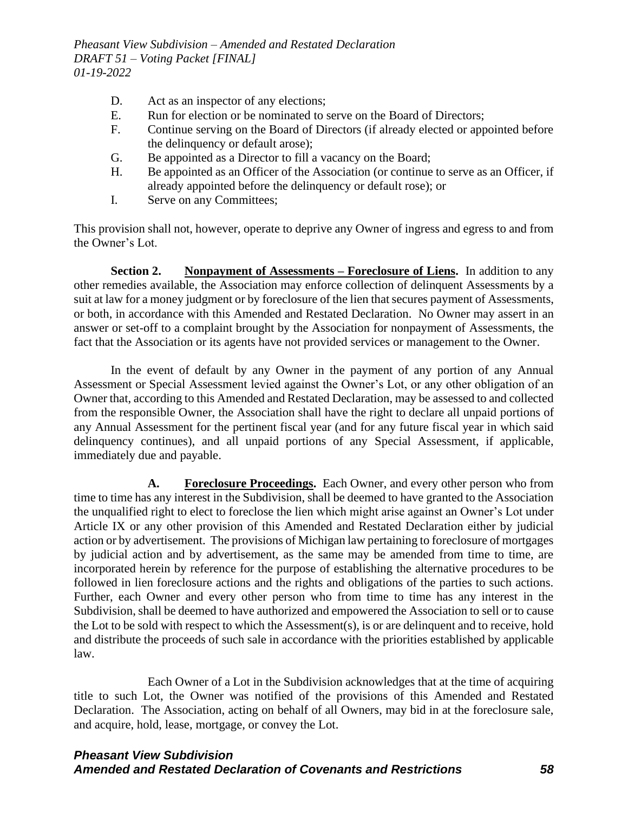- D. Act as an inspector of any elections;
- E. Run for election or be nominated to serve on the Board of Directors;
- F. Continue serving on the Board of Directors (if already elected or appointed before the delinquency or default arose);
- G. Be appointed as a Director to fill a vacancy on the Board;
- H. Be appointed as an Officer of the Association (or continue to serve as an Officer, if already appointed before the delinquency or default rose); or
- I. Serve on any Committees;

This provision shall not, however, operate to deprive any Owner of ingress and egress to and from the Owner's Lot.

**Section 2. Nonpayment of Assessments – Foreclosure of Liens.** In addition to any other remedies available, the Association may enforce collection of delinquent Assessments by a suit at law for a money judgment or by foreclosure of the lien that secures payment of Assessments, or both, in accordance with this Amended and Restated Declaration. No Owner may assert in an answer or set-off to a complaint brought by the Association for nonpayment of Assessments, the fact that the Association or its agents have not provided services or management to the Owner.

In the event of default by any Owner in the payment of any portion of any Annual Assessment or Special Assessment levied against the Owner's Lot, or any other obligation of an Owner that, according to this Amended and Restated Declaration, may be assessed to and collected from the responsible Owner, the Association shall have the right to declare all unpaid portions of any Annual Assessment for the pertinent fiscal year (and for any future fiscal year in which said delinquency continues), and all unpaid portions of any Special Assessment, if applicable, immediately due and payable.

**A. Foreclosure Proceedings.** Each Owner, and every other person who from time to time has any interest in the Subdivision, shall be deemed to have granted to the Association the unqualified right to elect to foreclose the lien which might arise against an Owner's Lot under Article IX or any other provision of this Amended and Restated Declaration either by judicial action or by advertisement. The provisions of Michigan law pertaining to foreclosure of mortgages by judicial action and by advertisement, as the same may be amended from time to time, are incorporated herein by reference for the purpose of establishing the alternative procedures to be followed in lien foreclosure actions and the rights and obligations of the parties to such actions. Further, each Owner and every other person who from time to time has any interest in the Subdivision, shall be deemed to have authorized and empowered the Association to sell or to cause the Lot to be sold with respect to which the Assessment(s), is or are delinquent and to receive, hold and distribute the proceeds of such sale in accordance with the priorities established by applicable law.

Each Owner of a Lot in the Subdivision acknowledges that at the time of acquiring title to such Lot, the Owner was notified of the provisions of this Amended and Restated Declaration. The Association, acting on behalf of all Owners, may bid in at the foreclosure sale, and acquire, hold, lease, mortgage, or convey the Lot.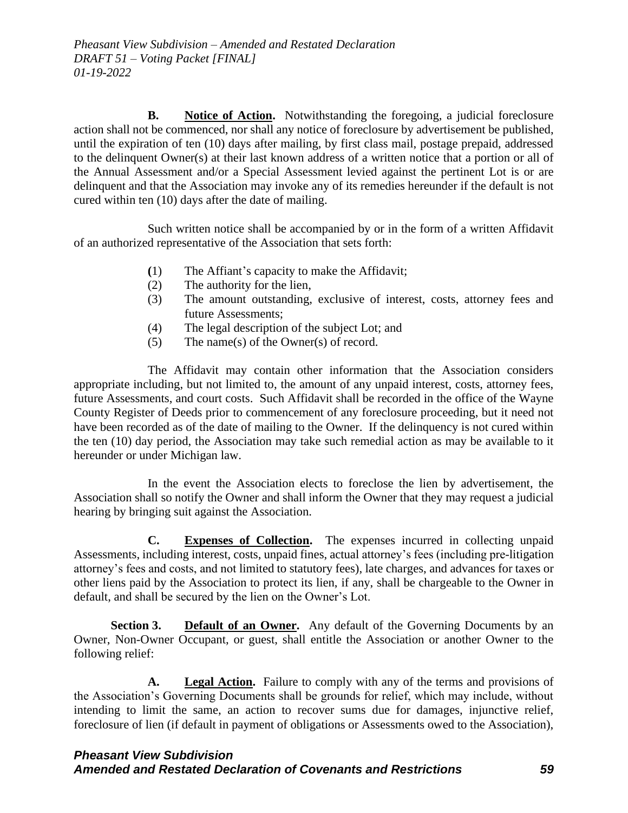**B. Notice of Action.** Notwithstanding the foregoing, a judicial foreclosure action shall not be commenced, nor shall any notice of foreclosure by advertisement be published, until the expiration of ten (10) days after mailing, by first class mail, postage prepaid, addressed to the delinquent Owner(s) at their last known address of a written notice that a portion or all of the Annual Assessment and/or a Special Assessment levied against the pertinent Lot is or are delinquent and that the Association may invoke any of its remedies hereunder if the default is not cured within ten (10) days after the date of mailing.

Such written notice shall be accompanied by or in the form of a written Affidavit of an authorized representative of the Association that sets forth:

- **(**1) The Affiant's capacity to make the Affidavit;
- (2) The authority for the lien,
- (3) The amount outstanding, exclusive of interest, costs, attorney fees and future Assessments;
- (4) The legal description of the subject Lot; and
- (5) The name(s) of the Owner(s) of record.

The Affidavit may contain other information that the Association considers appropriate including, but not limited to, the amount of any unpaid interest, costs, attorney fees, future Assessments, and court costs. Such Affidavit shall be recorded in the office of the Wayne County Register of Deeds prior to commencement of any foreclosure proceeding, but it need not have been recorded as of the date of mailing to the Owner. If the delinquency is not cured within the ten (10) day period, the Association may take such remedial action as may be available to it hereunder or under Michigan law.

In the event the Association elects to foreclose the lien by advertisement, the Association shall so notify the Owner and shall inform the Owner that they may request a judicial hearing by bringing suit against the Association.

**C. Expenses of Collection.** The expenses incurred in collecting unpaid Assessments, including interest, costs, unpaid fines, actual attorney's fees (including pre-litigation attorney's fees and costs, and not limited to statutory fees), late charges, and advances for taxes or other liens paid by the Association to protect its lien, if any, shall be chargeable to the Owner in default, and shall be secured by the lien on the Owner's Lot.

**Section 3. Default of an Owner.** Any default of the Governing Documents by an Owner, Non-Owner Occupant, or guest, shall entitle the Association or another Owner to the following relief:

**A. Legal Action.** Failure to comply with any of the terms and provisions of the Association's Governing Documents shall be grounds for relief, which may include, without intending to limit the same, an action to recover sums due for damages, injunctive relief, foreclosure of lien (if default in payment of obligations or Assessments owed to the Association),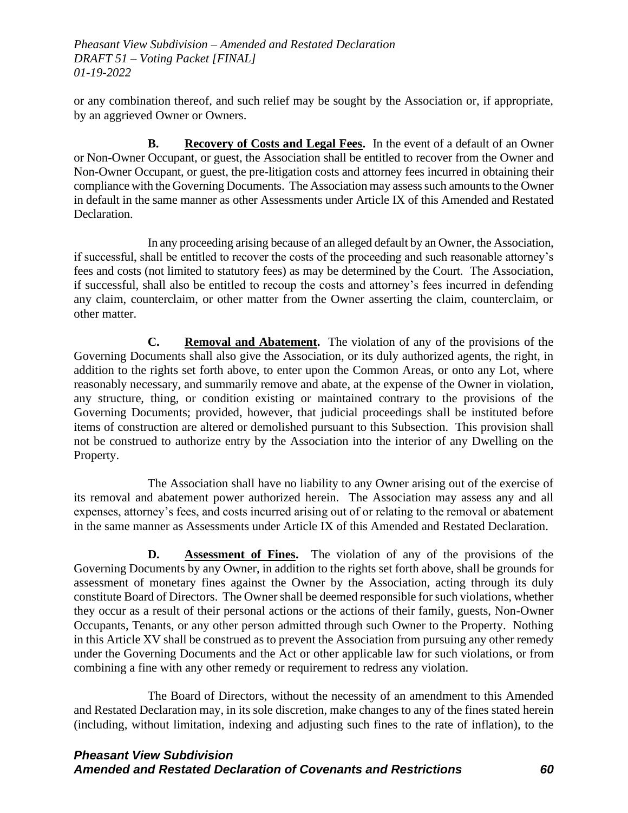or any combination thereof, and such relief may be sought by the Association or, if appropriate, by an aggrieved Owner or Owners.

**B. Recovery of Costs and Legal Fees.** In the event of a default of an Owner or Non-Owner Occupant, or guest, the Association shall be entitled to recover from the Owner and Non-Owner Occupant, or guest, the pre-litigation costs and attorney fees incurred in obtaining their compliance with the Governing Documents. The Association may assess such amounts to the Owner in default in the same manner as other Assessments under Article IX of this Amended and Restated Declaration.

In any proceeding arising because of an alleged default by an Owner, the Association, if successful, shall be entitled to recover the costs of the proceeding and such reasonable attorney's fees and costs (not limited to statutory fees) as may be determined by the Court. The Association, if successful, shall also be entitled to recoup the costs and attorney's fees incurred in defending any claim, counterclaim, or other matter from the Owner asserting the claim, counterclaim, or other matter.

**C. Removal and Abatement.** The violation of any of the provisions of the Governing Documents shall also give the Association, or its duly authorized agents, the right, in addition to the rights set forth above, to enter upon the Common Areas, or onto any Lot, where reasonably necessary, and summarily remove and abate, at the expense of the Owner in violation, any structure, thing, or condition existing or maintained contrary to the provisions of the Governing Documents; provided, however, that judicial proceedings shall be instituted before items of construction are altered or demolished pursuant to this Subsection. This provision shall not be construed to authorize entry by the Association into the interior of any Dwelling on the Property.

The Association shall have no liability to any Owner arising out of the exercise of its removal and abatement power authorized herein. The Association may assess any and all expenses, attorney's fees, and costs incurred arising out of or relating to the removal or abatement in the same manner as Assessments under Article IX of this Amended and Restated Declaration.

**D. Assessment of Fines.** The violation of any of the provisions of the Governing Documents by any Owner, in addition to the rights set forth above, shall be grounds for assessment of monetary fines against the Owner by the Association, acting through its duly constitute Board of Directors. The Owner shall be deemed responsible for such violations, whether they occur as a result of their personal actions or the actions of their family, guests, Non-Owner Occupants, Tenants, or any other person admitted through such Owner to the Property. Nothing in this Article XV shall be construed as to prevent the Association from pursuing any other remedy under the Governing Documents and the Act or other applicable law for such violations, or from combining a fine with any other remedy or requirement to redress any violation.

The Board of Directors, without the necessity of an amendment to this Amended and Restated Declaration may, in its sole discretion, make changes to any of the fines stated herein (including, without limitation, indexing and adjusting such fines to the rate of inflation), to the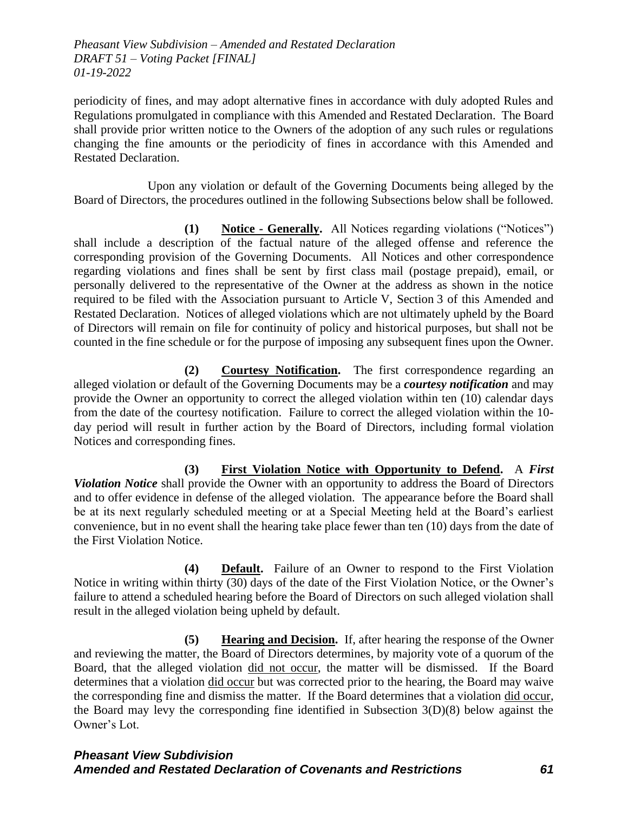periodicity of fines, and may adopt alternative fines in accordance with duly adopted Rules and Regulations promulgated in compliance with this Amended and Restated Declaration. The Board shall provide prior written notice to the Owners of the adoption of any such rules or regulations changing the fine amounts or the periodicity of fines in accordance with this Amended and Restated Declaration.

Upon any violation or default of the Governing Documents being alleged by the Board of Directors, the procedures outlined in the following Subsections below shall be followed.

**(1) Notice - Generally.** All Notices regarding violations ("Notices") shall include a description of the factual nature of the alleged offense and reference the corresponding provision of the Governing Documents. All Notices and other correspondence regarding violations and fines shall be sent by first class mail (postage prepaid), email, or personally delivered to the representative of the Owner at the address as shown in the notice required to be filed with the Association pursuant to Article V, Section 3 of this Amended and Restated Declaration. Notices of alleged violations which are not ultimately upheld by the Board of Directors will remain on file for continuity of policy and historical purposes, but shall not be counted in the fine schedule or for the purpose of imposing any subsequent fines upon the Owner.

**(2) Courtesy Notification.** The first correspondence regarding an alleged violation or default of the Governing Documents may be a *courtesy notification* and may provide the Owner an opportunity to correct the alleged violation within ten (10) calendar days from the date of the courtesy notification. Failure to correct the alleged violation within the 10 day period will result in further action by the Board of Directors, including formal violation Notices and corresponding fines.

**(3) First Violation Notice with Opportunity to Defend.** A *First Violation Notice* shall provide the Owner with an opportunity to address the Board of Directors and to offer evidence in defense of the alleged violation. The appearance before the Board shall be at its next regularly scheduled meeting or at a Special Meeting held at the Board's earliest convenience, but in no event shall the hearing take place fewer than ten (10) days from the date of the First Violation Notice.

**(4) Default.** Failure of an Owner to respond to the First Violation Notice in writing within thirty (30) days of the date of the First Violation Notice, or the Owner's failure to attend a scheduled hearing before the Board of Directors on such alleged violation shall result in the alleged violation being upheld by default.

**(5) Hearing and Decision.** If, after hearing the response of the Owner and reviewing the matter, the Board of Directors determines, by majority vote of a quorum of the Board, that the alleged violation did not occur, the matter will be dismissed. If the Board determines that a violation did occur but was corrected prior to the hearing, the Board may waive the corresponding fine and dismiss the matter. If the Board determines that a violation did occur, the Board may levy the corresponding fine identified in Subsection 3(D)(8) below against the Owner's Lot.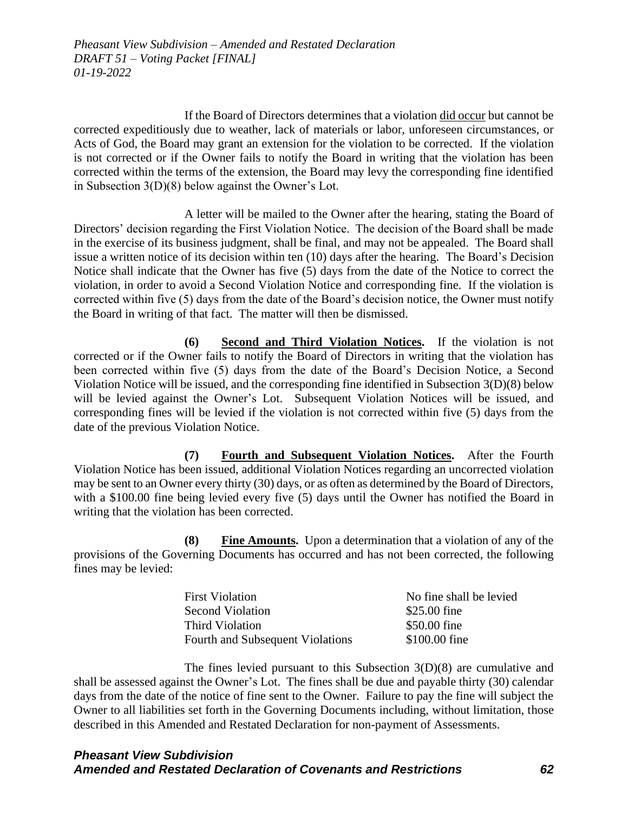If the Board of Directors determines that a violation did occur but cannot be corrected expeditiously due to weather, lack of materials or labor, unforeseen circumstances, or Acts of God, the Board may grant an extension for the violation to be corrected. If the violation is not corrected or if the Owner fails to notify the Board in writing that the violation has been corrected within the terms of the extension, the Board may levy the corresponding fine identified in Subsection 3(D)(8) below against the Owner's Lot.

A letter will be mailed to the Owner after the hearing, stating the Board of Directors' decision regarding the First Violation Notice. The decision of the Board shall be made in the exercise of its business judgment, shall be final, and may not be appealed. The Board shall issue a written notice of its decision within ten (10) days after the hearing. The Board's Decision Notice shall indicate that the Owner has five (5) days from the date of the Notice to correct the violation, in order to avoid a Second Violation Notice and corresponding fine. If the violation is corrected within five (5) days from the date of the Board's decision notice, the Owner must notify the Board in writing of that fact. The matter will then be dismissed.

**(6) Second and Third Violation Notices.** If the violation is not corrected or if the Owner fails to notify the Board of Directors in writing that the violation has been corrected within five (5) days from the date of the Board's Decision Notice, a Second Violation Notice will be issued, and the corresponding fine identified in Subsection 3(D)(8) below will be levied against the Owner's Lot. Subsequent Violation Notices will be issued, and corresponding fines will be levied if the violation is not corrected within five (5) days from the date of the previous Violation Notice.

**(7) Fourth and Subsequent Violation Notices.** After the Fourth Violation Notice has been issued, additional Violation Notices regarding an uncorrected violation may be sent to an Owner every thirty (30) days, or as often as determined by the Board of Directors, with a \$100.00 fine being levied every five (5) days until the Owner has notified the Board in writing that the violation has been corrected.

**(8) Fine Amounts.** Upon a determination that a violation of any of the provisions of the Governing Documents has occurred and has not been corrected, the following fines may be levied:

| <b>First Violation</b>           | No fine shall be levied |
|----------------------------------|-------------------------|
| <b>Second Violation</b>          | \$25.00 fine            |
| Third Violation                  | \$50.00 fine            |
| Fourth and Subsequent Violations | \$100.00 fine           |

The fines levied pursuant to this Subsection 3(D)(8) are cumulative and shall be assessed against the Owner's Lot. The fines shall be due and payable thirty (30) calendar days from the date of the notice of fine sent to the Owner. Failure to pay the fine will subject the Owner to all liabilities set forth in the Governing Documents including, without limitation, those described in this Amended and Restated Declaration for non-payment of Assessments.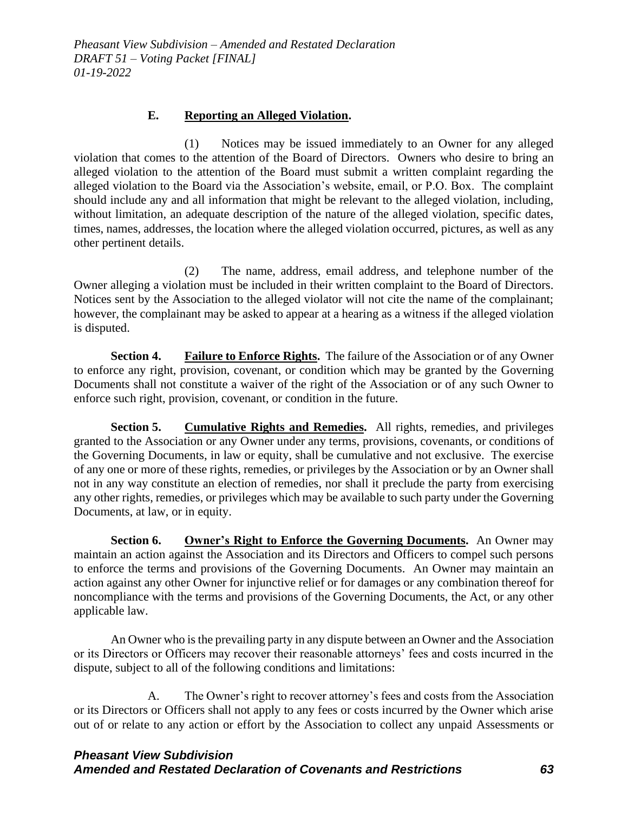### **E. Reporting an Alleged Violation.**

(1) Notices may be issued immediately to an Owner for any alleged violation that comes to the attention of the Board of Directors. Owners who desire to bring an alleged violation to the attention of the Board must submit a written complaint regarding the alleged violation to the Board via the Association's website, email, or P.O. Box. The complaint should include any and all information that might be relevant to the alleged violation, including, without limitation, an adequate description of the nature of the alleged violation, specific dates, times, names, addresses, the location where the alleged violation occurred, pictures, as well as any other pertinent details.

(2) The name, address, email address, and telephone number of the Owner alleging a violation must be included in their written complaint to the Board of Directors. Notices sent by the Association to the alleged violator will not cite the name of the complainant; however, the complainant may be asked to appear at a hearing as a witness if the alleged violation is disputed.

**Section 4. Failure to Enforce Rights.** The failure of the Association or of any Owner to enforce any right, provision, covenant, or condition which may be granted by the Governing Documents shall not constitute a waiver of the right of the Association or of any such Owner to enforce such right, provision, covenant, or condition in the future.

**Section 5.** Cumulative Rights and Remedies. All rights, remedies, and privileges granted to the Association or any Owner under any terms, provisions, covenants, or conditions of the Governing Documents, in law or equity, shall be cumulative and not exclusive. The exercise of any one or more of these rights, remedies, or privileges by the Association or by an Owner shall not in any way constitute an election of remedies, nor shall it preclude the party from exercising any other rights, remedies, or privileges which may be available to such party under the Governing Documents, at law, or in equity.

**Section 6. Owner's Right to Enforce the Governing Documents.** An Owner may maintain an action against the Association and its Directors and Officers to compel such persons to enforce the terms and provisions of the Governing Documents. An Owner may maintain an action against any other Owner for injunctive relief or for damages or any combination thereof for noncompliance with the terms and provisions of the Governing Documents, the Act, or any other applicable law.

An Owner who is the prevailing party in any dispute between an Owner and the Association or its Directors or Officers may recover their reasonable attorneys' fees and costs incurred in the dispute, subject to all of the following conditions and limitations:

A. The Owner's right to recover attorney's fees and costs from the Association or its Directors or Officers shall not apply to any fees or costs incurred by the Owner which arise out of or relate to any action or effort by the Association to collect any unpaid Assessments or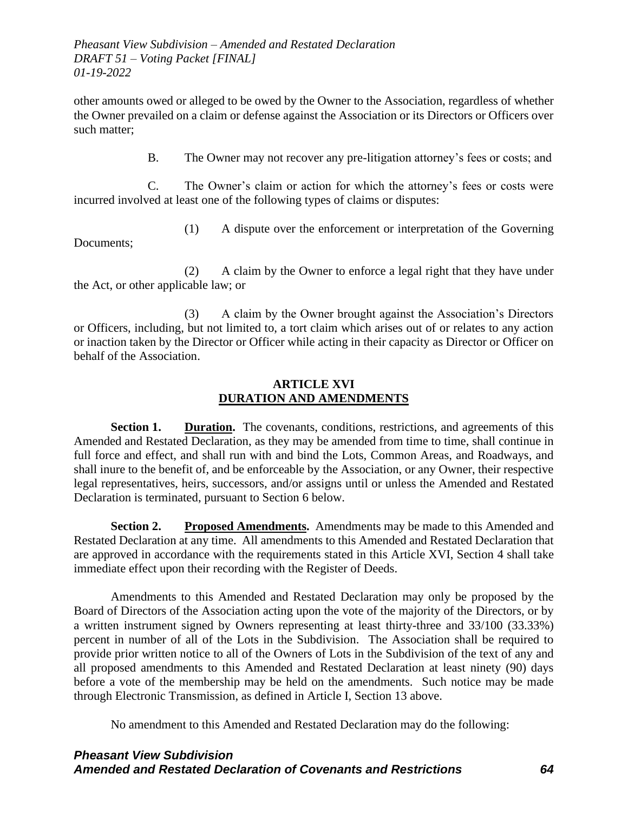other amounts owed or alleged to be owed by the Owner to the Association, regardless of whether the Owner prevailed on a claim or defense against the Association or its Directors or Officers over such matter;

B. The Owner may not recover any pre-litigation attorney's fees or costs; and

C. The Owner's claim or action for which the attorney's fees or costs were incurred involved at least one of the following types of claims or disputes:

(1) A dispute over the enforcement or interpretation of the Governing

Documents;

(2) A claim by the Owner to enforce a legal right that they have under the Act, or other applicable law; or

(3) A claim by the Owner brought against the Association's Directors or Officers, including, but not limited to, a tort claim which arises out of or relates to any action or inaction taken by the Director or Officer while acting in their capacity as Director or Officer on behalf of the Association.

### **ARTICLE XVI DURATION AND AMENDMENTS**

**Section 1. Duration.** The covenants, conditions, restrictions, and agreements of this Amended and Restated Declaration, as they may be amended from time to time, shall continue in full force and effect, and shall run with and bind the Lots, Common Areas, and Roadways, and shall inure to the benefit of, and be enforceable by the Association, or any Owner, their respective legal representatives, heirs, successors, and/or assigns until or unless the Amended and Restated Declaration is terminated, pursuant to Section 6 below.

**Section 2. Proposed Amendments.** Amendments may be made to this Amended and Restated Declaration at any time. All amendments to this Amended and Restated Declaration that are approved in accordance with the requirements stated in this Article XVI, Section 4 shall take immediate effect upon their recording with the Register of Deeds.

Amendments to this Amended and Restated Declaration may only be proposed by the Board of Directors of the Association acting upon the vote of the majority of the Directors, or by a written instrument signed by Owners representing at least thirty-three and 33/100 (33.33%) percent in number of all of the Lots in the Subdivision. The Association shall be required to provide prior written notice to all of the Owners of Lots in the Subdivision of the text of any and all proposed amendments to this Amended and Restated Declaration at least ninety (90) days before a vote of the membership may be held on the amendments. Such notice may be made through Electronic Transmission, as defined in Article I, Section 13 above.

No amendment to this Amended and Restated Declaration may do the following: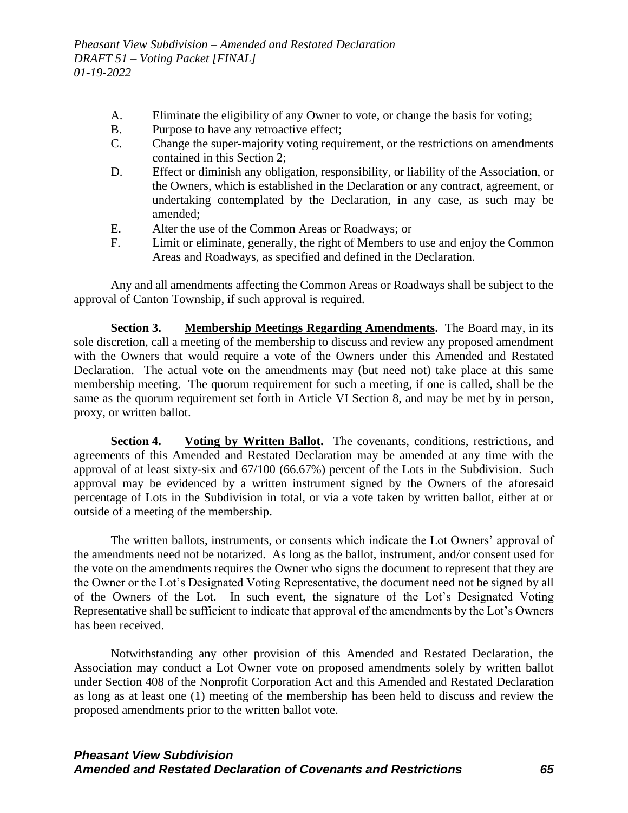- A. Eliminate the eligibility of any Owner to vote, or change the basis for voting;
- B. Purpose to have any retroactive effect;
- C. Change the super-majority voting requirement, or the restrictions on amendments contained in this Section 2;
- D. Effect or diminish any obligation, responsibility, or liability of the Association, or the Owners, which is established in the Declaration or any contract, agreement, or undertaking contemplated by the Declaration, in any case, as such may be amended;
- E. Alter the use of the Common Areas or Roadways; or
- F. Limit or eliminate, generally, the right of Members to use and enjoy the Common Areas and Roadways, as specified and defined in the Declaration.

Any and all amendments affecting the Common Areas or Roadways shall be subject to the approval of Canton Township, if such approval is required.

**Section 3. Membership Meetings Regarding Amendments.** The Board may, in its sole discretion, call a meeting of the membership to discuss and review any proposed amendment with the Owners that would require a vote of the Owners under this Amended and Restated Declaration. The actual vote on the amendments may (but need not) take place at this same membership meeting. The quorum requirement for such a meeting, if one is called, shall be the same as the quorum requirement set forth in Article VI Section 8, and may be met by in person, proxy, or written ballot.

**Section 4. Voting by Written Ballot.** The covenants, conditions, restrictions, and agreements of this Amended and Restated Declaration may be amended at any time with the approval of at least sixty-six and 67/100 (66.67%) percent of the Lots in the Subdivision. Such approval may be evidenced by a written instrument signed by the Owners of the aforesaid percentage of Lots in the Subdivision in total, or via a vote taken by written ballot, either at or outside of a meeting of the membership.

The written ballots, instruments, or consents which indicate the Lot Owners' approval of the amendments need not be notarized. As long as the ballot, instrument, and/or consent used for the vote on the amendments requires the Owner who signs the document to represent that they are the Owner or the Lot's Designated Voting Representative, the document need not be signed by all of the Owners of the Lot. In such event, the signature of the Lot's Designated Voting Representative shall be sufficient to indicate that approval of the amendments by the Lot's Owners has been received.

Notwithstanding any other provision of this Amended and Restated Declaration, the Association may conduct a Lot Owner vote on proposed amendments solely by written ballot under Section 408 of the Nonprofit Corporation Act and this Amended and Restated Declaration as long as at least one (1) meeting of the membership has been held to discuss and review the proposed amendments prior to the written ballot vote.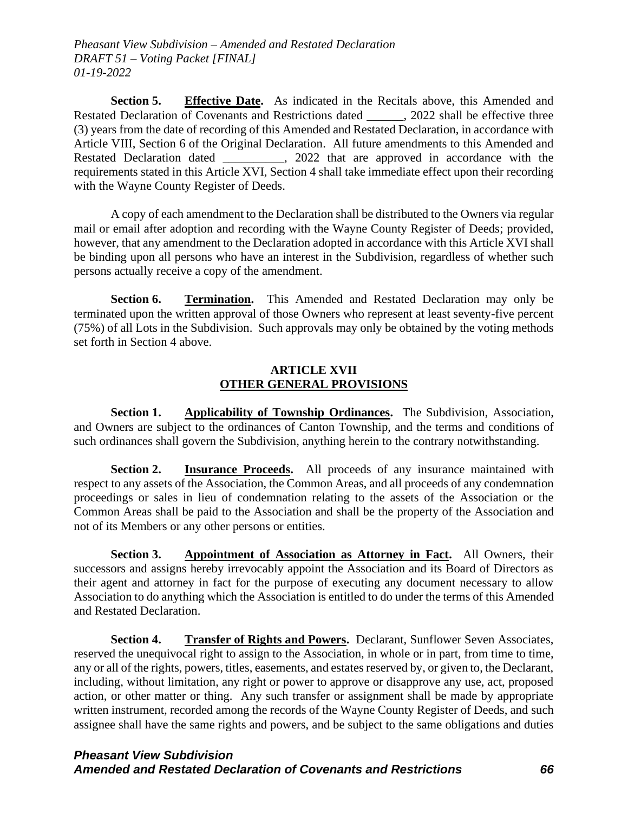Section 5. Effective Date. As indicated in the Recitals above, this Amended and Restated Declaration of Covenants and Restrictions dated . 2022 shall be effective three (3) years from the date of recording of this Amended and Restated Declaration, in accordance with Article VIII, Section 6 of the Original Declaration. All future amendments to this Amended and Restated Declaration dated \_\_\_\_\_\_\_\_\_\_, 2022 that are approved in accordance with the requirements stated in this Article XVI, Section 4 shall take immediate effect upon their recording with the Wayne County Register of Deeds.

A copy of each amendment to the Declaration shall be distributed to the Owners via regular mail or email after adoption and recording with the Wayne County Register of Deeds; provided, however, that any amendment to the Declaration adopted in accordance with this Article XVI shall be binding upon all persons who have an interest in the Subdivision, regardless of whether such persons actually receive a copy of the amendment.

**Section 6. Termination.** This Amended and Restated Declaration may only be terminated upon the written approval of those Owners who represent at least seventy-five percent (75%) of all Lots in the Subdivision. Such approvals may only be obtained by the voting methods set forth in Section 4 above.

# **ARTICLE XVII OTHER GENERAL PROVISIONS**

**Section 1. Applicability of Township Ordinances.** The Subdivision, Association, and Owners are subject to the ordinances of Canton Township, and the terms and conditions of such ordinances shall govern the Subdivision, anything herein to the contrary notwithstanding.

**Section 2. Insurance Proceeds.** All proceeds of any insurance maintained with respect to any assets of the Association, the Common Areas, and all proceeds of any condemnation proceedings or sales in lieu of condemnation relating to the assets of the Association or the Common Areas shall be paid to the Association and shall be the property of the Association and not of its Members or any other persons or entities.

**Section 3. Appointment of Association as Attorney in Fact.** All Owners, their successors and assigns hereby irrevocably appoint the Association and its Board of Directors as their agent and attorney in fact for the purpose of executing any document necessary to allow Association to do anything which the Association is entitled to do under the terms of this Amended and Restated Declaration.

**Section 4. Transfer of Rights and Powers.** Declarant, Sunflower Seven Associates, reserved the unequivocal right to assign to the Association, in whole or in part, from time to time, any or all of the rights, powers, titles, easements, and estates reserved by, or given to, the Declarant, including, without limitation, any right or power to approve or disapprove any use, act, proposed action, or other matter or thing. Any such transfer or assignment shall be made by appropriate written instrument, recorded among the records of the Wayne County Register of Deeds, and such assignee shall have the same rights and powers, and be subject to the same obligations and duties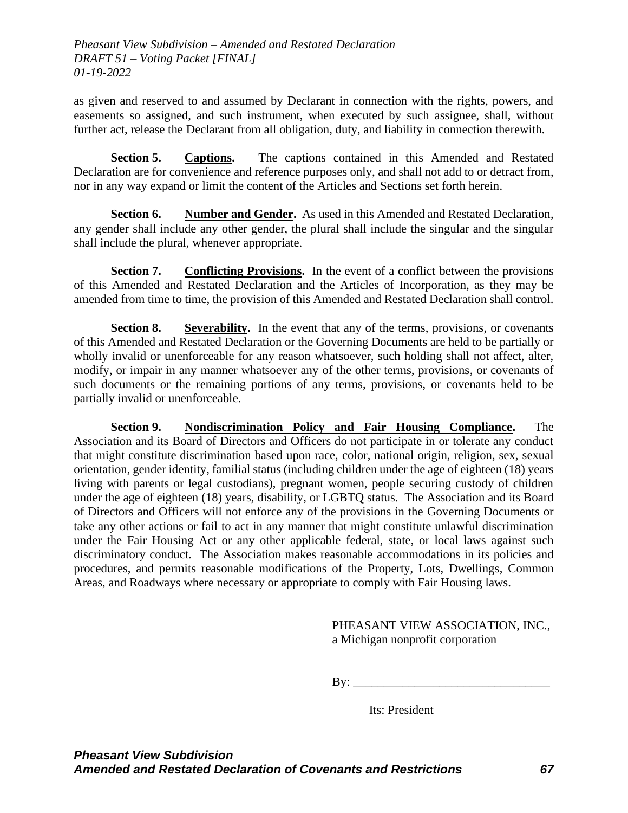as given and reserved to and assumed by Declarant in connection with the rights, powers, and easements so assigned, and such instrument, when executed by such assignee, shall, without further act, release the Declarant from all obligation, duty, and liability in connection therewith.

**Section 5. Captions.** The captions contained in this Amended and Restated Declaration are for convenience and reference purposes only, and shall not add to or detract from, nor in any way expand or limit the content of the Articles and Sections set forth herein.

**Section 6. Number and Gender.** As used in this Amended and Restated Declaration, any gender shall include any other gender, the plural shall include the singular and the singular shall include the plural, whenever appropriate.

**Section 7. Conflicting Provisions.** In the event of a conflict between the provisions of this Amended and Restated Declaration and the Articles of Incorporation, as they may be amended from time to time, the provision of this Amended and Restated Declaration shall control.

**Section 8. Severability.** In the event that any of the terms, provisions, or covenants of this Amended and Restated Declaration or the Governing Documents are held to be partially or wholly invalid or unenforceable for any reason whatsoever, such holding shall not affect, alter, modify, or impair in any manner whatsoever any of the other terms, provisions, or covenants of such documents or the remaining portions of any terms, provisions, or covenants held to be partially invalid or unenforceable.

**Section 9. Nondiscrimination Policy and Fair Housing Compliance.** The Association and its Board of Directors and Officers do not participate in or tolerate any conduct that might constitute discrimination based upon race, color, national origin, religion, sex, sexual orientation, gender identity, familial status (including children under the age of eighteen (18) years living with parents or legal custodians), pregnant women, people securing custody of children under the age of eighteen (18) years, disability, or LGBTQ status. The Association and its Board of Directors and Officers will not enforce any of the provisions in the Governing Documents or take any other actions or fail to act in any manner that might constitute unlawful discrimination under the Fair Housing Act or any other applicable federal, state, or local laws against such discriminatory conduct. The Association makes reasonable accommodations in its policies and procedures, and permits reasonable modifications of the Property, Lots, Dwellings, Common Areas, and Roadways where necessary or appropriate to comply with Fair Housing laws.

# PHEASANT VIEW ASSOCIATION, INC., a Michigan nonprofit corporation

 $\mathbf{By:} \_\_$ 

Its: President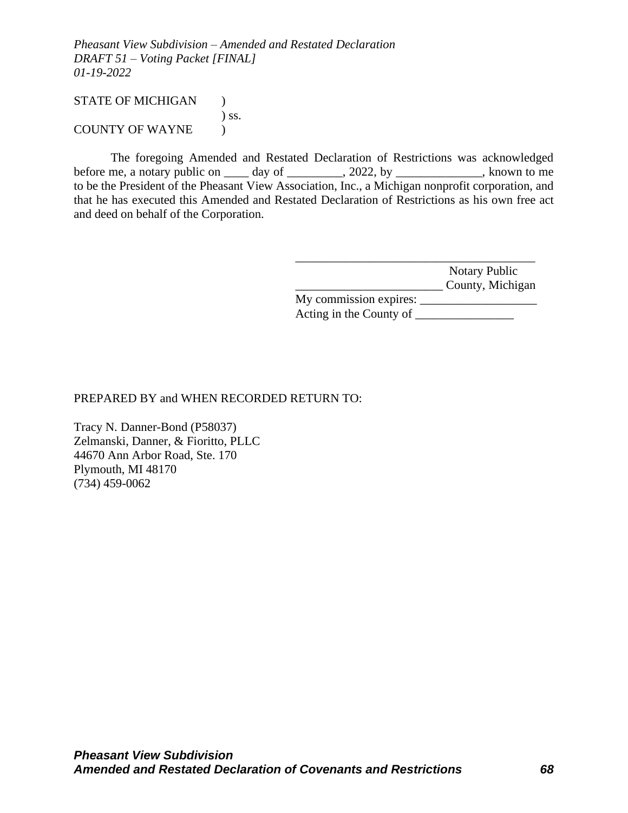# STATE OF MICHIGAN ) ) ss. COUNTY OF WAYNE )

The foregoing Amended and Restated Declaration of Restrictions was acknowledged before me, a notary public on \_\_\_\_\_ day of \_\_\_\_\_\_\_\_\_, 2022, by \_\_\_\_\_\_\_\_\_\_\_\_, known to me to be the President of the Pheasant View Association, Inc., a Michigan nonprofit corporation, and that he has executed this Amended and Restated Declaration of Restrictions as his own free act and deed on behalf of the Corporation.

> \_\_\_\_\_\_\_\_\_\_\_\_\_\_\_\_\_\_\_\_\_\_\_\_\_\_\_\_\_\_\_\_\_\_\_\_\_\_\_ Notary Public \_\_\_\_\_\_\_\_\_\_\_\_\_\_\_\_\_\_\_\_\_\_\_\_ County, Michigan

> My commission expires: \_\_\_\_\_\_\_\_\_\_\_\_\_\_\_\_\_\_\_ Acting in the County of \_\_\_\_\_\_\_\_\_\_\_\_\_\_\_\_

# PREPARED BY and WHEN RECORDED RETURN TO:

Tracy N. Danner-Bond (P58037) Zelmanski, Danner, & Fioritto, PLLC 44670 Ann Arbor Road, Ste. 170 Plymouth, MI 48170 (734) 459-0062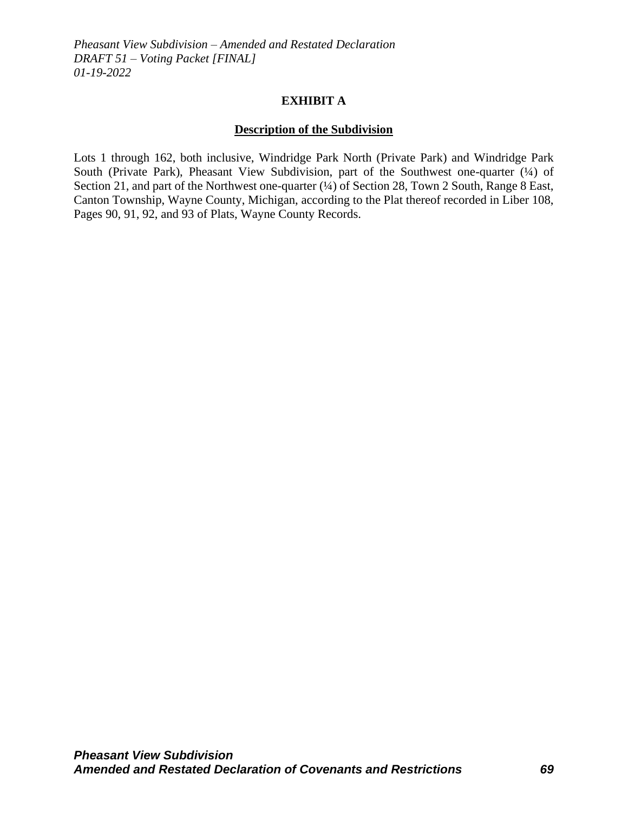### **EXHIBIT A**

# **Description of the Subdivision**

Lots 1 through 162, both inclusive, Windridge Park North (Private Park) and Windridge Park South (Private Park), Pheasant View Subdivision, part of the Southwest one-quarter (¼) of Section 21, and part of the Northwest one-quarter (¼) of Section 28, Town 2 South, Range 8 East, Canton Township, Wayne County, Michigan, according to the Plat thereof recorded in Liber 108, Pages 90, 91, 92, and 93 of Plats, Wayne County Records.